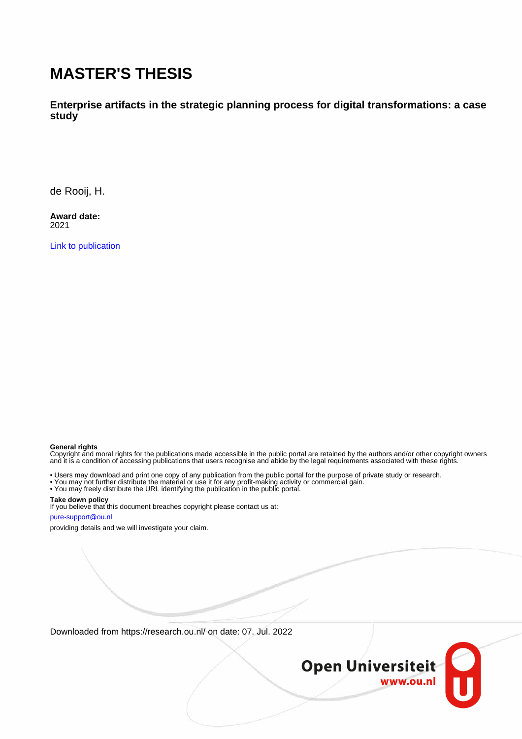# **MASTER'S THESIS**

**Enterprise artifacts in the strategic planning process for digital transformations: a case study**

de Rooij, H.

**Award date:** 2021

[Link to publication](https://research.ou.nl/en/studentTheses/1b2f17a1-71f0-4d85-8941-39d644551237)

#### **General rights**

Copyright and moral rights for the publications made accessible in the public portal are retained by the authors and/or other copyright owners and it is a condition of accessing publications that users recognise and abide by the legal requirements associated with these rights.

• Users may download and print one copy of any publication from the public portal for the purpose of private study or research.

- You may not further distribute the material or use it for any profit-making activity or commercial gain.
- You may freely distribute the URL identifying the publication in the public portal.

#### **Take down policy**

If you believe that this document breaches copyright please contact us at:

#### pure-support@ou.nl

providing details and we will investigate your claim.

Downloaded from https://research.ou.nl/ on date: 07. Jul. 2022

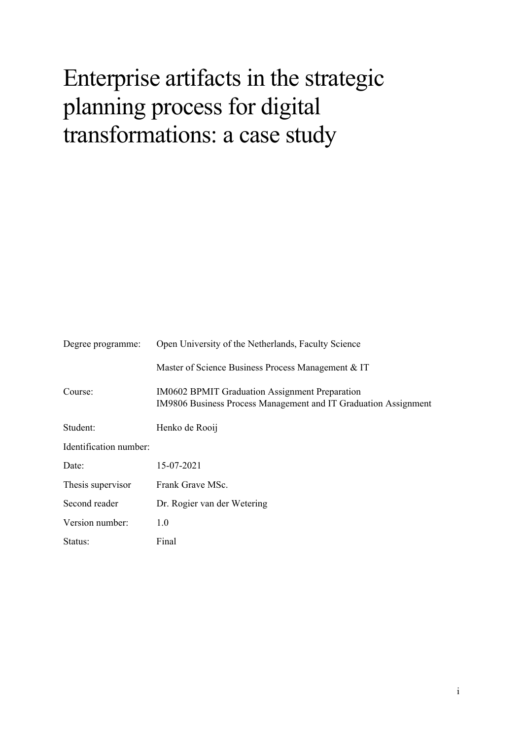# Enterprise artifacts in the strategic planning process for digital transformations: a case study

| Degree programme:      | Open University of the Netherlands, Faculty Science                                                                      |  |  |
|------------------------|--------------------------------------------------------------------------------------------------------------------------|--|--|
|                        | Master of Science Business Process Management & IT                                                                       |  |  |
| Course:                | <b>IM0602 BPMIT Graduation Assignment Preparation</b><br>IM9806 Business Process Management and IT Graduation Assignment |  |  |
| Student:               | Henko de Rooij                                                                                                           |  |  |
| Identification number: |                                                                                                                          |  |  |
| Date:                  | 15-07-2021                                                                                                               |  |  |
| Thesis supervisor      | Frank Grave MSc.                                                                                                         |  |  |
| Second reader          | Dr. Rogier van der Wetering                                                                                              |  |  |
| Version number:        | 1.0                                                                                                                      |  |  |
| Status:                | Final                                                                                                                    |  |  |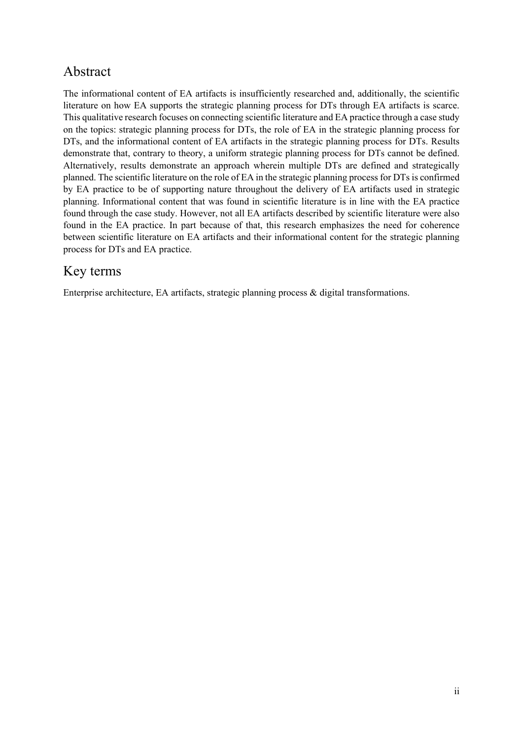#### Abstract

The informational content of EA artifacts is insufficiently researched and, additionally, the scientific literature on how EA supports the strategic planning process for DTs through EA artifacts is scarce. This qualitative research focuses on connecting scientific literature and EA practice through a case study on the topics: strategic planning process for DTs, the role of EA in the strategic planning process for DTs, and the informational content of EA artifacts in the strategic planning process for DTs. Results demonstrate that, contrary to theory, a uniform strategic planning process for DTs cannot be defined. Alternatively, results demonstrate an approach wherein multiple DTs are defined and strategically planned. The scientific literature on the role of EA in the strategic planning process for DTs is confirmed by EA practice to be of supporting nature throughout the delivery of EA artifacts used in strategic planning. Informational content that was found in scientific literature is in line with the EA practice found through the case study. However, not all EA artifacts described by scientific literature were also found in the EA practice. In part because of that, this research emphasizes the need for coherence between scientific literature on EA artifacts and their informational content for the strategic planning process for DTs and EA practice.

### Key terms

Enterprise architecture, EA artifacts, strategic planning process & digital transformations.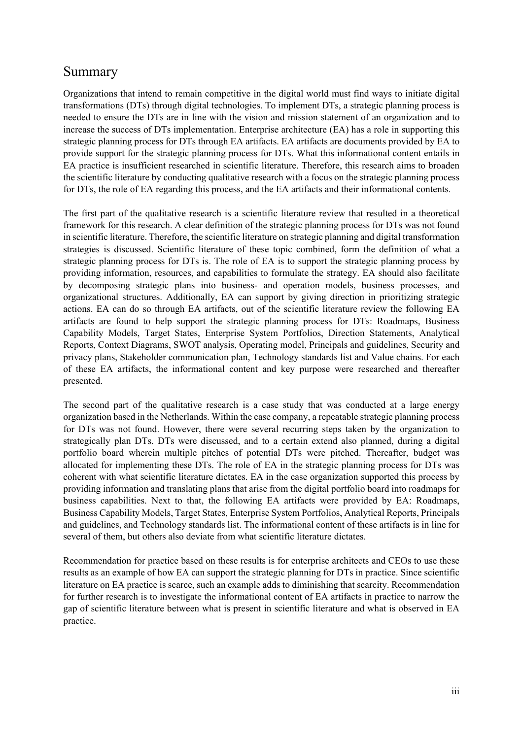#### Summary

Organizations that intend to remain competitive in the digital world must find ways to initiate digital transformations (DTs) through digital technologies. To implement DTs, a strategic planning process is needed to ensure the DTs are in line with the vision and mission statement of an organization and to increase the success of DTs implementation. Enterprise architecture (EA) has a role in supporting this strategic planning process for DTs through EA artifacts. EA artifacts are documents provided by EA to provide support for the strategic planning process for DTs. What this informational content entails in EA practice is insufficient researched in scientific literature. Therefore, this research aims to broaden the scientific literature by conducting qualitative research with a focus on the strategic planning process for DTs, the role of EA regarding this process, and the EA artifacts and their informational contents.

The first part of the qualitative research is a scientific literature review that resulted in a theoretical framework for this research. A clear definition of the strategic planning process for DTs was not found in scientific literature. Therefore, the scientific literature on strategic planning and digital transformation strategies is discussed. Scientific literature of these topic combined, form the definition of what a strategic planning process for DTs is. The role of EA is to support the strategic planning process by providing information, resources, and capabilities to formulate the strategy. EA should also facilitate by decomposing strategic plans into business- and operation models, business processes, and organizational structures. Additionally, EA can support by giving direction in prioritizing strategic actions. EA can do so through EA artifacts, out of the scientific literature review the following EA artifacts are found to help support the strategic planning process for DTs: Roadmaps, Business Capability Models, Target States, Enterprise System Portfolios, Direction Statements, Analytical Reports, Context Diagrams, SWOT analysis, Operating model, Principals and guidelines, Security and privacy plans, Stakeholder communication plan, Technology standards list and Value chains. For each of these EA artifacts, the informational content and key purpose were researched and thereafter presented.

The second part of the qualitative research is a case study that was conducted at a large energy organization based in the Netherlands. Within the case company, a repeatable strategic planning process for DTs was not found. However, there were several recurring steps taken by the organization to strategically plan DTs. DTs were discussed, and to a certain extend also planned, during a digital portfolio board wherein multiple pitches of potential DTs were pitched. Thereafter, budget was allocated for implementing these DTs. The role of EA in the strategic planning process for DTs was coherent with what scientific literature dictates. EA in the case organization supported this process by providing information and translating plans that arise from the digital portfolio board into roadmaps for business capabilities. Next to that, the following EA artifacts were provided by EA: Roadmaps, Business Capability Models, Target States, Enterprise System Portfolios, Analytical Reports, Principals and guidelines, and Technology standards list. The informational content of these artifacts is in line for several of them, but others also deviate from what scientific literature dictates.

Recommendation for practice based on these results is for enterprise architects and CEOs to use these results as an example of how EA can support the strategic planning for DTs in practice. Since scientific literature on EA practice is scarce, such an example adds to diminishing that scarcity. Recommendation for further research is to investigate the informational content of EA artifacts in practice to narrow the gap of scientific literature between what is present in scientific literature and what is observed in EA practice.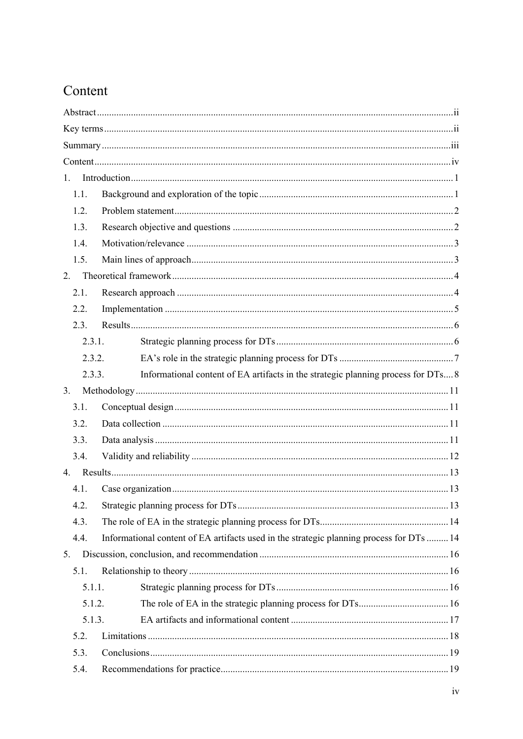## Content

| 1.     |                                                                                          |  |  |  |  |
|--------|------------------------------------------------------------------------------------------|--|--|--|--|
| 1.1.   |                                                                                          |  |  |  |  |
| 1.2.   |                                                                                          |  |  |  |  |
| 1.3.   |                                                                                          |  |  |  |  |
| 1.4.   |                                                                                          |  |  |  |  |
| 1.5.   |                                                                                          |  |  |  |  |
| 2.     |                                                                                          |  |  |  |  |
| 2.1.   |                                                                                          |  |  |  |  |
| 2.2.   |                                                                                          |  |  |  |  |
| 2.3.   |                                                                                          |  |  |  |  |
| 2.3.1. |                                                                                          |  |  |  |  |
| 2.3.2. |                                                                                          |  |  |  |  |
| 2.3.3. | Informational content of EA artifacts in the strategic planning process for DTs 8        |  |  |  |  |
| 3.     |                                                                                          |  |  |  |  |
| 3.1.   |                                                                                          |  |  |  |  |
| 3.2.   |                                                                                          |  |  |  |  |
| 3.3.   |                                                                                          |  |  |  |  |
| 3.4.   |                                                                                          |  |  |  |  |
|        |                                                                                          |  |  |  |  |
| 4.1.   |                                                                                          |  |  |  |  |
| 4.2.   |                                                                                          |  |  |  |  |
| 4.3.   |                                                                                          |  |  |  |  |
| 4.4.   | Informational content of EA artifacts used in the strategic planning process for DTs  14 |  |  |  |  |
| 5.     |                                                                                          |  |  |  |  |
| 5.1.   |                                                                                          |  |  |  |  |
| 5.1.1. |                                                                                          |  |  |  |  |
| 5.1.2. |                                                                                          |  |  |  |  |
| 5.1.3. |                                                                                          |  |  |  |  |
| 5.2.   |                                                                                          |  |  |  |  |
| 5.3.   |                                                                                          |  |  |  |  |
| 5.4.   |                                                                                          |  |  |  |  |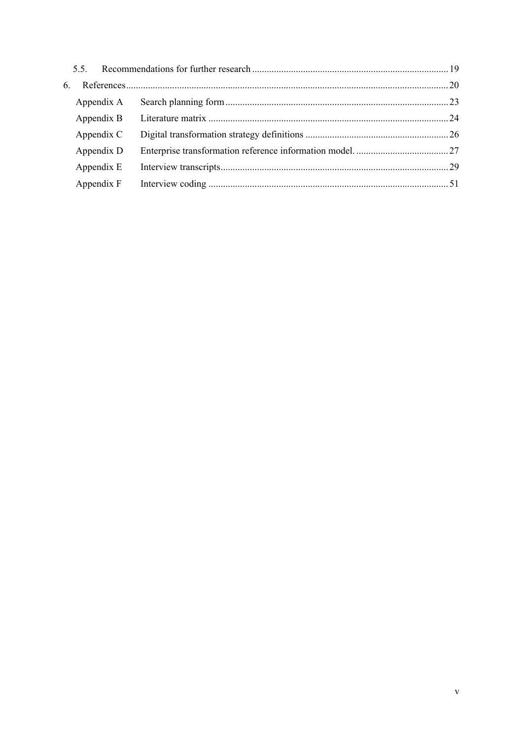| 6. |            |  |
|----|------------|--|
|    | Appendix A |  |
|    | Appendix B |  |
|    | Appendix C |  |
|    | Appendix D |  |
|    | Appendix E |  |
|    | Appendix F |  |
|    |            |  |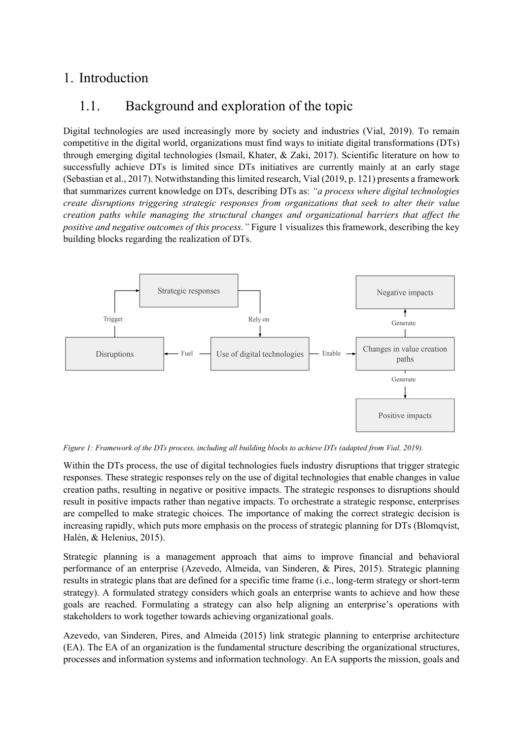#### 1. Introduction

#### 1.1. Background and exploration of the topic

Digital technologies are used increasingly more by society and industries (Vial, 2019). To remain competitive in the digital world, organizations must find ways to initiate digital transformations (DTs) through emerging digital technologies (Ismail, Khater, & Zaki, 2017). Scientific literature on how to successfully achieve DTs is limited since DTs initiatives are currently mainly at an early stage (Sebastian et al., 2017). Notwithstanding this limited research, Vial (2019, p. 121) presents a framework that summarizes current knowledge on DTs, describing DTs as: *"a process where digital technologies create disruptions triggering strategic responses from organizations that seek to alter their value creation paths while managing the structural changes and organizational barriers that affect the positive and negative outcomes of this process."* Figure 1 visualizes this framework, describing the key building blocks regarding the realization of DTs.



*Figure 1: Framework of the DTs process, including all building blocks to achieve DTs (adapted from Vial, 2019).* 

Within the DTs process, the use of digital technologies fuels industry disruptions that trigger strategic responses. These strategic responses rely on the use of digital technologies that enable changes in value creation paths, resulting in negative or positive impacts. The strategic responses to disruptions should result in positive impacts rather than negative impacts. To orchestrate a strategic response, enterprises are compelled to make strategic choices. The importance of making the correct strategic decision is increasing rapidly, which puts more emphasis on the process of strategic planning for DTs (Blomqvist, Halén, & Helenius, 2015).

Strategic planning is a management approach that aims to improve financial and behavioral performance of an enterprise (Azevedo, Almeida, van Sinderen, & Pires, 2015). Strategic planning results in strategic plans that are defined for a specific time frame (i.e., long-term strategy or short-term strategy). A formulated strategy considers which goals an enterprise wants to achieve and how these goals are reached. Formulating a strategy can also help aligning an enterprise's operations with stakeholders to work together towards achieving organizational goals.

Azevedo, van Sinderen, Pires, and Almeida (2015) link strategic planning to enterprise architecture (EA). The EA of an organization is the fundamental structure describing the organizational structures, processes and information systems and information technology. An EA supports the mission, goals and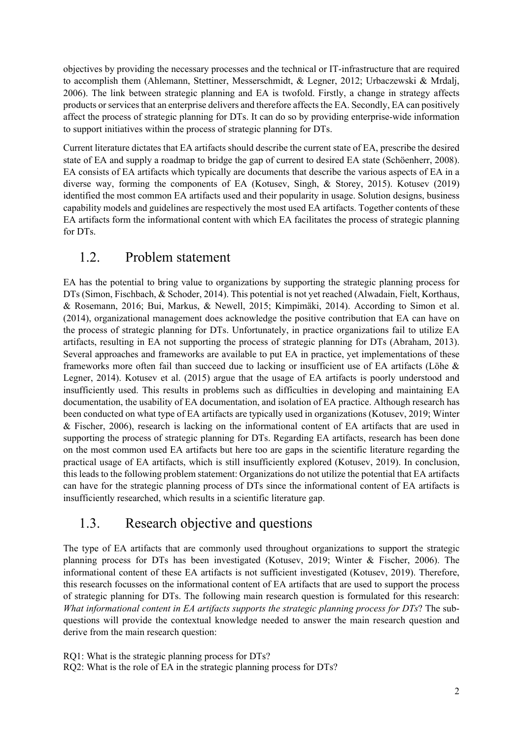objectives by providing the necessary processes and the technical or IT-infrastructure that are required to accomplish them (Ahlemann, Stettiner, Messerschmidt, & Legner, 2012; Urbaczewski & Mrdalj, 2006). The link between strategic planning and EA is twofold. Firstly, a change in strategy affects products or services that an enterprise delivers and therefore affects the EA. Secondly, EA can positively affect the process of strategic planning for DTs. It can do so by providing enterprise-wide information to support initiatives within the process of strategic planning for DTs.

Current literature dictates that EA artifacts should describe the current state of EA, prescribe the desired state of EA and supply a roadmap to bridge the gap of current to desired EA state (Schöenherr, 2008). EA consists of EA artifacts which typically are documents that describe the various aspects of EA in a diverse way, forming the components of EA (Kotusev, Singh, & Storey, 2015). Kotusev (2019) identified the most common EA artifacts used and their popularity in usage. Solution designs, business capability models and guidelines are respectively the most used EA artifacts. Together contents of these EA artifacts form the informational content with which EA facilitates the process of strategic planning for DTs.

#### 1.2. Problem statement

EA has the potential to bring value to organizations by supporting the strategic planning process for DTs (Simon, Fischbach, & Schoder, 2014). This potential is not yet reached (Alwadain, Fielt, Korthaus, & Rosemann, 2016; Bui, Markus, & Newell, 2015; Kimpimäki, 2014). According to Simon et al. (2014), organizational management does acknowledge the positive contribution that EA can have on the process of strategic planning for DTs. Unfortunately, in practice organizations fail to utilize EA artifacts, resulting in EA not supporting the process of strategic planning for DTs (Abraham, 2013). Several approaches and frameworks are available to put EA in practice, yet implementations of these frameworks more often fail than succeed due to lacking or insufficient use of EA artifacts (Löhe & Legner, 2014). Kotusev et al. (2015) argue that the usage of EA artifacts is poorly understood and insufficiently used. This results in problems such as difficulties in developing and maintaining EA documentation, the usability of EA documentation, and isolation of EA practice. Although research has been conducted on what type of EA artifacts are typically used in organizations (Kotusev, 2019; Winter & Fischer, 2006), research is lacking on the informational content of EA artifacts that are used in supporting the process of strategic planning for DTs. Regarding EA artifacts, research has been done on the most common used EA artifacts but here too are gaps in the scientific literature regarding the practical usage of EA artifacts, which is still insufficiently explored (Kotusev, 2019). In conclusion, this leads to the following problem statement: Organizations do not utilize the potential that EA artifacts can have for the strategic planning process of DTs since the informational content of EA artifacts is insufficiently researched, which results in a scientific literature gap.

#### 1.3. Research objective and questions

The type of EA artifacts that are commonly used throughout organizations to support the strategic planning process for DTs has been investigated (Kotusev, 2019; Winter & Fischer, 2006). The informational content of these EA artifacts is not sufficient investigated (Kotusev, 2019). Therefore, this research focusses on the informational content of EA artifacts that are used to support the process of strategic planning for DTs. The following main research question is formulated for this research: *What informational content in EA artifacts supports the strategic planning process for DTs*? The subquestions will provide the contextual knowledge needed to answer the main research question and derive from the main research question:

RQ1: What is the strategic planning process for DTs?

RQ2: What is the role of EA in the strategic planning process for DTs?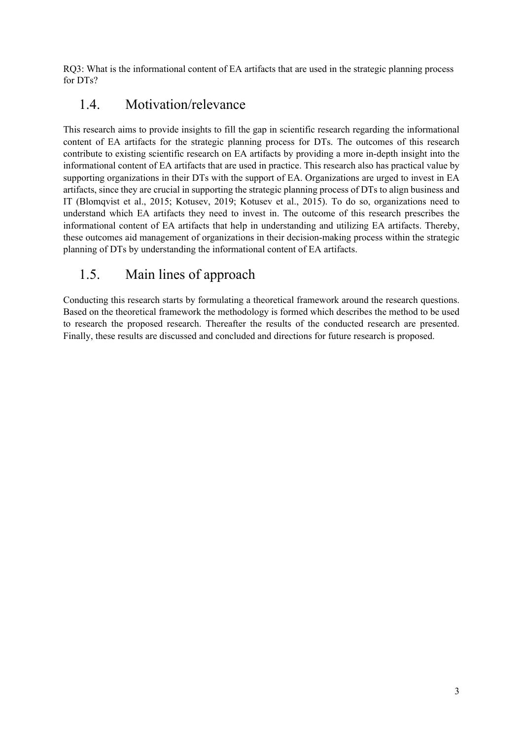RQ3: What is the informational content of EA artifacts that are used in the strategic planning process for DTs?

#### 1.4. Motivation/relevance

This research aims to provide insights to fill the gap in scientific research regarding the informational content of EA artifacts for the strategic planning process for DTs. The outcomes of this research contribute to existing scientific research on EA artifacts by providing a more in-depth insight into the informational content of EA artifacts that are used in practice. This research also has practical value by supporting organizations in their DTs with the support of EA. Organizations are urged to invest in EA artifacts, since they are crucial in supporting the strategic planning process of DTs to align business and IT (Blomqvist et al., 2015; Kotusev, 2019; Kotusev et al., 2015). To do so, organizations need to understand which EA artifacts they need to invest in. The outcome of this research prescribes the informational content of EA artifacts that help in understanding and utilizing EA artifacts. Thereby, these outcomes aid management of organizations in their decision-making process within the strategic planning of DTs by understanding the informational content of EA artifacts.

## 1.5. Main lines of approach

Conducting this research starts by formulating a theoretical framework around the research questions. Based on the theoretical framework the methodology is formed which describes the method to be used to research the proposed research. Thereafter the results of the conducted research are presented. Finally, these results are discussed and concluded and directions for future research is proposed.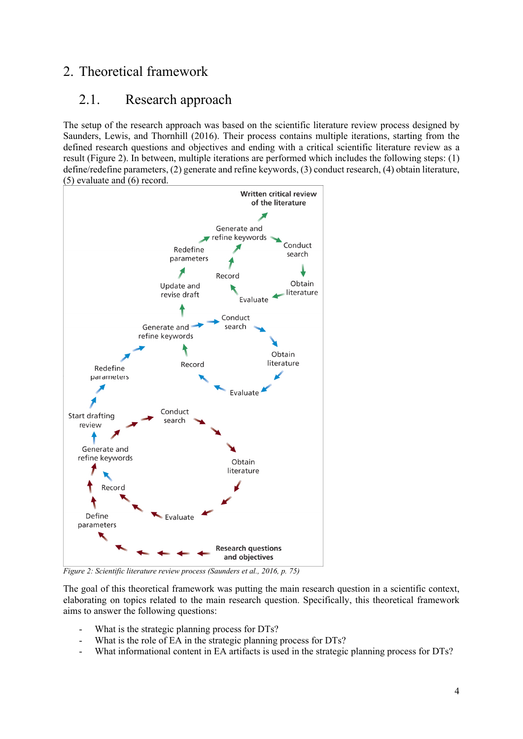#### 2. Theoretical framework

#### 2.1. Research approach

The setup of the research approach was based on the scientific literature review process designed by Saunders, Lewis, and Thornhill (2016). Their process contains multiple iterations, starting from the defined research questions and objectives and ending with a critical scientific literature review as a result (Figure 2). In between, multiple iterations are performed which includes the following steps: (1) define/redefine parameters, (2) generate and refine keywords, (3) conduct research, (4) obtain literature, (5) evaluate and (6) record.



*Figure 2: Scientific literature review process (Saunders et al., 2016, p. 75)* 

The goal of this theoretical framework was putting the main research question in a scientific context, elaborating on topics related to the main research question. Specifically, this theoretical framework aims to answer the following questions:

- What is the strategic planning process for DTs?
- What is the role of EA in the strategic planning process for DTs?
- What informational content in EA artifacts is used in the strategic planning process for DTs?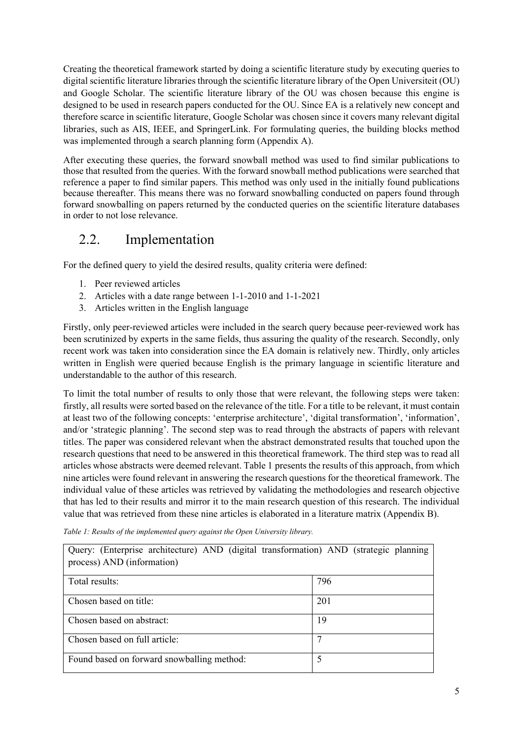Creating the theoretical framework started by doing a scientific literature study by executing queries to digital scientific literature libraries through the scientific literature library of the Open Universiteit (OU) and Google Scholar. The scientific literature library of the OU was chosen because this engine is designed to be used in research papers conducted for the OU. Since EA is a relatively new concept and therefore scarce in scientific literature, Google Scholar was chosen since it covers many relevant digital libraries, such as AIS, IEEE, and SpringerLink. For formulating queries, the building blocks method was implemented through a search planning form (Appendix A).

After executing these queries, the forward snowball method was used to find similar publications to those that resulted from the queries. With the forward snowball method publications were searched that reference a paper to find similar papers. This method was only used in the initially found publications because thereafter. This means there was no forward snowballing conducted on papers found through forward snowballing on papers returned by the conducted queries on the scientific literature databases in order to not lose relevance.

#### 2.2. Implementation

For the defined query to yield the desired results, quality criteria were defined:

- 1. Peer reviewed articles
- 2. Articles with a date range between 1-1-2010 and 1-1-2021
- 3. Articles written in the English language

Firstly, only peer-reviewed articles were included in the search query because peer-reviewed work has been scrutinized by experts in the same fields, thus assuring the quality of the research. Secondly, only recent work was taken into consideration since the EA domain is relatively new. Thirdly, only articles written in English were queried because English is the primary language in scientific literature and understandable to the author of this research.

To limit the total number of results to only those that were relevant, the following steps were taken: firstly, all results were sorted based on the relevance of the title. For a title to be relevant, it must contain at least two of the following concepts: 'enterprise architecture', 'digital transformation', 'information', and/or 'strategic planning'. The second step was to read through the abstracts of papers with relevant titles. The paper was considered relevant when the abstract demonstrated results that touched upon the research questions that need to be answered in this theoretical framework. The third step was to read all articles whose abstracts were deemed relevant. Table 1 presents the results of this approach, from which nine articles were found relevant in answering the research questions for the theoretical framework. The individual value of these articles was retrieved by validating the methodologies and research objective that has led to their results and mirror it to the main research question of this research. The individual value that was retrieved from these nine articles is elaborated in a literature matrix (Appendix B).

| Query: (Enterprise architecture) AND (digital transformation) AND (strategic planning<br>process) AND (information) |     |  |  |  |  |
|---------------------------------------------------------------------------------------------------------------------|-----|--|--|--|--|
| Total results:                                                                                                      | 796 |  |  |  |  |
| Chosen based on title:                                                                                              | 201 |  |  |  |  |
| Chosen based on abstract:                                                                                           | 19  |  |  |  |  |
| Chosen based on full article:                                                                                       |     |  |  |  |  |
| Found based on forward snowballing method:                                                                          | 5   |  |  |  |  |

*Table 1: Results of the implemented query against the Open University library.*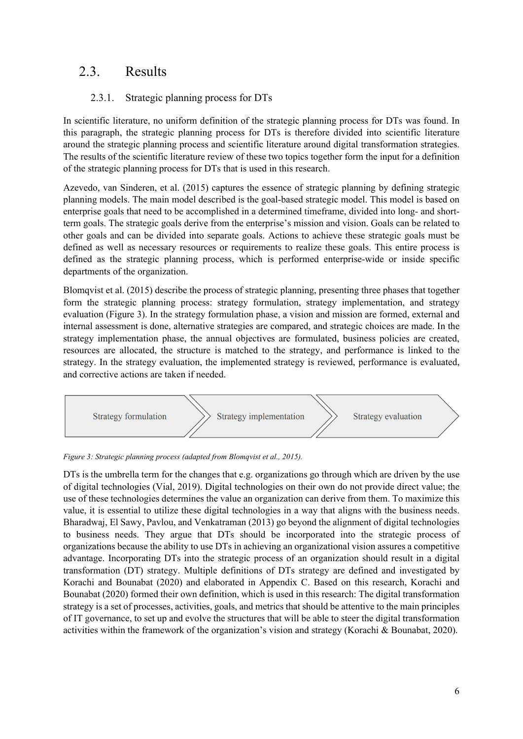#### 2.3. Results

#### 2.3.1. Strategic planning process for DTs

In scientific literature, no uniform definition of the strategic planning process for DTs was found. In this paragraph, the strategic planning process for DTs is therefore divided into scientific literature around the strategic planning process and scientific literature around digital transformation strategies. The results of the scientific literature review of these two topics together form the input for a definition of the strategic planning process for DTs that is used in this research.

Azevedo, van Sinderen, et al. (2015) captures the essence of strategic planning by defining strategic planning models. The main model described is the goal-based strategic model. This model is based on enterprise goals that need to be accomplished in a determined timeframe, divided into long- and shortterm goals. The strategic goals derive from the enterprise's mission and vision. Goals can be related to other goals and can be divided into separate goals. Actions to achieve these strategic goals must be defined as well as necessary resources or requirements to realize these goals. This entire process is defined as the strategic planning process, which is performed enterprise-wide or inside specific departments of the organization.

Blomqvist et al. (2015) describe the process of strategic planning, presenting three phases that together form the strategic planning process: strategy formulation, strategy implementation, and strategy evaluation (Figure 3). In the strategy formulation phase, a vision and mission are formed, external and internal assessment is done, alternative strategies are compared, and strategic choices are made. In the strategy implementation phase, the annual objectives are formulated, business policies are created, resources are allocated, the structure is matched to the strategy, and performance is linked to the strategy. In the strategy evaluation, the implemented strategy is reviewed, performance is evaluated, and corrective actions are taken if needed.



*Figure 3: Strategic planning process (adapted from Blomqvist et al., 2015).* 

DTs is the umbrella term for the changes that e.g. organizations go through which are driven by the use of digital technologies (Vial, 2019). Digital technologies on their own do not provide direct value; the use of these technologies determines the value an organization can derive from them. To maximize this value, it is essential to utilize these digital technologies in a way that aligns with the business needs. Bharadwaj, El Sawy, Pavlou, and Venkatraman (2013) go beyond the alignment of digital technologies to business needs. They argue that DTs should be incorporated into the strategic process of organizations because the ability to use DTs in achieving an organizational vision assures a competitive advantage. Incorporating DTs into the strategic process of an organization should result in a digital transformation (DT) strategy. Multiple definitions of DTs strategy are defined and investigated by Korachi and Bounabat (2020) and elaborated in Appendix C. Based on this research, Korachi and Bounabat (2020) formed their own definition, which is used in this research: The digital transformation strategy is a set of processes, activities, goals, and metrics that should be attentive to the main principles of IT governance, to set up and evolve the structures that will be able to steer the digital transformation activities within the framework of the organization's vision and strategy (Korachi & Bounabat, 2020).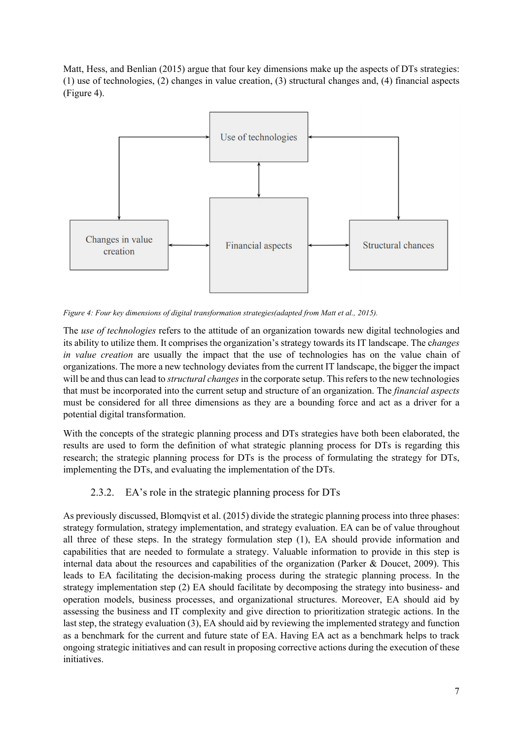Matt, Hess, and Benlian (2015) argue that four key dimensions make up the aspects of DTs strategies: (1) use of technologies, (2) changes in value creation, (3) structural changes and, (4) financial aspects (Figure 4).



*Figure 4: Four key dimensions of digital transformation strategies(adapted from Matt et al., 2015).* 

The *use of technologies* refers to the attitude of an organization towards new digital technologies and its ability to utilize them. It comprises the organization's strategy towards its IT landscape. The c*hanges in value creation* are usually the impact that the use of technologies has on the value chain of organizations. The more a new technology deviates from the current IT landscape, the bigger the impact will be and thus can lead to *structural changes* in the corporate setup. This refers to the new technologies that must be incorporated into the current setup and structure of an organization. The *financial aspects* must be considered for all three dimensions as they are a bounding force and act as a driver for a potential digital transformation.

With the concepts of the strategic planning process and DTs strategies have both been elaborated, the results are used to form the definition of what strategic planning process for DTs is regarding this research; the strategic planning process for DTs is the process of formulating the strategy for DTs, implementing the DTs, and evaluating the implementation of the DTs.

#### 2.3.2. EA's role in the strategic planning process for DTs

As previously discussed, Blomqvist et al. (2015) divide the strategic planning process into three phases: strategy formulation, strategy implementation, and strategy evaluation. EA can be of value throughout all three of these steps. In the strategy formulation step (1), EA should provide information and capabilities that are needed to formulate a strategy. Valuable information to provide in this step is internal data about the resources and capabilities of the organization (Parker & Doucet, 2009). This leads to EA facilitating the decision-making process during the strategic planning process. In the strategy implementation step (2) EA should facilitate by decomposing the strategy into business- and operation models, business processes, and organizational structures. Moreover, EA should aid by assessing the business and IT complexity and give direction to prioritization strategic actions. In the last step, the strategy evaluation (3), EA should aid by reviewing the implemented strategy and function as a benchmark for the current and future state of EA. Having EA act as a benchmark helps to track ongoing strategic initiatives and can result in proposing corrective actions during the execution of these initiatives.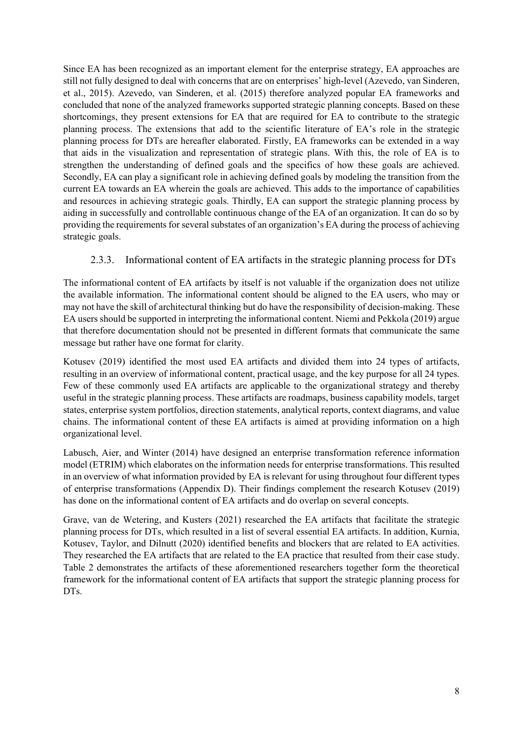Since EA has been recognized as an important element for the enterprise strategy, EA approaches are still not fully designed to deal with concerns that are on enterprises' high-level (Azevedo, van Sinderen, et al., 2015). Azevedo, van Sinderen, et al. (2015) therefore analyzed popular EA frameworks and concluded that none of the analyzed frameworks supported strategic planning concepts. Based on these shortcomings, they present extensions for EA that are required for EA to contribute to the strategic planning process. The extensions that add to the scientific literature of EA's role in the strategic planning process for DTs are hereafter elaborated. Firstly, EA frameworks can be extended in a way that aids in the visualization and representation of strategic plans. With this, the role of EA is to strengthen the understanding of defined goals and the specifics of how these goals are achieved. Secondly, EA can play a significant role in achieving defined goals by modeling the transition from the current EA towards an EA wherein the goals are achieved. This adds to the importance of capabilities and resources in achieving strategic goals. Thirdly, EA can support the strategic planning process by aiding in successfully and controllable continuous change of the EA of an organization. It can do so by providing the requirements for several substates of an organization's EA during the process of achieving strategic goals.

#### 2.3.3. Informational content of EA artifacts in the strategic planning process for DTs

The informational content of EA artifacts by itself is not valuable if the organization does not utilize the available information. The informational content should be aligned to the EA users, who may or may not have the skill of architectural thinking but do have the responsibility of decision-making. These EA users should be supported in interpreting the informational content. Niemi and Pekkola (2019) argue that therefore documentation should not be presented in different formats that communicate the same message but rather have one format for clarity.

Kotusev (2019) identified the most used EA artifacts and divided them into 24 types of artifacts, resulting in an overview of informational content, practical usage, and the key purpose for all 24 types. Few of these commonly used EA artifacts are applicable to the organizational strategy and thereby useful in the strategic planning process. These artifacts are roadmaps, business capability models, target states, enterprise system portfolios, direction statements, analytical reports, context diagrams, and value chains. The informational content of these EA artifacts is aimed at providing information on a high organizational level.

Labusch, Aier, and Winter (2014) have designed an enterprise transformation reference information model (ETRIM) which elaborates on the information needs for enterprise transformations. This resulted in an overview of what information provided by EA is relevant for using throughout four different types of enterprise transformations (Appendix D). Their findings complement the research Kotusev (2019) has done on the informational content of EA artifacts and do overlap on several concepts.

Grave, van de Wetering, and Kusters (2021) researched the EA artifacts that facilitate the strategic planning process for DTs, which resulted in a list of several essential EA artifacts. In addition, Kurnia, Kotusev, Taylor, and Dilnutt (2020) identified benefits and blockers that are related to EA activities. They researched the EA artifacts that are related to the EA practice that resulted from their case study. Table 2 demonstrates the artifacts of these aforementioned researchers together form the theoretical framework for the informational content of EA artifacts that support the strategic planning process for DT<sub>s</sub>.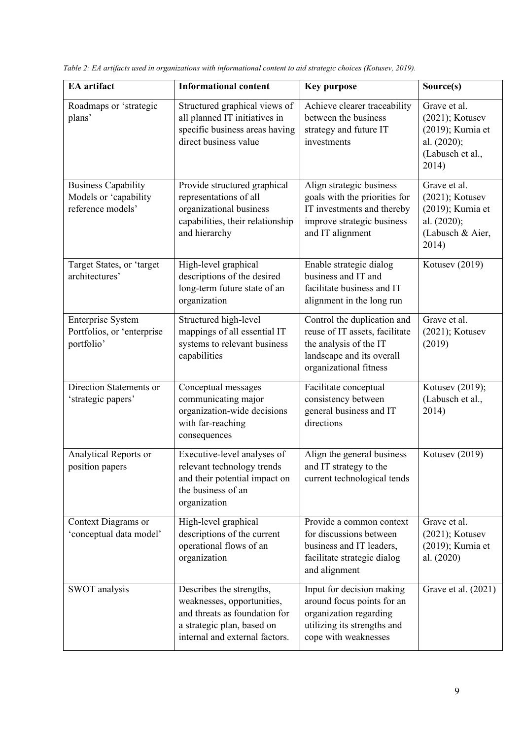| <b>EA</b> artifact                                                       | <b>Informational content</b>                                                                                                                            | <b>Key purpose</b>                                                                                                                             | Source(s)                                                                                           |
|--------------------------------------------------------------------------|---------------------------------------------------------------------------------------------------------------------------------------------------------|------------------------------------------------------------------------------------------------------------------------------------------------|-----------------------------------------------------------------------------------------------------|
| Roadmaps or 'strategic<br>plans'                                         | Structured graphical views of<br>all planned IT initiatives in<br>specific business areas having<br>direct business value                               | Achieve clearer traceability<br>between the business<br>strategy and future IT<br>investments                                                  | Grave et al.<br>$(2021)$ ; Kotusev<br>(2019); Kurnia et<br>al. (2020);<br>(Labusch et al.,<br>2014) |
| <b>Business Capability</b><br>Models or 'capability<br>reference models' | Provide structured graphical<br>representations of all<br>organizational business<br>capabilities, their relationship<br>and hierarchy                  | Align strategic business<br>goals with the priorities for<br>IT investments and thereby<br>improve strategic business<br>and IT alignment      | Grave et al.<br>$(2021)$ ; Kotusev<br>(2019); Kurnia et<br>al. (2020);<br>(Labusch & Aier,<br>2014) |
| Target States, or 'target<br>architectures'                              | High-level graphical<br>descriptions of the desired<br>long-term future state of an<br>organization                                                     | Enable strategic dialog<br>business and IT and<br>facilitate business and IT<br>alignment in the long run                                      | Kotusev (2019)                                                                                      |
| <b>Enterprise System</b><br>Portfolios, or 'enterprise<br>portfolio'     | Structured high-level<br>mappings of all essential IT<br>systems to relevant business<br>capabilities                                                   | Control the duplication and<br>reuse of IT assets, facilitate<br>the analysis of the IT<br>landscape and its overall<br>organizational fitness | Grave et al.<br>$(2021)$ ; Kotusev<br>(2019)                                                        |
| Direction Statements or<br>'strategic papers'                            | Conceptual messages<br>communicating major<br>organization-wide decisions<br>with far-reaching<br>consequences                                          | Facilitate conceptual<br>consistency between<br>general business and IT<br>directions                                                          | Kotusev (2019);<br>(Labusch et al.,<br>2014)                                                        |
| Analytical Reports or<br>position papers                                 | Executive-level analyses of<br>relevant technology trends<br>and their potential impact on<br>the business of an<br>organization                        | Align the general business<br>and IT strategy to the<br>current technological tends                                                            | Kotusev (2019)                                                                                      |
| Context Diagrams or<br>'conceptual data model'                           | High-level graphical<br>descriptions of the current<br>operational flows of an<br>organization                                                          | Provide a common context<br>for discussions between<br>business and IT leaders,<br>facilitate strategic dialog<br>and alignment                | Grave et al.<br>$(2021)$ ; Kotusev<br>(2019); Kurnia et<br>al. (2020)                               |
| SWOT analysis                                                            | Describes the strengths,<br>weaknesses, opportunities,<br>and threats as foundation for<br>a strategic plan, based on<br>internal and external factors. | Input for decision making<br>around focus points for an<br>organization regarding<br>utilizing its strengths and<br>cope with weaknesses       | Grave et al. (2021)                                                                                 |

*Table 2: EA artifacts used in organizations with informational content to aid strategic choices (Kotusev, 2019).*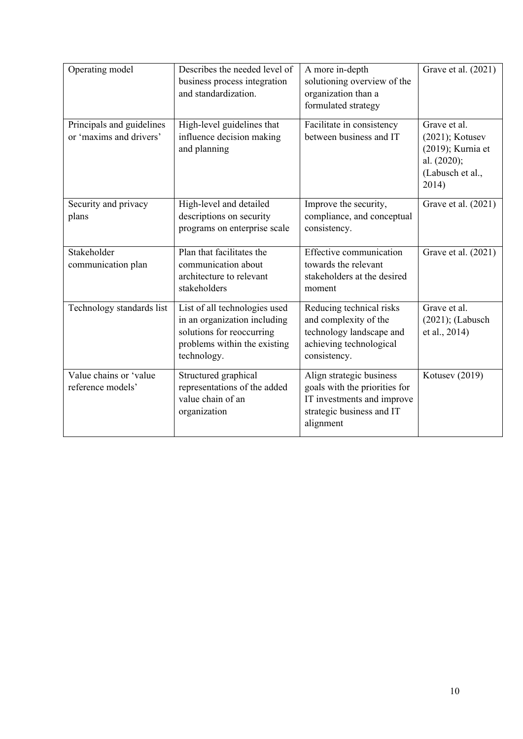| Operating model                                      | Describes the needed level of<br>business process integration<br>and standardization.                                                     | A more in-depth<br>solutioning overview of the<br>organization than a<br>formulated strategy                                      | Grave et al. (2021)                                                                                 |
|------------------------------------------------------|-------------------------------------------------------------------------------------------------------------------------------------------|-----------------------------------------------------------------------------------------------------------------------------------|-----------------------------------------------------------------------------------------------------|
| Principals and guidelines<br>or 'maxims and drivers' | High-level guidelines that<br>influence decision making<br>and planning                                                                   | Facilitate in consistency<br>between business and IT                                                                              | Grave et al.<br>$(2021)$ ; Kotusev<br>(2019); Kurnia et<br>al. (2020);<br>(Labusch et al.,<br>2014) |
| Security and privacy<br>plans                        | High-level and detailed<br>descriptions on security<br>programs on enterprise scale                                                       | Improve the security,<br>compliance, and conceptual<br>consistency.                                                               | Grave et al. (2021)                                                                                 |
| Stakeholder<br>communication plan                    | Plan that facilitates the<br>communication about<br>architecture to relevant<br>stakeholders                                              | <b>Effective communication</b><br>towards the relevant<br>stakeholders at the desired<br>moment                                   | Grave et al. (2021)                                                                                 |
| Technology standards list                            | List of all technologies used<br>in an organization including<br>solutions for reoccurring<br>problems within the existing<br>technology. | Reducing technical risks<br>and complexity of the<br>technology landscape and<br>achieving technological<br>consistency.          | Grave et al.<br>$(2021)$ ; (Labusch<br>et al., 2014)                                                |
| Value chains or 'value<br>reference models'          | Structured graphical<br>representations of the added<br>value chain of an<br>organization                                                 | Align strategic business<br>goals with the priorities for<br>IT investments and improve<br>strategic business and IT<br>alignment | Kotusev (2019)                                                                                      |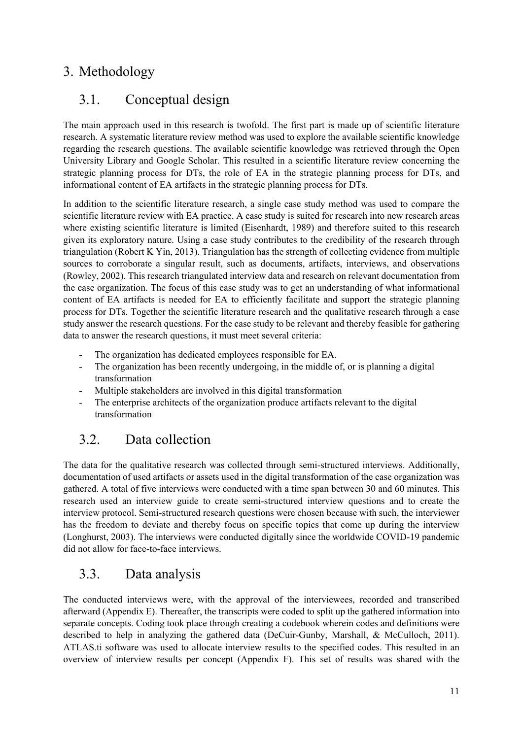#### 3. Methodology

#### 3.1. Conceptual design

The main approach used in this research is twofold. The first part is made up of scientific literature research. A systematic literature review method was used to explore the available scientific knowledge regarding the research questions. The available scientific knowledge was retrieved through the Open University Library and Google Scholar. This resulted in a scientific literature review concerning the strategic planning process for DTs, the role of EA in the strategic planning process for DTs, and informational content of EA artifacts in the strategic planning process for DTs.

In addition to the scientific literature research, a single case study method was used to compare the scientific literature review with EA practice. A case study is suited for research into new research areas where existing scientific literature is limited (Eisenhardt, 1989) and therefore suited to this research given its exploratory nature. Using a case study contributes to the credibility of the research through triangulation (Robert K Yin, 2013). Triangulation has the strength of collecting evidence from multiple sources to corroborate a singular result, such as documents, artifacts, interviews, and observations (Rowley, 2002). This research triangulated interview data and research on relevant documentation from the case organization. The focus of this case study was to get an understanding of what informational content of EA artifacts is needed for EA to efficiently facilitate and support the strategic planning process for DTs. Together the scientific literature research and the qualitative research through a case study answer the research questions. For the case study to be relevant and thereby feasible for gathering data to answer the research questions, it must meet several criteria:

- The organization has dedicated employees responsible for EA.
- The organization has been recently undergoing, in the middle of, or is planning a digital transformation
- Multiple stakeholders are involved in this digital transformation
- The enterprise architects of the organization produce artifacts relevant to the digital transformation

#### 3.2. Data collection

The data for the qualitative research was collected through semi-structured interviews. Additionally, documentation of used artifacts or assets used in the digital transformation of the case organization was gathered. A total of five interviews were conducted with a time span between 30 and 60 minutes. This research used an interview guide to create semi-structured interview questions and to create the interview protocol. Semi-structured research questions were chosen because with such, the interviewer has the freedom to deviate and thereby focus on specific topics that come up during the interview (Longhurst, 2003). The interviews were conducted digitally since the worldwide COVID-19 pandemic did not allow for face-to-face interviews.

#### 3.3. Data analysis

The conducted interviews were, with the approval of the interviewees, recorded and transcribed afterward (Appendix E). Thereafter, the transcripts were coded to split up the gathered information into separate concepts. Coding took place through creating a codebook wherein codes and definitions were described to help in analyzing the gathered data (DeCuir-Gunby, Marshall, & McCulloch, 2011). ATLAS.ti software was used to allocate interview results to the specified codes. This resulted in an overview of interview results per concept (Appendix F). This set of results was shared with the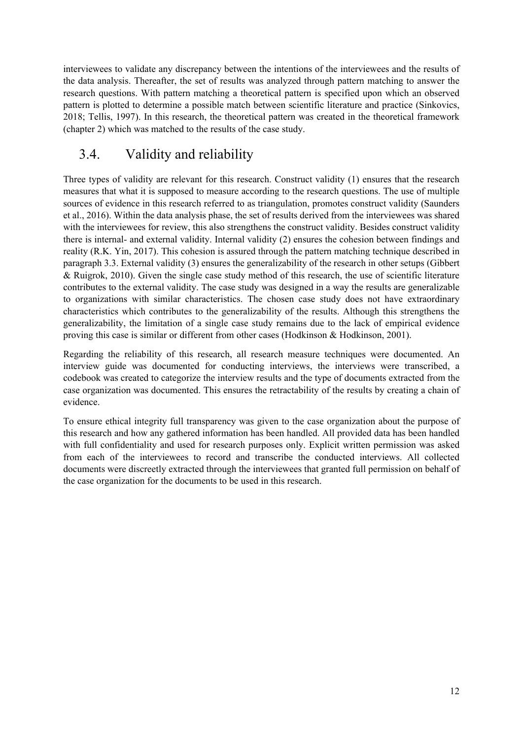interviewees to validate any discrepancy between the intentions of the interviewees and the results of the data analysis. Thereafter, the set of results was analyzed through pattern matching to answer the research questions. With pattern matching a theoretical pattern is specified upon which an observed pattern is plotted to determine a possible match between scientific literature and practice (Sinkovics, 2018; Tellis, 1997). In this research, the theoretical pattern was created in the theoretical framework (chapter 2) which was matched to the results of the case study.

## 3.4. Validity and reliability

Three types of validity are relevant for this research. Construct validity (1) ensures that the research measures that what it is supposed to measure according to the research questions. The use of multiple sources of evidence in this research referred to as triangulation, promotes construct validity (Saunders et al., 2016). Within the data analysis phase, the set of results derived from the interviewees was shared with the interviewees for review, this also strengthens the construct validity. Besides construct validity there is internal- and external validity. Internal validity (2) ensures the cohesion between findings and reality (R.K. Yin, 2017). This cohesion is assured through the pattern matching technique described in paragraph 3.3. External validity (3) ensures the generalizability of the research in other setups (Gibbert & Ruigrok, 2010). Given the single case study method of this research, the use of scientific literature contributes to the external validity. The case study was designed in a way the results are generalizable to organizations with similar characteristics. The chosen case study does not have extraordinary characteristics which contributes to the generalizability of the results. Although this strengthens the generalizability, the limitation of a single case study remains due to the lack of empirical evidence proving this case is similar or different from other cases (Hodkinson & Hodkinson, 2001).

Regarding the reliability of this research, all research measure techniques were documented. An interview guide was documented for conducting interviews, the interviews were transcribed, a codebook was created to categorize the interview results and the type of documents extracted from the case organization was documented. This ensures the retractability of the results by creating a chain of evidence.

To ensure ethical integrity full transparency was given to the case organization about the purpose of this research and how any gathered information has been handled. All provided data has been handled with full confidentiality and used for research purposes only. Explicit written permission was asked from each of the interviewees to record and transcribe the conducted interviews. All collected documents were discreetly extracted through the interviewees that granted full permission on behalf of the case organization for the documents to be used in this research.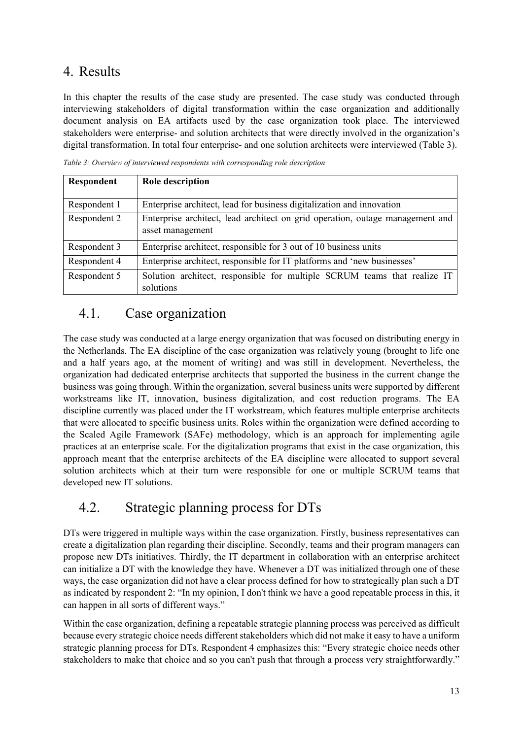#### 4. Results

In this chapter the results of the case study are presented. The case study was conducted through interviewing stakeholders of digital transformation within the case organization and additionally document analysis on EA artifacts used by the case organization took place. The interviewed stakeholders were enterprise- and solution architects that were directly involved in the organization's digital transformation. In total four enterprise- and one solution architects were interviewed (Table 3).

*Table 3: Overview of interviewed respondents with corresponding role description* 

| Respondent   | Role description                                                                                  |  |  |  |  |
|--------------|---------------------------------------------------------------------------------------------------|--|--|--|--|
|              |                                                                                                   |  |  |  |  |
| Respondent 1 | Enterprise architect, lead for business digitalization and innovation                             |  |  |  |  |
| Respondent 2 | Enterprise architect, lead architect on grid operation, outage management and<br>asset management |  |  |  |  |
| Respondent 3 | Enterprise architect, responsible for 3 out of 10 business units                                  |  |  |  |  |
| Respondent 4 | Enterprise architect, responsible for IT platforms and 'new businesses'                           |  |  |  |  |
| Respondent 5 | Solution architect, responsible for multiple SCRUM teams that realize IT<br>solutions             |  |  |  |  |

#### 4.1. Case organization

The case study was conducted at a large energy organization that was focused on distributing energy in the Netherlands. The EA discipline of the case organization was relatively young (brought to life one and a half years ago, at the moment of writing) and was still in development. Nevertheless, the organization had dedicated enterprise architects that supported the business in the current change the business was going through. Within the organization, several business units were supported by different workstreams like IT, innovation, business digitalization, and cost reduction programs. The EA discipline currently was placed under the IT workstream, which features multiple enterprise architects that were allocated to specific business units. Roles within the organization were defined according to the Scaled Agile Framework (SAFe) methodology, which is an approach for implementing agile practices at an enterprise scale. For the digitalization programs that exist in the case organization, this approach meant that the enterprise architects of the EA discipline were allocated to support several solution architects which at their turn were responsible for one or multiple SCRUM teams that developed new IT solutions.

#### 4.2. Strategic planning process for DTs

DTs were triggered in multiple ways within the case organization. Firstly, business representatives can create a digitalization plan regarding their discipline. Secondly, teams and their program managers can propose new DTs initiatives. Thirdly, the IT department in collaboration with an enterprise architect can initialize a DT with the knowledge they have. Whenever a DT was initialized through one of these ways, the case organization did not have a clear process defined for how to strategically plan such a DT as indicated by respondent 2: "In my opinion, I don't think we have a good repeatable process in this, it can happen in all sorts of different ways."

Within the case organization, defining a repeatable strategic planning process was perceived as difficult because every strategic choice needs different stakeholders which did not make it easy to have a uniform strategic planning process for DTs. Respondent 4 emphasizes this: "Every strategic choice needs other stakeholders to make that choice and so you can't push that through a process very straightforwardly."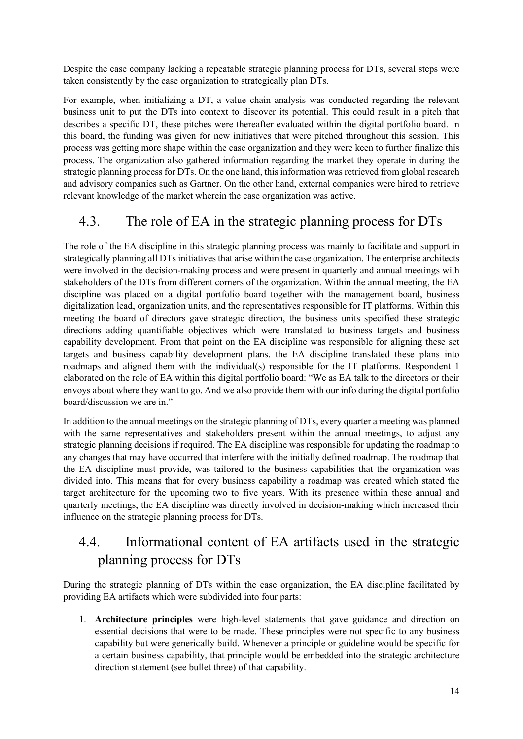Despite the case company lacking a repeatable strategic planning process for DTs, several steps were taken consistently by the case organization to strategically plan DTs.

For example, when initializing a DT, a value chain analysis was conducted regarding the relevant business unit to put the DTs into context to discover its potential. This could result in a pitch that describes a specific DT, these pitches were thereafter evaluated within the digital portfolio board. In this board, the funding was given for new initiatives that were pitched throughout this session. This process was getting more shape within the case organization and they were keen to further finalize this process. The organization also gathered information regarding the market they operate in during the strategic planning process for DTs. On the one hand, this information was retrieved from global research and advisory companies such as Gartner. On the other hand, external companies were hired to retrieve relevant knowledge of the market wherein the case organization was active.

#### 4.3. The role of EA in the strategic planning process for DTs

The role of the EA discipline in this strategic planning process was mainly to facilitate and support in strategically planning all DTs initiatives that arise within the case organization. The enterprise architects were involved in the decision-making process and were present in quarterly and annual meetings with stakeholders of the DTs from different corners of the organization. Within the annual meeting, the EA discipline was placed on a digital portfolio board together with the management board, business digitalization lead, organization units, and the representatives responsible for IT platforms. Within this meeting the board of directors gave strategic direction, the business units specified these strategic directions adding quantifiable objectives which were translated to business targets and business capability development. From that point on the EA discipline was responsible for aligning these set targets and business capability development plans. the EA discipline translated these plans into roadmaps and aligned them with the individual(s) responsible for the IT platforms. Respondent 1 elaborated on the role of EA within this digital portfolio board: "We as EA talk to the directors or their envoys about where they want to go. And we also provide them with our info during the digital portfolio board/discussion we are in."

In addition to the annual meetings on the strategic planning of DTs, every quarter a meeting was planned with the same representatives and stakeholders present within the annual meetings, to adjust any strategic planning decisions if required. The EA discipline was responsible for updating the roadmap to any changes that may have occurred that interfere with the initially defined roadmap. The roadmap that the EA discipline must provide, was tailored to the business capabilities that the organization was divided into. This means that for every business capability a roadmap was created which stated the target architecture for the upcoming two to five years. With its presence within these annual and quarterly meetings, the EA discipline was directly involved in decision-making which increased their influence on the strategic planning process for DTs.

### 4.4. Informational content of EA artifacts used in the strategic planning process for DTs

During the strategic planning of DTs within the case organization, the EA discipline facilitated by providing EA artifacts which were subdivided into four parts:

1. **Architecture principles** were high-level statements that gave guidance and direction on essential decisions that were to be made. These principles were not specific to any business capability but were generically build. Whenever a principle or guideline would be specific for a certain business capability, that principle would be embedded into the strategic architecture direction statement (see bullet three) of that capability.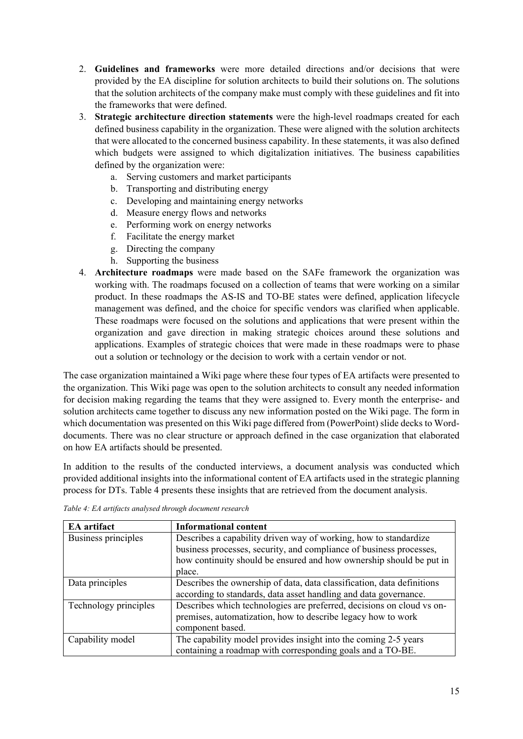- 2. **Guidelines and frameworks** were more detailed directions and/or decisions that were provided by the EA discipline for solution architects to build their solutions on. The solutions that the solution architects of the company make must comply with these guidelines and fit into the frameworks that were defined.
- 3. **Strategic architecture direction statements** were the high-level roadmaps created for each defined business capability in the organization. These were aligned with the solution architects that were allocated to the concerned business capability. In these statements, it was also defined which budgets were assigned to which digitalization initiatives. The business capabilities defined by the organization were:
	- a. Serving customers and market participants
	- b. Transporting and distributing energy
	- c. Developing and maintaining energy networks
	- d. Measure energy flows and networks
	- e. Performing work on energy networks
	- f. Facilitate the energy market
	- g. Directing the company
	- h. Supporting the business
- 4. **Architecture roadmaps** were made based on the SAFe framework the organization was working with. The roadmaps focused on a collection of teams that were working on a similar product. In these roadmaps the AS-IS and TO-BE states were defined, application lifecycle management was defined, and the choice for specific vendors was clarified when applicable. These roadmaps were focused on the solutions and applications that were present within the organization and gave direction in making strategic choices around these solutions and applications. Examples of strategic choices that were made in these roadmaps were to phase out a solution or technology or the decision to work with a certain vendor or not.

The case organization maintained a Wiki page where these four types of EA artifacts were presented to the organization. This Wiki page was open to the solution architects to consult any needed information for decision making regarding the teams that they were assigned to. Every month the enterprise- and solution architects came together to discuss any new information posted on the Wiki page. The form in which documentation was presented on this Wiki page differed from (PowerPoint) slide decks to Worddocuments. There was no clear structure or approach defined in the case organization that elaborated on how EA artifacts should be presented.

In addition to the results of the conducted interviews, a document analysis was conducted which provided additional insights into the informational content of EA artifacts used in the strategic planning process for DTs. Table 4 presents these insights that are retrieved from the document analysis.

| <b>EA</b> artifact    | <b>Informational content</b>                                           |
|-----------------------|------------------------------------------------------------------------|
| Business principles   | Describes a capability driven way of working, how to standardize       |
|                       | business processes, security, and compliance of business processes,    |
|                       | how continuity should be ensured and how ownership should be put in    |
|                       | place.                                                                 |
| Data principles       | Describes the ownership of data, data classification, data definitions |
|                       | according to standards, data asset handling and data governance.       |
| Technology principles | Describes which technologies are preferred, decisions on cloud vs on-  |
|                       | premises, automatization, how to describe legacy how to work           |
|                       | component based.                                                       |
| Capability model      | The capability model provides insight into the coming 2-5 years        |
|                       | containing a roadmap with corresponding goals and a TO-BE.             |

*Table 4: EA artifacts analysed through document research*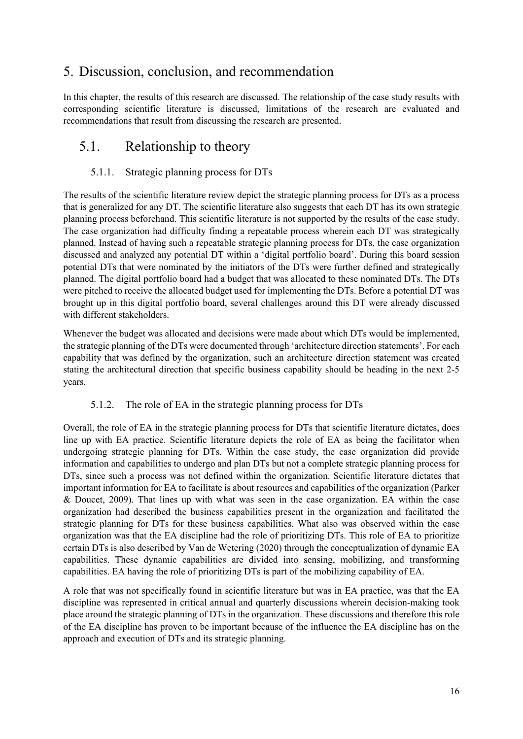#### 5. Discussion, conclusion, and recommendation

In this chapter, the results of this research are discussed. The relationship of the case study results with corresponding scientific literature is discussed, limitations of the research are evaluated and recommendations that result from discussing the research are presented.

#### 5.1. Relationship to theory

#### 5.1.1. Strategic planning process for DTs

The results of the scientific literature review depict the strategic planning process for DTs as a process that is generalized for any DT. The scientific literature also suggests that each DT has its own strategic planning process beforehand. This scientific literature is not supported by the results of the case study. The case organization had difficulty finding a repeatable process wherein each DT was strategically planned. Instead of having such a repeatable strategic planning process for DTs, the case organization discussed and analyzed any potential DT within a 'digital portfolio board'. During this board session potential DTs that were nominated by the initiators of the DTs were further defined and strategically planned. The digital portfolio board had a budget that was allocated to these nominated DTs. The DTs were pitched to receive the allocated budget used for implementing the DTs. Before a potential DT was brought up in this digital portfolio board, several challenges around this DT were already discussed with different stakeholders.

Whenever the budget was allocated and decisions were made about which DTs would be implemented, the strategic planning of the DTs were documented through 'architecture direction statements'. For each capability that was defined by the organization, such an architecture direction statement was created stating the architectural direction that specific business capability should be heading in the next 2-5 years.

#### 5.1.2. The role of EA in the strategic planning process for DTs

Overall, the role of EA in the strategic planning process for DTs that scientific literature dictates, does line up with EA practice. Scientific literature depicts the role of EA as being the facilitator when undergoing strategic planning for DTs. Within the case study, the case organization did provide information and capabilities to undergo and plan DTs but not a complete strategic planning process for DTs, since such a process was not defined within the organization. Scientific literature dictates that important information for EA to facilitate is about resources and capabilities of the organization (Parker & Doucet, 2009). That lines up with what was seen in the case organization. EA within the case organization had described the business capabilities present in the organization and facilitated the strategic planning for DTs for these business capabilities. What also was observed within the case organization was that the EA discipline had the role of prioritizing DTs. This role of EA to prioritize certain DTs is also described by Van de Wetering (2020) through the conceptualization of dynamic EA capabilities. These dynamic capabilities are divided into sensing, mobilizing, and transforming capabilities. EA having the role of prioritizing DTs is part of the mobilizing capability of EA.

A role that was not specifically found in scientific literature but was in EA practice, was that the EA discipline was represented in critical annual and quarterly discussions wherein decision-making took place around the strategic planning of DTs in the organization. These discussions and therefore this role of the EA discipline has proven to be important because of the influence the EA discipline has on the approach and execution of DTs and its strategic planning.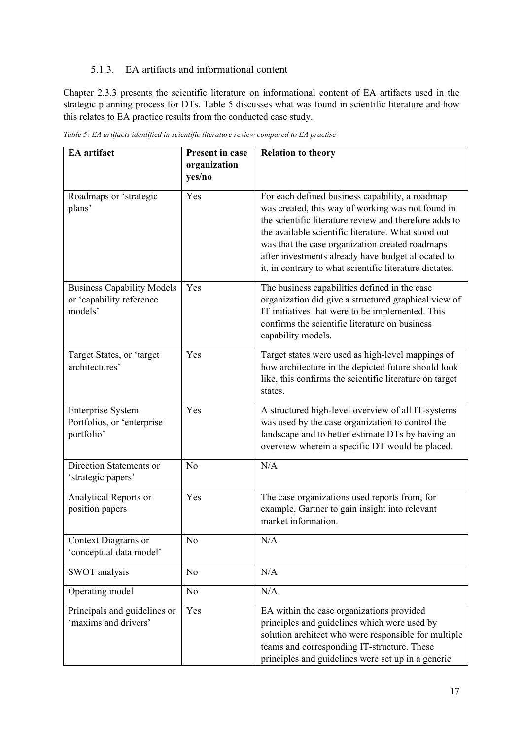#### 5.1.3. EA artifacts and informational content

Chapter 2.3.3 presents the scientific literature on informational content of EA artifacts used in the strategic planning process for DTs. Table 5 discusses what was found in scientific literature and how this relates to EA practice results from the conducted case study.

| EA artifact                                                              | <b>Present in case</b><br>organization<br>yes/no | <b>Relation to theory</b>                                                                                                                                                                                                                                                                                                                                                                 |
|--------------------------------------------------------------------------|--------------------------------------------------|-------------------------------------------------------------------------------------------------------------------------------------------------------------------------------------------------------------------------------------------------------------------------------------------------------------------------------------------------------------------------------------------|
| Roadmaps or 'strategic<br>plans'                                         | Yes                                              | For each defined business capability, a roadmap<br>was created, this way of working was not found in<br>the scientific literature review and therefore adds to<br>the available scientific literature. What stood out<br>was that the case organization created roadmaps<br>after investments already have budget allocated to<br>it, in contrary to what scientific literature dictates. |
| <b>Business Capability Models</b><br>or 'capability reference<br>models' | Yes                                              | The business capabilities defined in the case<br>organization did give a structured graphical view of<br>IT initiatives that were to be implemented. This<br>confirms the scientific literature on business<br>capability models.                                                                                                                                                         |
| Target States, or 'target<br>architectures'                              | Yes                                              | Target states were used as high-level mappings of<br>how architecture in the depicted future should look<br>like, this confirms the scientific literature on target<br>states.                                                                                                                                                                                                            |
| <b>Enterprise System</b><br>Portfolios, or 'enterprise<br>portfolio'     | Yes                                              | A structured high-level overview of all IT-systems<br>was used by the case organization to control the<br>landscape and to better estimate DTs by having an<br>overview wherein a specific DT would be placed.                                                                                                                                                                            |
| Direction Statements or<br>'strategic papers'                            | N <sub>o</sub>                                   | N/A                                                                                                                                                                                                                                                                                                                                                                                       |
| Analytical Reports or<br>position papers                                 | Yes                                              | The case organizations used reports from, for<br>example, Gartner to gain insight into relevant<br>market information.                                                                                                                                                                                                                                                                    |
| Context Diagrams or<br>'conceptual data model'                           | No.                                              | N/A                                                                                                                                                                                                                                                                                                                                                                                       |
| SWOT analysis                                                            | No                                               | N/A                                                                                                                                                                                                                                                                                                                                                                                       |
| Operating model                                                          | No                                               | N/A                                                                                                                                                                                                                                                                                                                                                                                       |
| Principals and guidelines or<br>'maxims and drivers'                     | Yes                                              | EA within the case organizations provided<br>principles and guidelines which were used by<br>solution architect who were responsible for multiple<br>teams and corresponding IT-structure. These<br>principles and guidelines were set up in a generic                                                                                                                                    |

*Table 5: EA artifacts identified in scientific literature review compared to EA practise*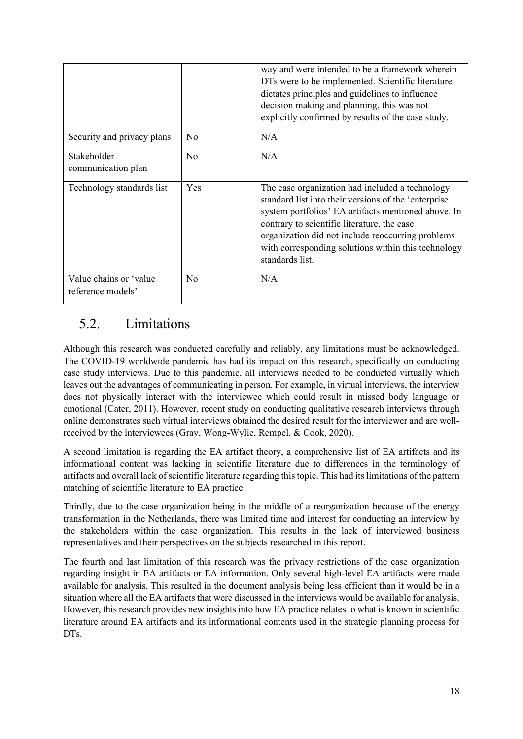|                                             |                | way and were intended to be a framework wherein<br>DTs were to be implemented. Scientific literature<br>dictates principles and guidelines to influence<br>decision making and planning, this was not<br>explicitly confirmed by results of the case study.                                                                                  |
|---------------------------------------------|----------------|----------------------------------------------------------------------------------------------------------------------------------------------------------------------------------------------------------------------------------------------------------------------------------------------------------------------------------------------|
| Security and privacy plans                  | N <sub>0</sub> | N/A                                                                                                                                                                                                                                                                                                                                          |
| Stakeholder<br>communication plan           | No             | N/A                                                                                                                                                                                                                                                                                                                                          |
| Technology standards list                   | Yes            | The case organization had included a technology<br>standard list into their versions of the 'enterprise<br>system portfolios' EA artifacts mentioned above. In<br>contrary to scientific literature, the case<br>organization did not include reoccurring problems<br>with corresponding solutions within this technology<br>standards list. |
| Value chains or 'value<br>reference models' | N <sub>o</sub> | N/A                                                                                                                                                                                                                                                                                                                                          |

## 5.2. Limitations

Although this research was conducted carefully and reliably, any limitations must be acknowledged. The COVID-19 worldwide pandemic has had its impact on this research, specifically on conducting case study interviews. Due to this pandemic, all interviews needed to be conducted virtually which leaves out the advantages of communicating in person. For example, in virtual interviews, the interview does not physically interact with the interviewee which could result in missed body language or emotional (Cater, 2011). However, recent study on conducting qualitative research interviews through online demonstrates such virtual interviews obtained the desired result for the interviewer and are wellreceived by the interviewees (Gray, Wong-Wylie, Rempel, & Cook, 2020).

A second limitation is regarding the EA artifact theory, a comprehensive list of EA artifacts and its informational content was lacking in scientific literature due to differences in the terminology of artifacts and overall lack of scientific literature regarding this topic. This had its limitations of the pattern matching of scientific literature to EA practice.

Thirdly, due to the case organization being in the middle of a reorganization because of the energy transformation in the Netherlands, there was limited time and interest for conducting an interview by the stakeholders within the case organization. This results in the lack of interviewed business representatives and their perspectives on the subjects researched in this report.

The fourth and last limitation of this research was the privacy restrictions of the case organization regarding insight in EA artifacts or EA information. Only several high-level EA artifacts were made available for analysis. This resulted in the document analysis being less efficient than it would be in a situation where all the EA artifacts that were discussed in the interviews would be available for analysis. However, this research provides new insights into how EA practice relates to what is known in scientific literature around EA artifacts and its informational contents used in the strategic planning process for DT<sub>s</sub>.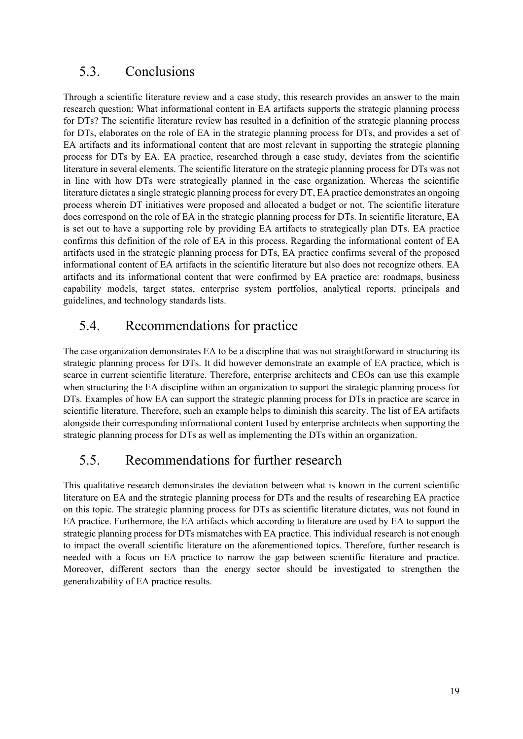#### 5.3. Conclusions

Through a scientific literature review and a case study, this research provides an answer to the main research question: What informational content in EA artifacts supports the strategic planning process for DTs? The scientific literature review has resulted in a definition of the strategic planning process for DTs, elaborates on the role of EA in the strategic planning process for DTs, and provides a set of EA artifacts and its informational content that are most relevant in supporting the strategic planning process for DTs by EA. EA practice, researched through a case study, deviates from the scientific literature in several elements. The scientific literature on the strategic planning process for DTs was not in line with how DTs were strategically planned in the case organization. Whereas the scientific literature dictates a single strategic planning process for every DT, EA practice demonstrates an ongoing process wherein DT initiatives were proposed and allocated a budget or not. The scientific literature does correspond on the role of EA in the strategic planning process for DTs. In scientific literature, EA is set out to have a supporting role by providing EA artifacts to strategically plan DTs. EA practice confirms this definition of the role of EA in this process. Regarding the informational content of EA artifacts used in the strategic planning process for DTs, EA practice confirms several of the proposed informational content of EA artifacts in the scientific literature but also does not recognize others. EA artifacts and its informational content that were confirmed by EA practice are: roadmaps, business capability models, target states, enterprise system portfolios, analytical reports, principals and guidelines, and technology standards lists.

#### 5.4. Recommendations for practice

The case organization demonstrates EA to be a discipline that was not straightforward in structuring its strategic planning process for DTs. It did however demonstrate an example of EA practice, which is scarce in current scientific literature. Therefore, enterprise architects and CEOs can use this example when structuring the EA discipline within an organization to support the strategic planning process for DTs. Examples of how EA can support the strategic planning process for DTs in practice are scarce in scientific literature. Therefore, such an example helps to diminish this scarcity. The list of EA artifacts alongside their corresponding informational content 1used by enterprise architects when supporting the strategic planning process for DTs as well as implementing the DTs within an organization.

#### 5.5. Recommendations for further research

This qualitative research demonstrates the deviation between what is known in the current scientific literature on EA and the strategic planning process for DTs and the results of researching EA practice on this topic. The strategic planning process for DTs as scientific literature dictates, was not found in EA practice. Furthermore, the EA artifacts which according to literature are used by EA to support the strategic planning process for DTs mismatches with EA practice. This individual research is not enough to impact the overall scientific literature on the aforementioned topics. Therefore, further research is needed with a focus on EA practice to narrow the gap between scientific literature and practice. Moreover, different sectors than the energy sector should be investigated to strengthen the generalizability of EA practice results.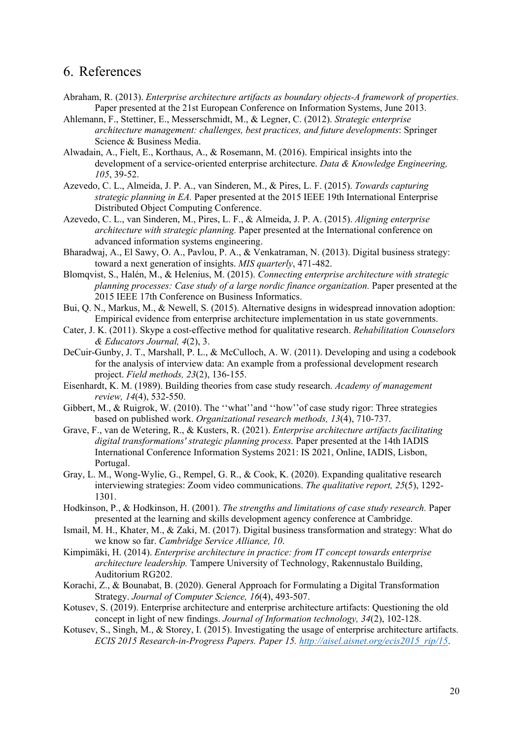#### 6. References

- Abraham, R. (2013). *Enterprise architecture artifacts as boundary objects-A framework of properties.* Paper presented at the 21st European Conference on Information Systems, June 2013.
- Ahlemann, F., Stettiner, E., Messerschmidt, M., & Legner, C. (2012). *Strategic enterprise architecture management: challenges, best practices, and future developments*: Springer Science & Business Media.
- Alwadain, A., Fielt, E., Korthaus, A., & Rosemann, M. (2016). Empirical insights into the development of a service-oriented enterprise architecture. *Data & Knowledge Engineering, 105*, 39-52.
- Azevedo, C. L., Almeida, J. P. A., van Sinderen, M., & Pires, L. F. (2015). *Towards capturing strategic planning in EA.* Paper presented at the 2015 IEEE 19th International Enterprise Distributed Object Computing Conference.
- Azevedo, C. L., van Sinderen, M., Pires, L. F., & Almeida, J. P. A. (2015). *Aligning enterprise architecture with strategic planning.* Paper presented at the International conference on advanced information systems engineering.
- Bharadwaj, A., El Sawy, O. A., Pavlou, P. A., & Venkatraman, N. (2013). Digital business strategy: toward a next generation of insights. *MIS quarterly*, 471-482.
- Blomqvist, S., Halén, M., & Helenius, M. (2015). *Connecting enterprise architecture with strategic planning processes: Case study of a large nordic finance organization.* Paper presented at the 2015 IEEE 17th Conference on Business Informatics.
- Bui, Q. N., Markus, M., & Newell, S. (2015). Alternative designs in widespread innovation adoption: Empirical evidence from enterprise architecture implementation in us state governments.
- Cater, J. K. (2011). Skype a cost-effective method for qualitative research. *Rehabilitation Counselors & Educators Journal, 4*(2), 3.
- DeCuir-Gunby, J. T., Marshall, P. L., & McCulloch, A. W. (2011). Developing and using a codebook for the analysis of interview data: An example from a professional development research project. *Field methods, 23*(2), 136-155.
- Eisenhardt, K. M. (1989). Building theories from case study research. *Academy of management review, 14*(4), 532-550.
- Gibbert, M., & Ruigrok, W. (2010). The ''what''and ''how''of case study rigor: Three strategies based on published work. *Organizational research methods, 13*(4), 710-737.
- Grave, F., van de Wetering, R., & Kusters, R. (2021). *Enterprise architecture artifacts facilitating digital transformations' strategic planning process.* Paper presented at the 14th IADIS International Conference Information Systems 2021: IS 2021, Online, IADIS, Lisbon, Portugal.
- Gray, L. M., Wong-Wylie, G., Rempel, G. R., & Cook, K. (2020). Expanding qualitative research interviewing strategies: Zoom video communications. *The qualitative report, 25*(5), 1292- 1301.
- Hodkinson, P., & Hodkinson, H. (2001). *The strengths and limitations of case study research.* Paper presented at the learning and skills development agency conference at Cambridge.
- Ismail, M. H., Khater, M., & Zaki, M. (2017). Digital business transformation and strategy: What do we know so far. *Cambridge Service Alliance, 10*.
- Kimpimäki, H. (2014). *Enterprise architecture in practice: from IT concept towards enterprise architecture leadership.* Tampere University of Technology, Rakennustalo Building, Auditorium RG202.
- Korachi, Z., & Bounabat, B. (2020). General Approach for Formulating a Digital Transformation Strategy. *Journal of Computer Science, 16*(4), 493-507.
- Kotusev, S. (2019). Enterprise architecture and enterprise architecture artifacts: Questioning the old concept in light of new findings. *Journal of Information technology, 34*(2), 102-128.
- Kotusev, S., Singh, M., & Storey, I. (2015). Investigating the usage of enterprise architecture artifacts. *ECIS 2015 Research-in-Progress Papers. Paper 15. http://aisel.aisnet.org/ecis2015\_rip/15*.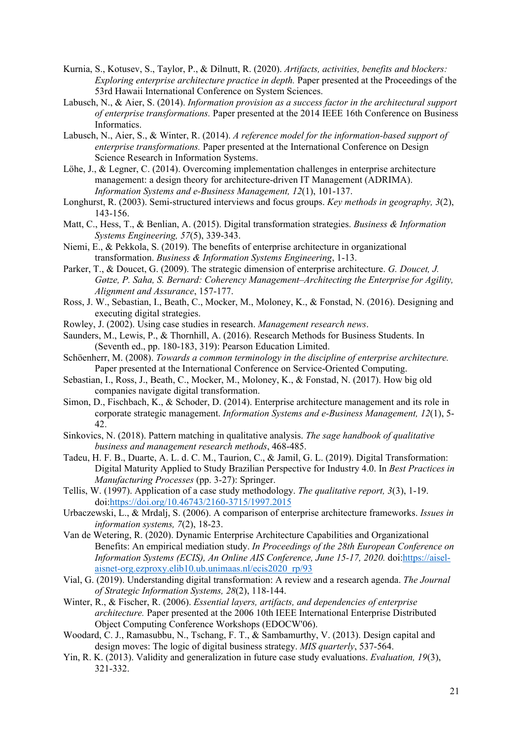- Kurnia, S., Kotusev, S., Taylor, P., & Dilnutt, R. (2020). *Artifacts, activities, benefits and blockers: Exploring enterprise architecture practice in depth.* Paper presented at the Proceedings of the 53rd Hawaii International Conference on System Sciences.
- Labusch, N., & Aier, S. (2014). *Information provision as a success factor in the architectural support of enterprise transformations.* Paper presented at the 2014 IEEE 16th Conference on Business Informatics.
- Labusch, N., Aier, S., & Winter, R. (2014). *A reference model for the information-based support of enterprise transformations.* Paper presented at the International Conference on Design Science Research in Information Systems.
- Löhe, J., & Legner, C. (2014). Overcoming implementation challenges in enterprise architecture management: a design theory for architecture-driven IT Management (ADRIMA). *Information Systems and e-Business Management, 12*(1), 101-137.
- Longhurst, R. (2003). Semi-structured interviews and focus groups. *Key methods in geography, 3*(2), 143-156.
- Matt, C., Hess, T., & Benlian, A. (2015). Digital transformation strategies. *Business & Information Systems Engineering, 57*(5), 339-343.
- Niemi, E., & Pekkola, S. (2019). The benefits of enterprise architecture in organizational transformation. *Business & Information Systems Engineering*, 1-13.
- Parker, T., & Doucet, G. (2009). The strategic dimension of enterprise architecture. *G. Doucet, J. Gøtze, P. Saha, S. Bernard: Coherency Management–Architecting the Enterprise for Agility, Alignment and Assurance*, 157-177.
- Ross, J. W., Sebastian, I., Beath, C., Mocker, M., Moloney, K., & Fonstad, N. (2016). Designing and executing digital strategies.
- Rowley, J. (2002). Using case studies in research. *Management research news*.
- Saunders, M., Lewis, P., & Thornhill, A. (2016). Research Methods for Business Students. In (Seventh ed., pp. 180-183, 319): Pearson Education Limited.
- Schöenherr, M. (2008). *Towards a common terminology in the discipline of enterprise architecture.* Paper presented at the International Conference on Service-Oriented Computing.
- Sebastian, I., Ross, J., Beath, C., Mocker, M., Moloney, K., & Fonstad, N. (2017). How big old companies navigate digital transformation.
- Simon, D., Fischbach, K., & Schoder, D. (2014). Enterprise architecture management and its role in corporate strategic management. *Information Systems and e-Business Management, 12*(1), 5- 42.
- Sinkovics, N. (2018). Pattern matching in qualitative analysis. *The sage handbook of qualitative business and management research methods*, 468-485.
- Tadeu, H. F. B., Duarte, A. L. d. C. M., Taurion, C., & Jamil, G. L. (2019). Digital Transformation: Digital Maturity Applied to Study Brazilian Perspective for Industry 4.0. In *Best Practices in Manufacturing Processes* (pp. 3-27): Springer.
- Tellis, W. (1997). Application of a case study methodology. *The qualitative report, 3*(3), 1-19. doi:https://doi.org/10.46743/2160-3715/1997.2015
- Urbaczewski, L., & Mrdalj, S. (2006). A comparison of enterprise architecture frameworks. *Issues in information systems, 7*(2), 18-23.
- Van de Wetering, R. (2020). Dynamic Enterprise Architecture Capabilities and Organizational Benefits: An empirical mediation study. *In Proceedings of the 28th European Conference on Information Systems (ECIS), An Online AIS Conference, June 15-17, 2020.* doi:https://aiselaisnet-org.ezproxy.elib10.ub.unimaas.nl/ecis2020\_rp/93
- Vial, G. (2019). Understanding digital transformation: A review and a research agenda. *The Journal of Strategic Information Systems, 28*(2), 118-144.
- Winter, R., & Fischer, R. (2006). *Essential layers, artifacts, and dependencies of enterprise architecture.* Paper presented at the 2006 10th IEEE International Enterprise Distributed Object Computing Conference Workshops (EDOCW'06).
- Woodard, C. J., Ramasubbu, N., Tschang, F. T., & Sambamurthy, V. (2013). Design capital and design moves: The logic of digital business strategy. *MIS quarterly*, 537-564.
- Yin, R. K. (2013). Validity and generalization in future case study evaluations. *Evaluation, 19*(3), 321-332.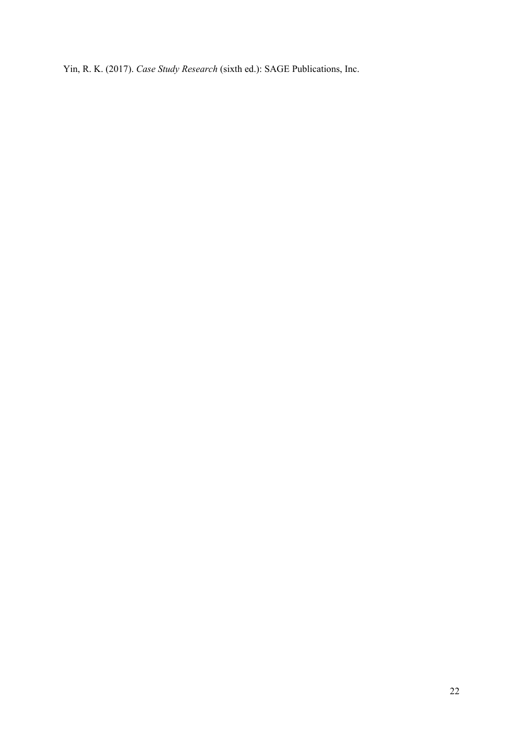Yin, R. K. (2017). *Case Study Research* (sixth ed.): SAGE Publications, Inc.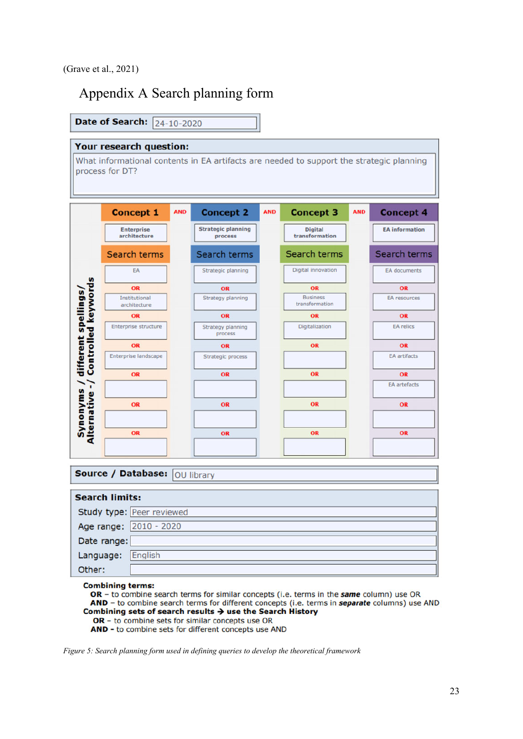## Appendix A Search planning form

|                                                   | Your research question:           |            |                                                                                          |            |                                   |            |                       |
|---------------------------------------------------|-----------------------------------|------------|------------------------------------------------------------------------------------------|------------|-----------------------------------|------------|-----------------------|
|                                                   | process for DT?                   |            | What informational contents in EA artifacts are needed to support the strategic planning |            |                                   |            |                       |
|                                                   | <b>Concept 1</b>                  | <b>AND</b> | <b>Concept 2</b>                                                                         | <b>AND</b> | <b>Concept 3</b>                  | <b>AND</b> | <b>Concept 4</b>      |
|                                                   | <b>Enterprise</b><br>architecture |            | <b>Strategic planning</b><br>process                                                     |            | <b>Digital</b><br>transformation  |            | <b>EA</b> information |
|                                                   | Search terms                      |            | Search terms                                                                             |            | Search terms                      |            | Search terms          |
|                                                   | EA                                |            | Strategic planning                                                                       |            | Digital innovation                |            | <b>EA</b> documents   |
|                                                   | OR                                |            | OR                                                                                       |            | OR                                |            | OR                    |
| <b>Controlled keywords</b><br>different spellings | Institutional<br>architecture     |            | <b>Strategy planning</b>                                                                 |            | <b>Business</b><br>transformation |            | <b>EA</b> resources   |
|                                                   | OR                                |            | OR                                                                                       |            | OR                                |            | OR                    |
|                                                   | Enterprise structure              |            | Strategy planning<br>process                                                             |            | Digitalization                    |            | <b>EA</b> relics      |
|                                                   | OR                                |            | OR                                                                                       |            | OR                                |            | OR                    |
|                                                   | <b>Enterprise landscape</b>       |            | <b>Strategic process</b>                                                                 |            |                                   |            | <b>EA</b> artifacts   |
|                                                   | OR                                |            | OR                                                                                       |            | OR                                |            | OR                    |
|                                                   |                                   |            |                                                                                          |            |                                   |            | <b>EA</b> artefacts   |
| Synonyms /<br>Alternative -/                      | OR                                |            | OR                                                                                       |            | OR                                |            | OR                    |
|                                                   | OR                                |            | OR                                                                                       |            | OR                                |            | OR                    |
|                                                   |                                   |            |                                                                                          |            |                                   |            |                       |
|                                                   |                                   |            |                                                                                          |            |                                   |            |                       |
|                                                   | Source / Database:                |            | OU library                                                                               |            |                                   |            |                       |
|                                                   | <b>Search limits:</b>             |            |                                                                                          |            |                                   |            |                       |
|                                                   |                                   |            |                                                                                          |            |                                   |            |                       |
|                                                   | Study type: Peer reviewed         |            |                                                                                          |            |                                   |            |                       |

**Combining terms:** 

English

Language:

Other:

OR - to combine search terms for similar concepts (i.e. terms in the same column) use OR AND - to combine search terms for different concepts (i.e. terms in separate columns) use AND Combining sets of search results  $\rightarrow$  use the Search History

OR - to combine sets for similar concepts use OR<br>AND - to combine sets for different concepts use AND

*Figure 5: Search planning form used in defining queries to develop the theoretical framework*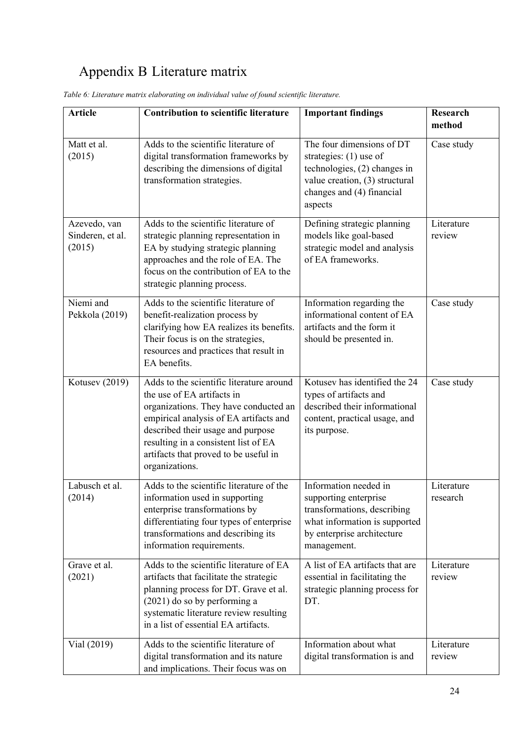# Appendix B Literature matrix

| <b>Article</b>                             | <b>Contribution to scientific literature</b>                                                                                                                                                                                                                                                      | <b>Important findings</b>                                                                                                                                       | <b>Research</b><br>method |
|--------------------------------------------|---------------------------------------------------------------------------------------------------------------------------------------------------------------------------------------------------------------------------------------------------------------------------------------------------|-----------------------------------------------------------------------------------------------------------------------------------------------------------------|---------------------------|
| Matt et al.<br>(2015)                      | Adds to the scientific literature of<br>digital transformation frameworks by<br>describing the dimensions of digital<br>transformation strategies.                                                                                                                                                | The four dimensions of DT<br>strategies: $(1)$ use of<br>technologies, (2) changes in<br>value creation, (3) structural<br>changes and (4) financial<br>aspects | Case study                |
| Azevedo, van<br>Sinderen, et al.<br>(2015) | Adds to the scientific literature of<br>strategic planning representation in<br>EA by studying strategic planning<br>approaches and the role of EA. The<br>focus on the contribution of EA to the<br>strategic planning process.                                                                  | Defining strategic planning<br>models like goal-based<br>strategic model and analysis<br>of EA frameworks.                                                      | Literature<br>review      |
| Niemi and<br>Pekkola (2019)                | Adds to the scientific literature of<br>benefit-realization process by<br>clarifying how EA realizes its benefits.<br>Their focus is on the strategies,<br>resources and practices that result in<br>EA benefits.                                                                                 | Information regarding the<br>informational content of EA<br>artifacts and the form it<br>should be presented in.                                                | Case study                |
| Kotusev (2019)                             | Adds to the scientific literature around<br>the use of EA artifacts in<br>organizations. They have conducted an<br>empirical analysis of EA artifacts and<br>described their usage and purpose<br>resulting in a consistent list of EA<br>artifacts that proved to be useful in<br>organizations. | Kotusev has identified the 24<br>types of artifacts and<br>described their informational<br>content, practical usage, and<br>its purpose.                       | Case study                |
| Labusch et al.<br>(2014)                   | Adds to the scientific literature of the<br>information used in supporting<br>enterprise transformations by<br>differentiating four types of enterprise<br>transformations and describing its<br>information requirements.                                                                        | Information needed in<br>supporting enterprise<br>transformations, describing<br>what information is supported<br>by enterprise architecture<br>management.     | Literature<br>research    |
| Grave et al.<br>(2021)                     | Adds to the scientific literature of EA<br>artifacts that facilitate the strategic<br>planning process for DT. Grave et al.<br>$(2021)$ do so by performing a<br>systematic literature review resulting<br>in a list of essential EA artifacts.                                                   | A list of EA artifacts that are<br>essential in facilitating the<br>strategic planning process for<br>DT.                                                       | Literature<br>review      |
| Vial $(2019)$                              | Adds to the scientific literature of<br>digital transformation and its nature<br>and implications. Their focus was on                                                                                                                                                                             | Information about what<br>digital transformation is and                                                                                                         | Literature<br>review      |

*Table 6: Literature matrix elaborating on individual value of found scientific literature.*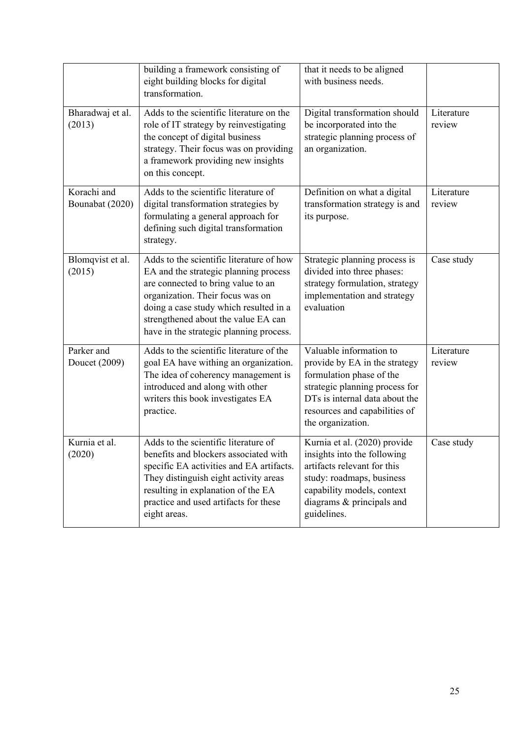|                                | building a framework consisting of<br>eight building blocks for digital<br>transformation.                                                                                                                                                                                              | that it needs to be aligned<br>with business needs.                                                                                                                                                            |                      |
|--------------------------------|-----------------------------------------------------------------------------------------------------------------------------------------------------------------------------------------------------------------------------------------------------------------------------------------|----------------------------------------------------------------------------------------------------------------------------------------------------------------------------------------------------------------|----------------------|
| Bharadwaj et al.<br>(2013)     | Adds to the scientific literature on the<br>role of IT strategy by reinvestigating<br>the concept of digital business<br>strategy. Their focus was on providing<br>a framework providing new insights<br>on this concept.                                                               | Digital transformation should<br>be incorporated into the<br>strategic planning process of<br>an organization.                                                                                                 | Literature<br>review |
| Korachi and<br>Bounabat (2020) | Adds to the scientific literature of<br>digital transformation strategies by<br>formulating a general approach for<br>defining such digital transformation<br>strategy.                                                                                                                 | Definition on what a digital<br>transformation strategy is and<br>its purpose.                                                                                                                                 | Literature<br>review |
| Blomqvist et al.<br>(2015)     | Adds to the scientific literature of how<br>EA and the strategic planning process<br>are connected to bring value to an<br>organization. Their focus was on<br>doing a case study which resulted in a<br>strengthened about the value EA can<br>have in the strategic planning process. | Strategic planning process is<br>divided into three phases:<br>strategy formulation, strategy<br>implementation and strategy<br>evaluation                                                                     | Case study           |
| Parker and<br>Doucet (2009)    | Adds to the scientific literature of the<br>goal EA have withing an organization.<br>The idea of coherency management is<br>introduced and along with other<br>writers this book investigates EA<br>practice.                                                                           | Valuable information to<br>provide by EA in the strategy<br>formulation phase of the<br>strategic planning process for<br>DTs is internal data about the<br>resources and capabilities of<br>the organization. | Literature<br>review |
| Kurnia et al.<br>(2020)        | Adds to the scientific literature of<br>benefits and blockers associated with<br>specific EA activities and EA artifacts.<br>They distinguish eight activity areas<br>resulting in explanation of the EA<br>practice and used artifacts for these<br>eight areas.                       | Kurnia et al. (2020) provide<br>insights into the following<br>artifacts relevant for this<br>study: roadmaps, business<br>capability models, context<br>diagrams & principals and<br>guidelines.              | Case study           |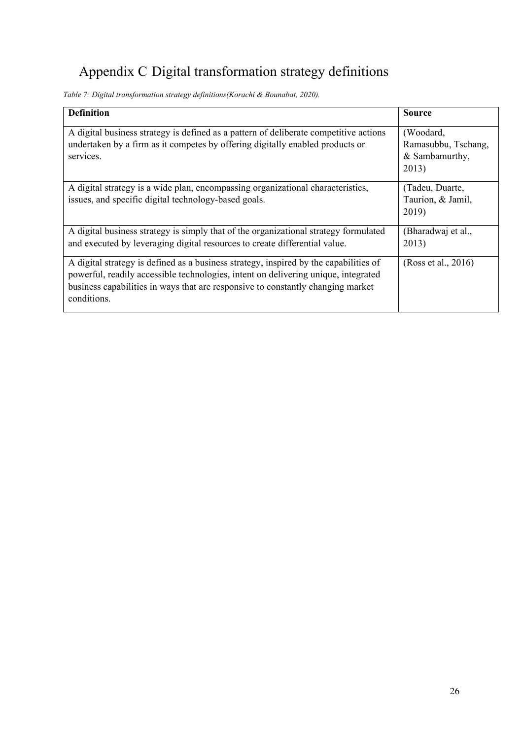# Appendix C Digital transformation strategy definitions

*Table 7: Digital transformation strategy definitions(Korachi & Bounabat, 2020).* 

| <b>Definition</b>                                                                                                                                                                                                                                                             | <b>Source</b>                                               |
|-------------------------------------------------------------------------------------------------------------------------------------------------------------------------------------------------------------------------------------------------------------------------------|-------------------------------------------------------------|
| A digital business strategy is defined as a pattern of deliberate competitive actions<br>undertaken by a firm as it competes by offering digitally enabled products or<br>services.                                                                                           | (Woodard,<br>Ramasubbu, Tschang,<br>& Sambamurthy,<br>2013) |
| A digital strategy is a wide plan, encompassing organizational characteristics,<br>issues, and specific digital technology-based goals.                                                                                                                                       | (Tadeu, Duarte,<br>Taurion, & Jamil,<br>2019)               |
| A digital business strategy is simply that of the organizational strategy formulated<br>and executed by leveraging digital resources to create differential value.                                                                                                            | (Bharadwaj et al.,<br>2013)                                 |
| A digital strategy is defined as a business strategy, inspired by the capabilities of<br>powerful, readily accessible technologies, intent on delivering unique, integrated<br>business capabilities in ways that are responsive to constantly changing market<br>conditions. | (Ross et al., 2016)                                         |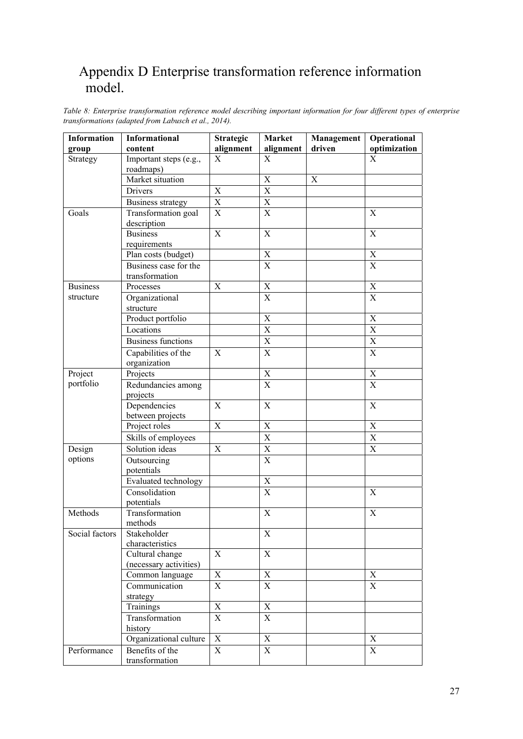## Appendix D Enterprise transformation reference information model.

| Information     | Informational                  | <b>Strategic</b>          | Market         | <b>Management</b> | Operational             |
|-----------------|--------------------------------|---------------------------|----------------|-------------------|-------------------------|
| group           | content                        | alignment                 | alignment      | driven            | optimization            |
| Strategy        | Important steps (e.g.,         | $\mathbf X$               | $\mathbf X$    |                   | X                       |
|                 | roadmaps)                      |                           |                |                   |                         |
|                 | Market situation               |                           | X              | X                 |                         |
|                 | <b>Drivers</b>                 | $\mathbf X$               | $\overline{X}$ |                   |                         |
|                 | <b>Business strategy</b>       | $\mathbf X$               | $\mathbf X$    |                   |                         |
| Goals           | Transformation goal            | $\boldsymbol{\mathrm{X}}$ | $\overline{X}$ |                   | $\mathbf X$             |
|                 | description                    |                           |                |                   |                         |
|                 | <b>Business</b>                | $\mathbf X$               | $\mathbf X$    |                   | $\mathbf X$             |
|                 | requirements                   |                           |                |                   |                         |
|                 | Plan costs (budget)            |                           | $\mathbf X$    |                   | $\mathbf X$             |
|                 | Business case for the          |                           | $\overline{X}$ |                   | $\overline{\mathbf{X}}$ |
|                 | transformation                 |                           |                |                   |                         |
| <b>Business</b> | Processes                      | $\mathbf X$               | $\mathbf X$    |                   | $\mathbf X$             |
| structure       | Organizational                 |                           | $\mathbf X$    |                   | $\mathbf X$             |
|                 | structure                      |                           |                |                   |                         |
|                 | Product portfolio              |                           | $\mathbf X$    |                   | $\mathbf X$             |
|                 | Locations                      |                           | $\mathbf X$    |                   | $\mathbf X$             |
|                 | <b>Business functions</b>      |                           | $\mathbf X$    |                   | $\mathbf X$             |
|                 | Capabilities of the            | $\mathbf X$               | $\overline{X}$ |                   | $\overline{X}$          |
|                 | organization                   |                           |                |                   |                         |
| Project         | Projects                       |                           | $\mathbf X$    |                   | $\mathbf X$             |
| portfolio       | Redundancies among             |                           | $\mathbf X$    |                   | $\mathbf X$             |
|                 | projects                       |                           |                |                   |                         |
|                 | Dependencies                   | $\mathbf X$               | $\mathbf X$    |                   | $\mathbf X$             |
|                 | between projects               |                           |                |                   |                         |
|                 | Project roles                  | $\mathbf X$               | $\mathbf X$    |                   | X                       |
|                 | Skills of employees            |                           | $\mathbf X$    |                   | $\mathbf X$             |
| Design          | Solution ideas                 | $\mathbf X$               | $\overline{X}$ |                   | $\overline{X}$          |
| options         | Outsourcing                    |                           | $\mathbf X$    |                   |                         |
|                 | potentials                     |                           |                |                   |                         |
|                 | Evaluated technology           |                           | $\mathbf X$    |                   |                         |
|                 | Consolidation                  |                           | $\overline{X}$ |                   | $\mathbf X$             |
|                 | potentials                     |                           |                |                   |                         |
| Methods         | Transformation                 |                           | $\mathbf X$    |                   | X                       |
|                 | methods                        |                           |                |                   |                         |
| Social factors  | Stakeholder<br>characteristics |                           | X              |                   |                         |
|                 | Cultural change                | $\mathbf X$               | $\mathbf X$    |                   |                         |
|                 | (necessary activities)         |                           |                |                   |                         |
|                 | Common language                | X                         | X              |                   | X                       |
|                 | Communication                  | X                         | X              |                   | X                       |
|                 | strategy                       |                           |                |                   |                         |
|                 | Trainings                      | $\mathbf X$               | $\mathbf X$    |                   |                         |
|                 | Transformation                 | $\mathbf X$               | X              |                   |                         |
|                 | history                        |                           |                |                   |                         |
|                 | Organizational culture         | $\mathbf X$               | X              |                   | X                       |
| Performance     | Benefits of the                | $\mathbf X$               | $\mathbf X$    |                   | $\mathbf X$             |
|                 | transformation                 |                           |                |                   |                         |

*Table 8: Enterprise transformation reference model describing important information for four different types of enterprise transformations (adapted from Labusch et al., 2014).*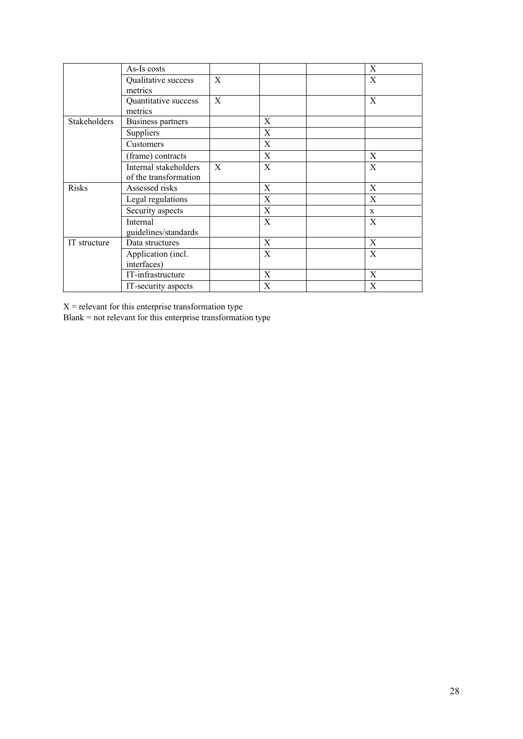|              | As-Is costs           |   |   | X            |
|--------------|-----------------------|---|---|--------------|
|              | Qualitative success   | X |   | X            |
|              | metrics               |   |   |              |
|              | Quantitative success  | X |   | $\mathbf{X}$ |
|              | metrics               |   |   |              |
| Stakeholders | Business partners     |   | X |              |
|              | Suppliers             |   | X |              |
|              | Customers             |   | X |              |
|              | (frame) contracts     |   | X | X            |
|              | Internal stakeholders | X | X | X            |
|              | of the transformation |   |   |              |
| Risks        | Assessed risks        |   | X | X            |
|              | Legal regulations     |   | X | X            |
|              | Security aspects      |   | X | $\mathbf{X}$ |
|              | Internal              |   | X | X            |
|              | guidelines/standards  |   |   |              |
| IT structure | Data structures       |   | X | X            |
|              | Application (incl.    |   | X | X            |
|              | interfaces)           |   |   |              |
|              | IT-infrastructure     |   | X | X            |
|              | IT-security aspects   |   | X | X            |

 $X =$  relevant for this enterprise transformation type

Blank = not relevant for this enterprise transformation type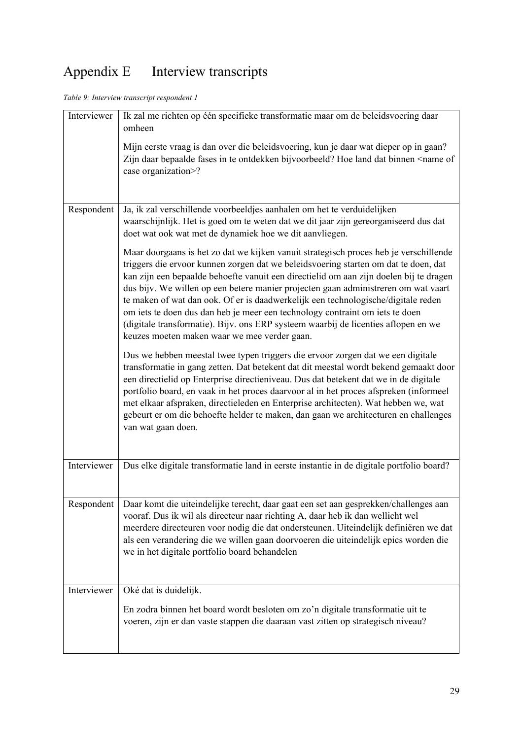# Appendix E Interview transcripts

*Table 9: Interview transcript respondent 1* 

| Interviewer | Ik zal me richten op één specifieke transformatie maar om de beleidsvoering daar<br>omheen                                                                                                                                                                                                                                                                                                                                                                                                                                                                                                                                                                              |
|-------------|-------------------------------------------------------------------------------------------------------------------------------------------------------------------------------------------------------------------------------------------------------------------------------------------------------------------------------------------------------------------------------------------------------------------------------------------------------------------------------------------------------------------------------------------------------------------------------------------------------------------------------------------------------------------------|
|             | Mijn eerste vraag is dan over die beleidsvoering, kun je daar wat dieper op in gaan?<br>Zijn daar bepaalde fases in te ontdekken bijvoorbeeld? Hoe land dat binnen <name of<br="">case organization&gt;?</name>                                                                                                                                                                                                                                                                                                                                                                                                                                                         |
| Respondent  | Ja, ik zal verschillende voorbeeldjes aanhalen om het te verduidelijken<br>waarschijnlijk. Het is goed om te weten dat we dit jaar zijn gereorganiseerd dus dat<br>doet wat ook wat met de dynamiek hoe we dit aanvliegen.                                                                                                                                                                                                                                                                                                                                                                                                                                              |
|             | Maar doorgaans is het zo dat we kijken vanuit strategisch proces heb je verschillende<br>triggers die ervoor kunnen zorgen dat we beleidsvoering starten om dat te doen, dat<br>kan zijn een bepaalde behoefte vanuit een directielid om aan zijn doelen bij te dragen<br>dus bijv. We willen op een betere manier projecten gaan administreren om wat vaart<br>te maken of wat dan ook. Of er is daadwerkelijk een technologische/digitale reden<br>om iets te doen dus dan heb je meer een technology contraint om iets te doen<br>(digitale transformatie). Bijv. ons ERP systeem waarbij de licenties aflopen en we<br>keuzes moeten maken waar we mee verder gaan. |
|             | Dus we hebben meestal twee typen triggers die ervoor zorgen dat we een digitale<br>transformatie in gang zetten. Dat betekent dat dit meestal wordt bekend gemaakt door<br>een directielid op Enterprise directieniveau. Dus dat betekent dat we in de digitale<br>portfolio board, en vaak in het proces daarvoor al in het proces afspreken (informeel<br>met elkaar afspraken, directieleden en Enterprise architecten). Wat hebben we, wat<br>gebeurt er om die behoefte helder te maken, dan gaan we architecturen en challenges<br>van wat gaan doen.                                                                                                             |
| Interviewer | Dus elke digitale transformatie land in eerste instantie in de digitale portfolio board?                                                                                                                                                                                                                                                                                                                                                                                                                                                                                                                                                                                |
| Respondent  | Daar komt die uiteindelijke terecht, daar gaat een set aan gesprekken/challenges aan<br>vooraf. Dus ik wil als directeur naar richting A, daar heb ik dan wellicht wel<br>meerdere directeuren voor nodig die dat ondersteunen. Uiteindelijk definiëren we dat<br>als een verandering die we willen gaan doorvoeren die uiteindelijk epics worden die<br>we in het digitale portfolio board behandelen                                                                                                                                                                                                                                                                  |
| Interviewer | Oké dat is duidelijk.<br>En zodra binnen het board wordt besloten om zo'n digitale transformatie uit te<br>voeren, zijn er dan vaste stappen die daaraan vast zitten op strategisch niveau?                                                                                                                                                                                                                                                                                                                                                                                                                                                                             |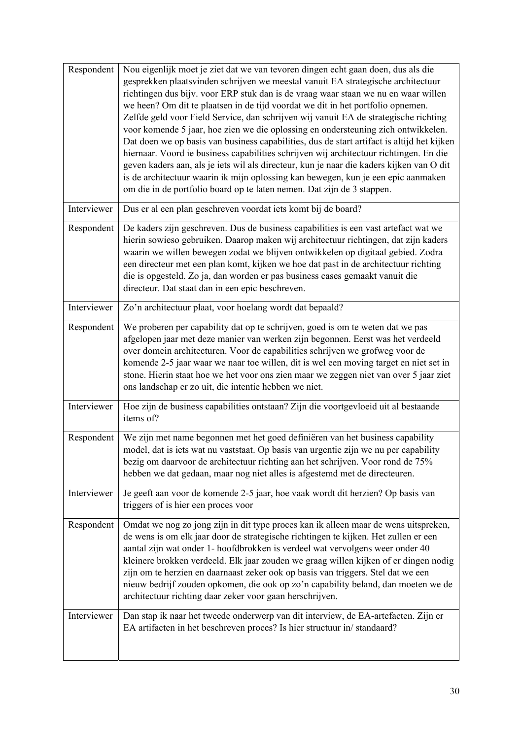| Respondent  | Nou eigenlijk moet je ziet dat we van tevoren dingen echt gaan doen, dus als die<br>gesprekken plaatsvinden schrijven we meestal vanuit EA strategische architectuur<br>richtingen dus bijv. voor ERP stuk dan is de vraag waar staan we nu en waar willen<br>we heen? Om dit te plaatsen in de tijd voordat we dit in het portfolio opnemen.<br>Zelfde geld voor Field Service, dan schrijven wij vanuit EA de strategische richting<br>voor komende 5 jaar, hoe zien we die oplossing en ondersteuning zich ontwikkelen.<br>Dat doen we op basis van business capabilities, dus de start artifact is altijd het kijken<br>hiernaar. Voord ie business capabilities schrijven wij architectuur richtingen. En die<br>geven kaders aan, als je iets wil als directeur, kun je naar die kaders kijken van O dit<br>is de architectuur waarin ik mijn oplossing kan bewegen, kun je een epic aanmaken<br>om die in de portfolio board op te laten nemen. Dat zijn de 3 stappen. |
|-------------|-------------------------------------------------------------------------------------------------------------------------------------------------------------------------------------------------------------------------------------------------------------------------------------------------------------------------------------------------------------------------------------------------------------------------------------------------------------------------------------------------------------------------------------------------------------------------------------------------------------------------------------------------------------------------------------------------------------------------------------------------------------------------------------------------------------------------------------------------------------------------------------------------------------------------------------------------------------------------------|
| Interviewer | Dus er al een plan geschreven voordat iets komt bij de board?                                                                                                                                                                                                                                                                                                                                                                                                                                                                                                                                                                                                                                                                                                                                                                                                                                                                                                                 |
| Respondent  | De kaders zijn geschreven. Dus de business capabilities is een vast artefact wat we<br>hierin sowieso gebruiken. Daarop maken wij architectuur richtingen, dat zijn kaders<br>waarin we willen bewegen zodat we blijven ontwikkelen op digitaal gebied. Zodra<br>een directeur met een plan komt, kijken we hoe dat past in de architectuur richting<br>die is opgesteld. Zo ja, dan worden er pas business cases gemaakt vanuit die<br>directeur. Dat staat dan in een epic beschreven.                                                                                                                                                                                                                                                                                                                                                                                                                                                                                      |
| Interviewer | Zo'n architectuur plaat, voor hoelang wordt dat bepaald?                                                                                                                                                                                                                                                                                                                                                                                                                                                                                                                                                                                                                                                                                                                                                                                                                                                                                                                      |
| Respondent  | We proberen per capability dat op te schrijven, goed is om te weten dat we pas<br>afgelopen jaar met deze manier van werken zijn begonnen. Eerst was het verdeeld<br>over domein architecturen. Voor de capabilities schrijven we grofweg voor de<br>komende 2-5 jaar waar we naar toe willen, dit is wel een moving target en niet set in<br>stone. Hierin staat hoe we het voor ons zien maar we zeggen niet van over 5 jaar ziet<br>ons landschap er zo uit, die intentie hebben we niet.                                                                                                                                                                                                                                                                                                                                                                                                                                                                                  |
| Interviewer | Hoe zijn de business capabilities ontstaan? Zijn die voortgevloeid uit al bestaande<br>items of?                                                                                                                                                                                                                                                                                                                                                                                                                                                                                                                                                                                                                                                                                                                                                                                                                                                                              |
| Respondent  | We zijn met name begonnen met het goed definiëren van het business capability<br>model, dat is iets wat nu vaststaat. Op basis van urgentie zijn we nu per capability<br>bezig om daarvoor de architectuur richting aan het schrijven. Voor rond de 75%<br>hebben we dat gedaan, maar nog niet alles is afgestemd met de directeuren.                                                                                                                                                                                                                                                                                                                                                                                                                                                                                                                                                                                                                                         |
| Interviewer | Je geeft aan voor de komende 2-5 jaar, hoe vaak wordt dit herzien? Op basis van<br>triggers of is hier een proces voor                                                                                                                                                                                                                                                                                                                                                                                                                                                                                                                                                                                                                                                                                                                                                                                                                                                        |
| Respondent  | Omdat we nog zo jong zijn in dit type proces kan ik alleen maar de wens uitspreken,<br>de wens is om elk jaar door de strategische richtingen te kijken. Het zullen er een<br>aantal zijn wat onder 1- hoofdbrokken is verdeel wat vervolgens weer onder 40<br>kleinere brokken verdeeld. Elk jaar zouden we graag willen kijken of er dingen nodig<br>zijn om te herzien en daarnaast zeker ook op basis van triggers. Stel dat we een<br>nieuw bedrijf zouden opkomen, die ook op zo'n capability beland, dan moeten we de<br>architectuur richting daar zeker voor gaan herschrijven.                                                                                                                                                                                                                                                                                                                                                                                      |
| Interviewer | Dan stap ik naar het tweede onderwerp van dit interview, de EA-artefacten. Zijn er<br>EA artifacten in het beschreven proces? Is hier structuur in/standaard?                                                                                                                                                                                                                                                                                                                                                                                                                                                                                                                                                                                                                                                                                                                                                                                                                 |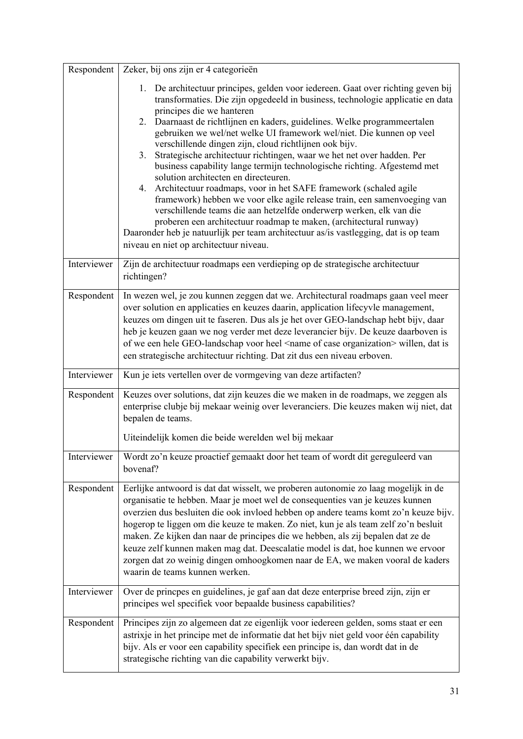| Respondent  | Zeker, bij ons zijn er 4 categorieën                                                                                                                                                                                                                                                                                                                                                                                                                                                                                                                                                                                                                                                                                                                                                                                                                                                                                                                                                                                                             |
|-------------|--------------------------------------------------------------------------------------------------------------------------------------------------------------------------------------------------------------------------------------------------------------------------------------------------------------------------------------------------------------------------------------------------------------------------------------------------------------------------------------------------------------------------------------------------------------------------------------------------------------------------------------------------------------------------------------------------------------------------------------------------------------------------------------------------------------------------------------------------------------------------------------------------------------------------------------------------------------------------------------------------------------------------------------------------|
|             | 1. De architectuur principes, gelden voor iedereen. Gaat over richting geven bij<br>transformaties. Die zijn opgedeeld in business, technologie applicatie en data<br>principes die we hanteren<br>2. Daarnaast de richtlijnen en kaders, guidelines. Welke programmeertalen<br>gebruiken we wel/net welke UI framework wel/niet. Die kunnen op veel<br>verschillende dingen zijn, cloud richtlijnen ook bijv.<br>3. Strategische architectuur richtingen, waar we het net over hadden. Per<br>business capability lange termijn technologische richting. Afgestemd met<br>solution architecten en directeuren.<br>4. Architectuur roadmaps, voor in het SAFE framework (schaled agile<br>framework) hebben we voor elke agile release train, een samenvoeging van<br>verschillende teams die aan hetzelfde onderwerp werken, elk van die<br>proberen een architectuur roadmap te maken, (architectural runway)<br>Daaronder heb je natuurlijk per team architectuur as/is vastlegging, dat is op team<br>niveau en niet op architectuur niveau. |
| Interviewer | Zijn de architectuur roadmaps een verdieping op de strategische architectuur<br>richtingen?                                                                                                                                                                                                                                                                                                                                                                                                                                                                                                                                                                                                                                                                                                                                                                                                                                                                                                                                                      |
| Respondent  | In wezen wel, je zou kunnen zeggen dat we. Architectural roadmaps gaan veel meer<br>over solution en applicaties en keuzes daarin, application lifecyvle management,<br>keuzes om dingen uit te faseren. Dus als je het over GEO-landschap hebt bijv, daar<br>heb je keuzen gaan we nog verder met deze leverancier bijv. De keuze daarboven is<br>of we een hele GEO-landschap voor heel <name case="" of="" organization=""> willen, dat is<br/>een strategische architectuur richting. Dat zit dus een niveau erboven.</name>                                                                                                                                                                                                                                                                                                                                                                                                                                                                                                                 |
| Interviewer | Kun je iets vertellen over de vormgeving van deze artifacten?                                                                                                                                                                                                                                                                                                                                                                                                                                                                                                                                                                                                                                                                                                                                                                                                                                                                                                                                                                                    |
| Respondent  | Keuzes over solutions, dat zijn keuzes die we maken in de roadmaps, we zeggen als<br>enterprise clubje bij mekaar weinig over leveranciers. Die keuzes maken wij niet, dat<br>bepalen de teams.<br>Uiteindelijk komen die beide werelden wel bij mekaar                                                                                                                                                                                                                                                                                                                                                                                                                                                                                                                                                                                                                                                                                                                                                                                          |
| Interviewer | Wordt zo'n keuze proactief gemaakt door het team of wordt dit gereguleerd van<br>bovenaf?                                                                                                                                                                                                                                                                                                                                                                                                                                                                                                                                                                                                                                                                                                                                                                                                                                                                                                                                                        |
| Respondent  | Eerlijke antwoord is dat dat wisselt, we proberen autonomie zo laag mogelijk in de<br>organisatie te hebben. Maar je moet wel de consequenties van je keuzes kunnen<br>overzien dus besluiten die ook invloed hebben op andere teams komt zo'n keuze bijv.<br>hogerop te liggen om die keuze te maken. Zo niet, kun je als team zelf zo'n besluit<br>maken. Ze kijken dan naar de principes die we hebben, als zij bepalen dat ze de<br>keuze zelf kunnen maken mag dat. Deescalatie model is dat, hoe kunnen we ervoor<br>zorgen dat zo weinig dingen omhoogkomen naar de EA, we maken vooral de kaders<br>waarin de teams kunnen werken.                                                                                                                                                                                                                                                                                                                                                                                                       |
| Interviewer | Over de princpes en guidelines, je gaf aan dat deze enterprise breed zijn, zijn er<br>principes wel specifiek voor bepaalde business capabilities?                                                                                                                                                                                                                                                                                                                                                                                                                                                                                                                                                                                                                                                                                                                                                                                                                                                                                               |
| Respondent  | Principes zijn zo algemeen dat ze eigenlijk voor iedereen gelden, soms staat er een<br>astrixje in het principe met de informatie dat het bijv niet geld voor één capability<br>bijv. Als er voor een capability specifiek een principe is, dan wordt dat in de<br>strategische richting van die capability verwerkt bijv.                                                                                                                                                                                                                                                                                                                                                                                                                                                                                                                                                                                                                                                                                                                       |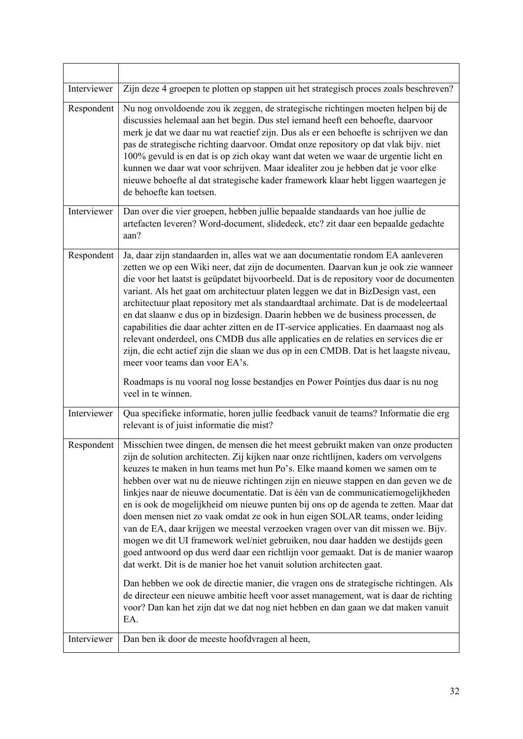| Interviewer | Zijn deze 4 groepen te plotten op stappen uit het strategisch proces zoals beschreven?                                                                                                                                                                                                                                                                                                                                                                                                                                                                                                                                                                                                                                                                                                                                                                                                                                                                                                                                                                                                                                                                                                                                    |
|-------------|---------------------------------------------------------------------------------------------------------------------------------------------------------------------------------------------------------------------------------------------------------------------------------------------------------------------------------------------------------------------------------------------------------------------------------------------------------------------------------------------------------------------------------------------------------------------------------------------------------------------------------------------------------------------------------------------------------------------------------------------------------------------------------------------------------------------------------------------------------------------------------------------------------------------------------------------------------------------------------------------------------------------------------------------------------------------------------------------------------------------------------------------------------------------------------------------------------------------------|
| Respondent  | Nu nog onvoldoende zou ik zeggen, de strategische richtingen moeten helpen bij de<br>discussies helemaal aan het begin. Dus stel iemand heeft een behoefte, daarvoor<br>merk je dat we daar nu wat reactief zijn. Dus als er een behoefte is schrijven we dan<br>pas de strategische richting daarvoor. Omdat onze repository op dat vlak bijv. niet<br>100% gevuld is en dat is op zich okay want dat weten we waar de urgentie licht en<br>kunnen we daar wat voor schrijven. Maar idealiter zou je hebben dat je voor elke<br>nieuwe behoefte al dat strategische kader framework klaar hebt liggen waartegen je<br>de behoefte kan toetsen.                                                                                                                                                                                                                                                                                                                                                                                                                                                                                                                                                                           |
| Interviewer | Dan over die vier groepen, hebben jullie bepaalde standaards van hoe jullie de<br>artefacten leveren? Word-document, slidedeck, etc? zit daar een bepaalde gedachte<br>aan?                                                                                                                                                                                                                                                                                                                                                                                                                                                                                                                                                                                                                                                                                                                                                                                                                                                                                                                                                                                                                                               |
| Respondent  | Ja, daar zijn standaarden in, alles wat we aan documentatie rondom EA aanleveren<br>zetten we op een Wiki neer, dat zijn de documenten. Daarvan kun je ook zie wanneer<br>die voor het laatst is geüpdatet bijvoorbeeld. Dat is de repository voor de documenten<br>variant. Als het gaat om architectuur platen leggen we dat in BizDesign vast, een<br>architectuur plaat repository met als standaardtaal archimate. Dat is de modeleertaal<br>en dat slaanw e dus op in bizdesign. Daarin hebben we de business processen, de<br>capabilities die daar achter zitten en de IT-service applicaties. En daarnaast nog als<br>relevant onderdeel, ons CMDB dus alle applicaties en de relaties en services die er<br>zijn, die echt actief zijn die slaan we dus op in een CMDB. Dat is het laagste niveau,<br>meer voor teams dan voor EA's.<br>Roadmaps is nu vooral nog losse bestandjes en Power Pointjes dus daar is nu nog<br>veel in te winnen.                                                                                                                                                                                                                                                                   |
| Interviewer | Qua specifieke informatie, horen jullie feedback vanuit de teams? Informatie die erg<br>relevant is of juist informatie die mist?                                                                                                                                                                                                                                                                                                                                                                                                                                                                                                                                                                                                                                                                                                                                                                                                                                                                                                                                                                                                                                                                                         |
| Respondent  | Misschien twee dingen, de mensen die het meest gebruikt maken van onze producten<br>zijn de solution architecten. Zij kijken naar onze richtlijnen, kaders om vervolgens<br>keuzes te maken in hun teams met hun Po's. Elke maand komen we samen om te<br>hebben over wat nu de nieuwe richtingen zijn en nieuwe stappen en dan geven we de<br>linkjes naar de nieuwe documentatie. Dat is één van de communicatiemogelijkheden<br>en is ook de mogelijkheid om nieuwe punten bij ons op de agenda te zetten. Maar dat<br>doen mensen niet zo vaak omdat ze ook in hun eigen SOLAR teams, onder leiding<br>van de EA, daar krijgen we meestal verzoeken vragen over van dit missen we. Bijv.<br>mogen we dit UI framework wel/niet gebruiken, nou daar hadden we destijds geen<br>goed antwoord op dus werd daar een richtlijn voor gemaakt. Dat is de manier waarop<br>dat werkt. Dit is de manier hoe het vanuit solution architecten gaat.<br>Dan hebben we ook de directie manier, die vragen ons de strategische richtingen. Als<br>de directeur een nieuwe ambitie heeft voor asset management, wat is daar de richting<br>voor? Dan kan het zijn dat we dat nog niet hebben en dan gaan we dat maken vanuit<br>EA. |
| Interviewer | Dan ben ik door de meeste hoofdvragen al heen,                                                                                                                                                                                                                                                                                                                                                                                                                                                                                                                                                                                                                                                                                                                                                                                                                                                                                                                                                                                                                                                                                                                                                                            |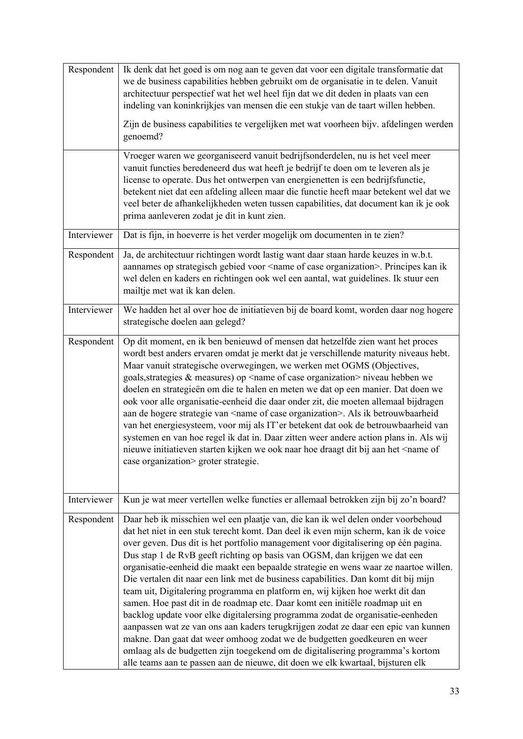| Respondent  | Ik denk dat het goed is om nog aan te geven dat voor een digitale transformatie dat<br>we de business capabilities hebben gebruikt om de organisatie in te delen. Vanuit<br>architectuur perspectief wat het wel heel fijn dat we dit deden in plaats van een<br>indeling van koninkrijkjes van mensen die een stukje van de taart willen hebben.<br>Zijn de business capabilities te vergelijken met wat voorheen bijv. afdelingen werden<br>genoemd?<br>Vroeger waren we georganiseerd vanuit bedrijfsonderdelen, nu is het veel meer<br>vanuit functies beredeneerd dus wat heeft je bedrijf te doen om te leveren als je<br>license to operate. Dus het ontwerpen van energienetten is een bedrijfsfunctie,<br>betekent niet dat een afdeling alleen maar die functie heeft maar betekent wel dat we                                                                                                                                                                                                                                                                                                             |
|-------------|----------------------------------------------------------------------------------------------------------------------------------------------------------------------------------------------------------------------------------------------------------------------------------------------------------------------------------------------------------------------------------------------------------------------------------------------------------------------------------------------------------------------------------------------------------------------------------------------------------------------------------------------------------------------------------------------------------------------------------------------------------------------------------------------------------------------------------------------------------------------------------------------------------------------------------------------------------------------------------------------------------------------------------------------------------------------------------------------------------------------|
|             | veel beter de afhankelijkheden weten tussen capabilities, dat document kan ik je ook<br>prima aanleveren zodat je dit in kunt zien.                                                                                                                                                                                                                                                                                                                                                                                                                                                                                                                                                                                                                                                                                                                                                                                                                                                                                                                                                                                  |
| Interviewer | Dat is fijn, in hoeverre is het verder mogelijk om documenten in te zien?                                                                                                                                                                                                                                                                                                                                                                                                                                                                                                                                                                                                                                                                                                                                                                                                                                                                                                                                                                                                                                            |
| Respondent  | Ja, de architectuur richtingen wordt lastig want daar staan harde keuzes in w.b.t.<br>aannames op strategisch gebied voor <name case="" of="" organization="">. Principes kan ik<br/>wel delen en kaders en richtingen ook wel een aantal, wat guidelines. Ik stuur een<br/>mailtje met wat ik kan delen.</name>                                                                                                                                                                                                                                                                                                                                                                                                                                                                                                                                                                                                                                                                                                                                                                                                     |
| Interviewer | We hadden het al over hoe de initiatieven bij de board komt, worden daar nog hogere<br>strategische doelen aan gelegd?                                                                                                                                                                                                                                                                                                                                                                                                                                                                                                                                                                                                                                                                                                                                                                                                                                                                                                                                                                                               |
| Respondent  | Op dit moment, en ik ben benieuwd of mensen dat hetzelfde zien want het proces<br>wordt best anders ervaren omdat je merkt dat je verschillende maturity niveaus hebt.<br>Maar vanuit strategische overwegingen, we werken met OGMS (Objectives,<br>goals, strategies & measures) op <name case="" of="" organization=""> niveau hebben we<br/>doelen en strategieën om die te halen en meten we dat op een manier. Dat doen we<br/>ook voor alle organisatie-eenheid die daar onder zit, die moeten allemaal bijdragen<br/>aan de hogere strategie van <name case="" of="" organization="">. Als ik betrouwbaarheid<br/>van het energiesysteem, voor mij als IT'er betekent dat ook de betrouwbaarheid van<br/>systemen en van hoe regel ik dat in. Daar zitten weer andere action plans in. Als wij<br/>nieuwe initiatieven starten kijken we ook naar hoe draagt dit bij aan het <name of<br="">case organization&gt; groter strategie.</name></name></name>                                                                                                                                                      |
| Interviewer | Kun je wat meer vertellen welke functies er allemaal betrokken zijn bij zo'n board?                                                                                                                                                                                                                                                                                                                                                                                                                                                                                                                                                                                                                                                                                                                                                                                                                                                                                                                                                                                                                                  |
| Respondent  | Daar heb ik misschien wel een plaatje van, die kan ik wel delen onder voorbehoud<br>dat het niet in een stuk terecht komt. Dan deel ik even mijn scherm, kan ik de voice<br>over geven. Dus dit is het portfolio management voor digitalisering op één pagina.<br>Dus stap 1 de RvB geeft richting op basis van OGSM, dan krijgen we dat een<br>organisatie-eenheid die maakt een bepaalde strategie en wens waar ze naartoe willen.<br>Die vertalen dit naar een link met de business capabilities. Dan komt dit bij mijn<br>team uit, Digitalering programma en platform en, wij kijken hoe werkt dit dan<br>samen. Hoe past dit in de roadmap etc. Daar komt een initiële roadmap uit en<br>backlog update voor elke digitalersing programma zodat de organisatie-eenheden<br>aanpassen wat ze van ons aan kaders terugkrijgen zodat ze daar een epic van kunnen<br>makne. Dan gaat dat weer omhoog zodat we de budgetten goedkeuren en weer<br>omlaag als de budgetten zijn toegekend om de digitalisering programma's kortom<br>alle teams aan te passen aan de nieuwe, dit doen we elk kwartaal, bijsturen elk |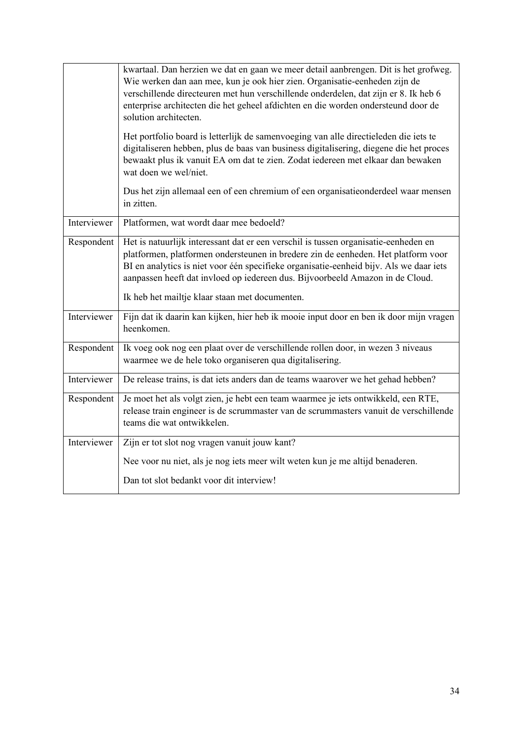|             | kwartaal. Dan herzien we dat en gaan we meer detail aanbrengen. Dit is het grofweg.<br>Wie werken dan aan mee, kun je ook hier zien. Organisatie-eenheden zijn de<br>verschillende directeuren met hun verschillende onderdelen, dat zijn er 8. Ik heb 6<br>enterprise architecten die het geheel afdichten en die worden ondersteund door de<br>solution architecten.<br>Het portfolio board is letterlijk de samenvoeging van alle directieleden die iets te<br>digitaliseren hebben, plus de baas van business digitalisering, diegene die het proces<br>bewaakt plus ik vanuit EA om dat te zien. Zodat iedereen met elkaar dan bewaken<br>wat doen we wel/niet. |
|-------------|----------------------------------------------------------------------------------------------------------------------------------------------------------------------------------------------------------------------------------------------------------------------------------------------------------------------------------------------------------------------------------------------------------------------------------------------------------------------------------------------------------------------------------------------------------------------------------------------------------------------------------------------------------------------|
|             | Dus het zijn allemaal een of een chremium of een organisatieonderdeel waar mensen<br>in zitten.                                                                                                                                                                                                                                                                                                                                                                                                                                                                                                                                                                      |
| Interviewer | Platformen, wat wordt daar mee bedoeld?                                                                                                                                                                                                                                                                                                                                                                                                                                                                                                                                                                                                                              |
| Respondent  | Het is natuurlijk interessant dat er een verschil is tussen organisatie-eenheden en<br>platformen, platformen ondersteunen in bredere zin de eenheden. Het platform voor<br>BI en analytics is niet voor één specifieke organisatie-eenheid bijv. Als we daar iets<br>aanpassen heeft dat invloed op iedereen dus. Bijvoorbeeld Amazon in de Cloud.<br>Ik heb het mailtje klaar staan met documenten.                                                                                                                                                                                                                                                                |
| Interviewer | Fijn dat ik daarin kan kijken, hier heb ik mooie input door en ben ik door mijn vragen<br>heenkomen.                                                                                                                                                                                                                                                                                                                                                                                                                                                                                                                                                                 |
| Respondent  | Ik voeg ook nog een plaat over de verschillende rollen door, in wezen 3 niveaus<br>waarmee we de hele toko organiseren qua digitalisering.                                                                                                                                                                                                                                                                                                                                                                                                                                                                                                                           |
| Interviewer | De release trains, is dat iets anders dan de teams waarover we het gehad hebben?                                                                                                                                                                                                                                                                                                                                                                                                                                                                                                                                                                                     |
| Respondent  | Je moet het als volgt zien, je hebt een team waarmee je iets ontwikkeld, een RTE,<br>release train engineer is de scrummaster van de scrummasters vanuit de verschillende<br>teams die wat ontwikkelen.                                                                                                                                                                                                                                                                                                                                                                                                                                                              |
| Interviewer | Zijn er tot slot nog vragen vanuit jouw kant?                                                                                                                                                                                                                                                                                                                                                                                                                                                                                                                                                                                                                        |
|             | Nee voor nu niet, als je nog iets meer wilt weten kun je me altijd benaderen.                                                                                                                                                                                                                                                                                                                                                                                                                                                                                                                                                                                        |
|             | Dan tot slot bedankt voor dit interview!                                                                                                                                                                                                                                                                                                                                                                                                                                                                                                                                                                                                                             |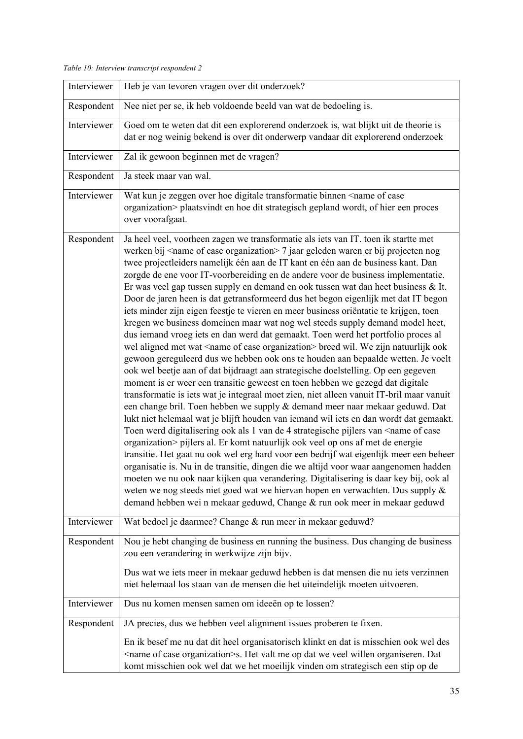*Table 10: Interview transcript respondent 2* 

| Interviewer | Heb je van tevoren vragen over dit onderzoek?                                                                                                                                                                                                                                                                                                                                                                                                                                                                                                                                                                                                                                                                                                                                                                                                                                                                                                                                                                                                                                                                                                                                                                                                                                                                                                                                                                                                                                                                                                                                                                                                                                                                                                                                                                                                                                                                                                                                                                                                                                                                    |
|-------------|------------------------------------------------------------------------------------------------------------------------------------------------------------------------------------------------------------------------------------------------------------------------------------------------------------------------------------------------------------------------------------------------------------------------------------------------------------------------------------------------------------------------------------------------------------------------------------------------------------------------------------------------------------------------------------------------------------------------------------------------------------------------------------------------------------------------------------------------------------------------------------------------------------------------------------------------------------------------------------------------------------------------------------------------------------------------------------------------------------------------------------------------------------------------------------------------------------------------------------------------------------------------------------------------------------------------------------------------------------------------------------------------------------------------------------------------------------------------------------------------------------------------------------------------------------------------------------------------------------------------------------------------------------------------------------------------------------------------------------------------------------------------------------------------------------------------------------------------------------------------------------------------------------------------------------------------------------------------------------------------------------------------------------------------------------------------------------------------------------------|
| Respondent  | Nee niet per se, ik heb voldoende beeld van wat de bedoeling is.                                                                                                                                                                                                                                                                                                                                                                                                                                                                                                                                                                                                                                                                                                                                                                                                                                                                                                                                                                                                                                                                                                                                                                                                                                                                                                                                                                                                                                                                                                                                                                                                                                                                                                                                                                                                                                                                                                                                                                                                                                                 |
| Interviewer | Goed om te weten dat dit een explorerend onderzoek is, wat blijkt uit de theorie is<br>dat er nog weinig bekend is over dit onderwerp vandaar dit explorerend onderzoek                                                                                                                                                                                                                                                                                                                                                                                                                                                                                                                                                                                                                                                                                                                                                                                                                                                                                                                                                                                                                                                                                                                                                                                                                                                                                                                                                                                                                                                                                                                                                                                                                                                                                                                                                                                                                                                                                                                                          |
| Interviewer | Zal ik gewoon beginnen met de vragen?                                                                                                                                                                                                                                                                                                                                                                                                                                                                                                                                                                                                                                                                                                                                                                                                                                                                                                                                                                                                                                                                                                                                                                                                                                                                                                                                                                                                                                                                                                                                                                                                                                                                                                                                                                                                                                                                                                                                                                                                                                                                            |
| Respondent  | Ja steek maar van wal.                                                                                                                                                                                                                                                                                                                                                                                                                                                                                                                                                                                                                                                                                                                                                                                                                                                                                                                                                                                                                                                                                                                                                                                                                                                                                                                                                                                                                                                                                                                                                                                                                                                                                                                                                                                                                                                                                                                                                                                                                                                                                           |
| Interviewer | Wat kun je zeggen over hoe digitale transformatie binnen <name case<br="" of="">organization&gt; plaatsvindt en hoe dit strategisch gepland wordt, of hier een proces<br/>over voorafgaat.</name>                                                                                                                                                                                                                                                                                                                                                                                                                                                                                                                                                                                                                                                                                                                                                                                                                                                                                                                                                                                                                                                                                                                                                                                                                                                                                                                                                                                                                                                                                                                                                                                                                                                                                                                                                                                                                                                                                                                |
| Respondent  | Ja heel veel, voorheen zagen we transformatie als iets van IT. toen ik startte met<br>werken bij <name case="" of="" organization=""> 7 jaar geleden waren er bij projecten nog<br/>twee projectleiders namelijk één aan de IT kant en één aan de business kant. Dan<br/>zorgde de ene voor IT-voorbereiding en de andere voor de business implementatie.<br/>Er was veel gap tussen supply en demand en ook tussen wat dan heet business &amp; It.<br/>Door de jaren heen is dat getransformeerd dus het begon eigenlijk met dat IT begon<br/>iets minder zijn eigen feestje te vieren en meer business oriëntatie te krijgen, toen<br/>kregen we business domeinen maar wat nog wel steeds supply demand model heet,<br/>dus iemand vroeg iets en dan werd dat gemaakt. Toen werd het portfolio proces al<br/>wel aligned met wat <name case="" of="" organization=""> breed wil. We zijn natuurlijk ook<br/>gewoon gereguleerd dus we hebben ook ons te houden aan bepaalde wetten. Je voelt<br/>ook wel beetje aan of dat bijdraagt aan strategische doelstelling. Op een gegeven<br/>moment is er weer een transitie geweest en toen hebben we gezegd dat digitale<br/>transformatie is iets wat je integraal moet zien, niet alleen vanuit IT-bril maar vanuit<br/>een change bril. Toen hebben we supply &amp; demand meer naar mekaar geduwd. Dat<br/>lukt niet helemaal wat je blijft houden van iemand wil iets en dan wordt dat gemaakt.<br/>Toen werd digitalisering ook als 1 van de 4 strategische pijlers van <name case<br="" of="">organization&gt; pijlers al. Er komt natuurlijk ook veel op ons af met de energie<br/>transitie. Het gaat nu ook wel erg hard voor een bedrijf wat eigenlijk meer een beheer<br/>organisatie is. Nu in de transitie, dingen die we altijd voor waar aangenomen hadden<br/>moeten we nu ook naar kijken qua verandering. Digitalisering is daar key bij, ook al<br/>weten we nog steeds niet goed wat we hiervan hopen en verwachten. Dus supply &amp;<br/>demand hebben wei n mekaar geduwd, Change &amp; run ook meer in mekaar geduwd</name></name></name> |
| Interviewer | Wat bedoel je daarmee? Change & run meer in mekaar geduwd?                                                                                                                                                                                                                                                                                                                                                                                                                                                                                                                                                                                                                                                                                                                                                                                                                                                                                                                                                                                                                                                                                                                                                                                                                                                                                                                                                                                                                                                                                                                                                                                                                                                                                                                                                                                                                                                                                                                                                                                                                                                       |
| Respondent  | Nou je hebt changing de business en running the business. Dus changing de business<br>zou een verandering in werkwijze zijn bijv.<br>Dus wat we iets meer in mekaar geduwd hebben is dat mensen die nu iets verzinnen<br>niet helemaal los staan van de mensen die het uiteindelijk moeten uitvoeren.                                                                                                                                                                                                                                                                                                                                                                                                                                                                                                                                                                                                                                                                                                                                                                                                                                                                                                                                                                                                                                                                                                                                                                                                                                                                                                                                                                                                                                                                                                                                                                                                                                                                                                                                                                                                            |
| Interviewer | Dus nu komen mensen samen om ideeën op te lossen?                                                                                                                                                                                                                                                                                                                                                                                                                                                                                                                                                                                                                                                                                                                                                                                                                                                                                                                                                                                                                                                                                                                                                                                                                                                                                                                                                                                                                                                                                                                                                                                                                                                                                                                                                                                                                                                                                                                                                                                                                                                                |
| Respondent  | JA precies, dus we hebben veel alignment issues proberen te fixen.                                                                                                                                                                                                                                                                                                                                                                                                                                                                                                                                                                                                                                                                                                                                                                                                                                                                                                                                                                                                                                                                                                                                                                                                                                                                                                                                                                                                                                                                                                                                                                                                                                                                                                                                                                                                                                                                                                                                                                                                                                               |
|             | En ik besef me nu dat dit heel organisatorisch klinkt en dat is misschien ook wel des<br><name case="" of="" organization="">s. Het valt me op dat we veel willen organiseren. Dat<br/>komt misschien ook wel dat we het moeilijk vinden om strategisch een stip op de</name>                                                                                                                                                                                                                                                                                                                                                                                                                                                                                                                                                                                                                                                                                                                                                                                                                                                                                                                                                                                                                                                                                                                                                                                                                                                                                                                                                                                                                                                                                                                                                                                                                                                                                                                                                                                                                                    |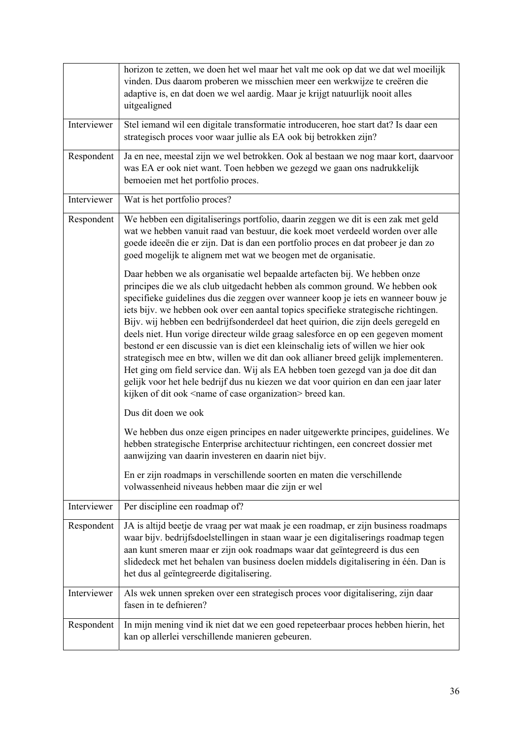|             | horizon te zetten, we doen het wel maar het valt me ook op dat we dat wel moeilijk<br>vinden. Dus daarom proberen we misschien meer een werkwijze te creëren die<br>adaptive is, en dat doen we wel aardig. Maar je krijgt natuurlijk nooit alles<br>uitgealigned                                                                                                                                                                                                                                                                                                                                                                                                                                                                                                                                                                                                                                                                                  |
|-------------|----------------------------------------------------------------------------------------------------------------------------------------------------------------------------------------------------------------------------------------------------------------------------------------------------------------------------------------------------------------------------------------------------------------------------------------------------------------------------------------------------------------------------------------------------------------------------------------------------------------------------------------------------------------------------------------------------------------------------------------------------------------------------------------------------------------------------------------------------------------------------------------------------------------------------------------------------|
| Interviewer | Stel iemand wil een digitale transformatie introduceren, hoe start dat? Is daar een<br>strategisch proces voor waar jullie als EA ook bij betrokken zijn?                                                                                                                                                                                                                                                                                                                                                                                                                                                                                                                                                                                                                                                                                                                                                                                          |
| Respondent  | Ja en nee, meestal zijn we wel betrokken. Ook al bestaan we nog maar kort, daarvoor<br>was EA er ook niet want. Toen hebben we gezegd we gaan ons nadrukkelijk<br>bemoeien met het portfolio proces.                                                                                                                                                                                                                                                                                                                                                                                                                                                                                                                                                                                                                                                                                                                                               |
| Interviewer | Wat is het portfolio proces?                                                                                                                                                                                                                                                                                                                                                                                                                                                                                                                                                                                                                                                                                                                                                                                                                                                                                                                       |
| Respondent  | We hebben een digitaliserings portfolio, daarin zeggen we dit is een zak met geld<br>wat we hebben vanuit raad van bestuur, die koek moet verdeeld worden over alle<br>goede ideeën die er zijn. Dat is dan een portfolio proces en dat probeer je dan zo<br>goed mogelijk te alignem met wat we beogen met de organisatie.                                                                                                                                                                                                                                                                                                                                                                                                                                                                                                                                                                                                                        |
|             | Daar hebben we als organisatie wel bepaalde artefacten bij. We hebben onze<br>principes die we als club uitgedacht hebben als common ground. We hebben ook<br>specifieke guidelines dus die zeggen over wanneer koop je iets en wanneer bouw je<br>iets bijv. we hebben ook over een aantal topics specifieke strategische richtingen.<br>Bijv. wij hebben een bedrijfsonderdeel dat heet quirion, die zijn deels geregeld en<br>deels niet. Hun vorige directeur wilde graag salesforce en op een gegeven moment<br>bestond er een discussie van is diet een kleinschalig iets of willen we hier ook<br>strategisch mee en btw, willen we dit dan ook allianer breed gelijk implementeren.<br>Het ging om field service dan. Wij als EA hebben toen gezegd van ja doe dit dan<br>gelijk voor het hele bedrijf dus nu kiezen we dat voor quirion en dan een jaar later<br>kijken of dit ook <name case="" of="" organization=""> breed kan.</name> |
|             | Dus dit doen we ook                                                                                                                                                                                                                                                                                                                                                                                                                                                                                                                                                                                                                                                                                                                                                                                                                                                                                                                                |
|             | We hebben dus onze eigen principes en nader uitgewerkte principes, guidelines. We<br>hebben strategische Enterprise architectuur richtingen, een concreet dossier met<br>aanwijzing van daarin investeren en daarin niet bijv.                                                                                                                                                                                                                                                                                                                                                                                                                                                                                                                                                                                                                                                                                                                     |
|             | En er zijn roadmaps in verschillende soorten en maten die verschillende<br>volwassenheid niveaus hebben maar die zijn er wel                                                                                                                                                                                                                                                                                                                                                                                                                                                                                                                                                                                                                                                                                                                                                                                                                       |
| Interviewer | Per discipline een roadmap of?                                                                                                                                                                                                                                                                                                                                                                                                                                                                                                                                                                                                                                                                                                                                                                                                                                                                                                                     |
| Respondent  | JA is altijd beetje de vraag per wat maak je een roadmap, er zijn business roadmaps<br>waar bijv. bedrijfsdoelstellingen in staan waar je een digitaliserings roadmap tegen<br>aan kunt smeren maar er zijn ook roadmaps waar dat geïntegreerd is dus een<br>slidedeck met het behalen van business doelen middels digitalisering in één. Dan is<br>het dus al geïntegreerde digitalisering.                                                                                                                                                                                                                                                                                                                                                                                                                                                                                                                                                       |
| Interviewer | Als wek unnen spreken over een strategisch proces voor digitalisering, zijn daar<br>fasen in te defnieren?                                                                                                                                                                                                                                                                                                                                                                                                                                                                                                                                                                                                                                                                                                                                                                                                                                         |
| Respondent  | In mijn mening vind ik niet dat we een goed repeteerbaar proces hebben hierin, het<br>kan op allerlei verschillende manieren gebeuren.                                                                                                                                                                                                                                                                                                                                                                                                                                                                                                                                                                                                                                                                                                                                                                                                             |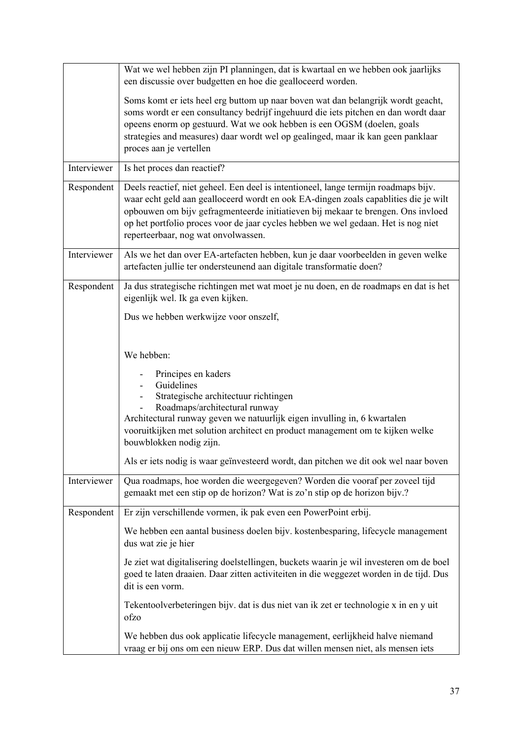|             | Wat we wel hebben zijn PI planningen, dat is kwartaal en we hebben ook jaarlijks<br>een discussie over budgetten en hoe die gealloceerd worden.                                                                                                                                                                                                                                            |
|-------------|--------------------------------------------------------------------------------------------------------------------------------------------------------------------------------------------------------------------------------------------------------------------------------------------------------------------------------------------------------------------------------------------|
|             | Soms komt er iets heel erg buttom up naar boven wat dan belangrijk wordt geacht,<br>soms wordt er een consultancy bedrijf ingehuurd die iets pitchen en dan wordt daar<br>opeens enorm op gestuurd. Wat we ook hebben is een OGSM (doelen, goals<br>strategies and measures) daar wordt wel op gealinged, maar ik kan geen panklaar<br>proces aan je vertellen                             |
| Interviewer | Is het proces dan reactief?                                                                                                                                                                                                                                                                                                                                                                |
| Respondent  | Deels reactief, niet geheel. Een deel is intentioneel, lange termijn roadmaps bijv.<br>waar echt geld aan gealloceerd wordt en ook EA-dingen zoals capablities die je wilt<br>opbouwen om bijv gefragmenteerde initiatieven bij mekaar te brengen. Ons invloed<br>op het portfolio proces voor de jaar cycles hebben we wel gedaan. Het is nog niet<br>reperteerbaar, nog wat onvolwassen. |
| Interviewer | Als we het dan over EA-artefacten hebben, kun je daar voorbeelden in geven welke<br>artefacten jullie ter ondersteunend aan digitale transformatie doen?                                                                                                                                                                                                                                   |
| Respondent  | Ja dus strategische richtingen met wat moet je nu doen, en de roadmaps en dat is het<br>eigenlijk wel. Ik ga even kijken.                                                                                                                                                                                                                                                                  |
|             | Dus we hebben werkwijze voor onszelf,                                                                                                                                                                                                                                                                                                                                                      |
|             | We hebben:                                                                                                                                                                                                                                                                                                                                                                                 |
|             | Principes en kaders<br>Guidelines<br>Strategische architectuur richtingen<br>Roadmaps/architectural runway<br>Architectural runway geven we natuurlijk eigen invulling in, 6 kwartalen<br>vooruitkijken met solution architect en product management om te kijken welke<br>bouwblokken nodig zijn.                                                                                         |
|             | Als er iets nodig is waar geïnvesteerd wordt, dan pitchen we dit ook wel naar boven                                                                                                                                                                                                                                                                                                        |
| Interviewer | Qua roadmaps, hoe worden die weergegeven? Worden die vooraf per zoveel tijd<br>gemaakt met een stip op de horizon? Wat is zo'n stip op de horizon bijv.?                                                                                                                                                                                                                                   |
| Respondent  | Er zijn verschillende vormen, ik pak even een PowerPoint erbij.                                                                                                                                                                                                                                                                                                                            |
|             | We hebben een aantal business doelen bijv. kostenbesparing, lifecycle management<br>dus wat zie je hier                                                                                                                                                                                                                                                                                    |
|             | Je ziet wat digitalisering doelstellingen, buckets waarin je wil investeren om de boel<br>goed te laten draaien. Daar zitten activiteiten in die weggezet worden in de tijd. Dus<br>dit is een vorm.                                                                                                                                                                                       |
|             | Tekentoolverbeteringen bijv. dat is dus niet van ik zet er technologie x in en y uit<br>ofzo                                                                                                                                                                                                                                                                                               |
|             | We hebben dus ook applicatie lifecycle management, eerlijkheid halve niemand<br>vraag er bij ons om een nieuw ERP. Dus dat willen mensen niet, als mensen iets                                                                                                                                                                                                                             |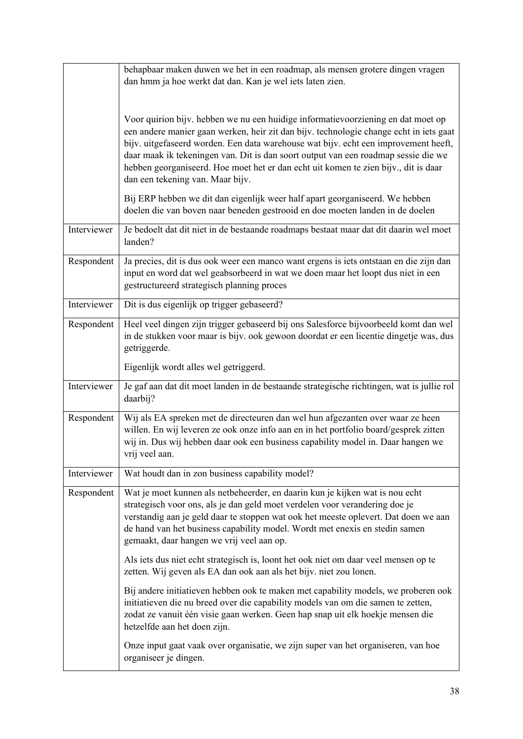|             | behapbaar maken duwen we het in een roadmap, als mensen grotere dingen vragen<br>dan hmm ja hoe werkt dat dan. Kan je wel iets laten zien.                                                                                                                                                                                                                                                                                                                                         |
|-------------|------------------------------------------------------------------------------------------------------------------------------------------------------------------------------------------------------------------------------------------------------------------------------------------------------------------------------------------------------------------------------------------------------------------------------------------------------------------------------------|
|             | Voor quirion bijv. hebben we nu een huidige informatievoorziening en dat moet op<br>een andere manier gaan werken, heir zit dan bijv. technologie change echt in iets gaat<br>bijv. uitgefaseerd worden. Een data warehouse wat bijv. echt een improvement heeft,<br>daar maak ik tekeningen van. Dit is dan soort output van een roadmap sessie die we<br>hebben georganiseerd. Hoe moet het er dan echt uit komen te zien bijv., dit is daar<br>dan een tekening van. Maar bijv. |
|             | Bij ERP hebben we dit dan eigenlijk weer half apart georganiseerd. We hebben<br>doelen die van boven naar beneden gestrooid en doe moeten landen in de doelen                                                                                                                                                                                                                                                                                                                      |
| Interviewer | Je bedoelt dat dit niet in de bestaande roadmaps bestaat maar dat dit daarin wel moet<br>landen?                                                                                                                                                                                                                                                                                                                                                                                   |
| Respondent  | Ja precies, dit is dus ook weer een manco want ergens is iets ontstaan en die zijn dan<br>input en word dat wel geabsorbeerd in wat we doen maar het loopt dus niet in een<br>gestructureerd strategisch planning proces                                                                                                                                                                                                                                                           |
| Interviewer | Dit is dus eigenlijk op trigger gebaseerd?                                                                                                                                                                                                                                                                                                                                                                                                                                         |
| Respondent  | Heel veel dingen zijn trigger gebaseerd bij ons Salesforce bijvoorbeeld komt dan wel<br>in de stukken voor maar is bijv. ook gewoon doordat er een licentie dingetje was, dus<br>getriggerde.                                                                                                                                                                                                                                                                                      |
|             | Eigenlijk wordt alles wel getriggerd.                                                                                                                                                                                                                                                                                                                                                                                                                                              |
| Interviewer | Je gaf aan dat dit moet landen in de bestaande strategische richtingen, wat is jullie rol<br>daarbij?                                                                                                                                                                                                                                                                                                                                                                              |
| Respondent  | Wij als EA spreken met de directeuren dan wel hun afgezanten over waar ze heen<br>willen. En wij leveren ze ook onze info aan en in het portfolio board/gesprek zitten<br>wij in. Dus wij hebben daar ook een business capability model in. Daar hangen we<br>vrij veel aan.                                                                                                                                                                                                       |
| Interviewer | Wat houdt dan in zon business capability model?                                                                                                                                                                                                                                                                                                                                                                                                                                    |
| Respondent  | Wat je moet kunnen als netbeheerder, en daarin kun je kijken wat is nou echt<br>strategisch voor ons, als je dan geld moet verdelen voor verandering doe je<br>verstandig aan je geld daar te stoppen wat ook het meeste oplevert. Dat doen we aan<br>de hand van het business capability model. Wordt met enexis en stedin samen<br>gemaakt, daar hangen we vrij veel aan op.                                                                                                     |
|             | Als iets dus niet echt strategisch is, loont het ook niet om daar veel mensen op te<br>zetten. Wij geven als EA dan ook aan als het bijv. niet zou lonen.                                                                                                                                                                                                                                                                                                                          |
|             | Bij andere initiatieven hebben ook te maken met capability models, we proberen ook<br>initiatieven die nu breed over die capability models van om die samen te zetten,<br>zodat ze vanuit één visie gaan werken. Geen hap snap uit elk hoekje mensen die<br>hetzelfde aan het doen zijn.                                                                                                                                                                                           |
|             | Onze input gaat vaak over organisatie, we zijn super van het organiseren, van hoe<br>organiseer je dingen.                                                                                                                                                                                                                                                                                                                                                                         |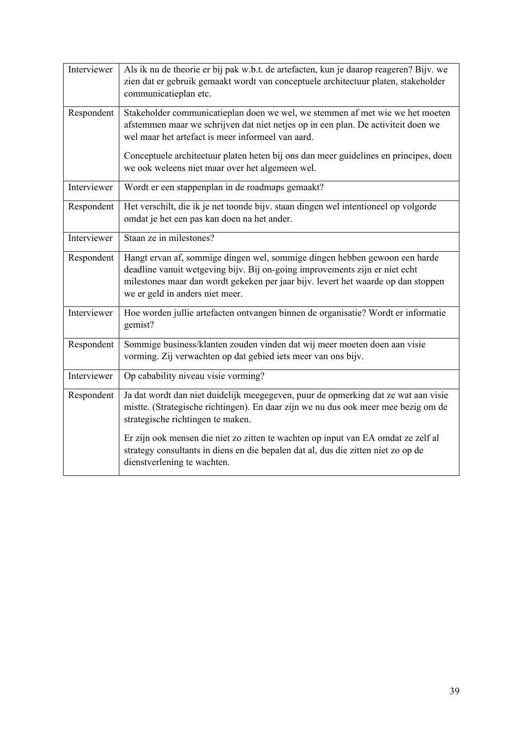| Interviewer | Als ik nu de theorie er bij pak w.b.t. de artefacten, kun je daarop reageren? Bijv. we<br>zien dat er gebruik gemaakt wordt van conceptuele architectuur platen, stakeholder<br>communicatieplan etc.                                                                             |
|-------------|-----------------------------------------------------------------------------------------------------------------------------------------------------------------------------------------------------------------------------------------------------------------------------------|
| Respondent  | Stakeholder communicatieplan doen we wel, we stemmen af met wie we het moeten<br>afstemmen maar we schrijven dat niet netjes op in een plan. De activiteit doen we<br>wel maar het artefact is meer informeel van aard.                                                           |
|             | Conceptuele architectuur platen heten bij ons dan meer guidelines en principes, doen<br>we ook weleens niet maar over het algemeen wel.                                                                                                                                           |
| Interviewer | Wordt er een stappenplan in de roadmaps gemaakt?                                                                                                                                                                                                                                  |
| Respondent  | Het verschilt, die ik je net toonde bijv. staan dingen wel intentioneel op volgorde<br>omdat je het een pas kan doen na het ander.                                                                                                                                                |
| Interviewer | Staan ze in milestones?                                                                                                                                                                                                                                                           |
| Respondent  | Hangt ervan af, sommige dingen wel, sommige dingen hebben gewoon een harde<br>deadline vanuit wetgeving bijv. Bij on-going improvements zijn er niet echt<br>milestones maar dan wordt gekeken per jaar bijv. levert het waarde op dan stoppen<br>we er geld in anders niet meer. |
| Interviewer | Hoe worden jullie artefacten ontvangen binnen de organisatie? Wordt er informatie<br>gemist?                                                                                                                                                                                      |
| Respondent  | Sommige business/klanten zouden vinden dat wij meer moeten doen aan visie<br>vorming. Zij verwachten op dat gebied iets meer van ons bijv.                                                                                                                                        |
| Interviewer | Op cabability niveau visie vorming?                                                                                                                                                                                                                                               |
| Respondent  | Ja dat wordt dan niet duidelijk meegegeven, puur de opmerking dat ze wat aan visie<br>mistte. (Strategische richtingen). En daar zijn we nu dus ook meer mee bezig om de<br>strategische richtingen te maken.                                                                     |
|             | Er zijn ook mensen die niet zo zitten te wachten op input van EA omdat ze zelf al<br>strategy consultants in diens en die bepalen dat al, dus die zitten niet zo op de<br>dienstverlening te wachten.                                                                             |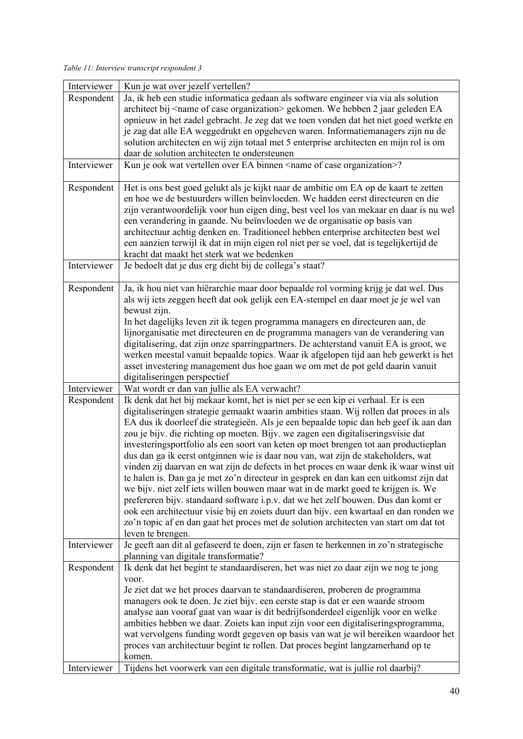*Table 11: Interview transcript respondent 3* 

| Interviewer | Kun je wat over jezelf vertellen?                                                              |
|-------------|------------------------------------------------------------------------------------------------|
| Respondent  | Ja, ik heb een studie informatica gedaan als software engineer via via als solution            |
|             | architect bij <name case="" of="" organization=""> gekomen. We hebben 2 jaar geleden EA</name> |
|             | opnieuw in het zadel gebracht. Je zeg dat we toen vonden dat het niet goed werkte en           |
|             | je zag dat alle EA weggedrukt en opgeheven waren. Informatiemanagers zijn nu de                |
|             | solution architecten en wij zijn totaal met 5 enterprise architecten en mijn rol is om         |
|             | daar de solution architecten te ondersteunen                                                   |
| Interviewer | Kun je ook wat vertellen over EA binnen <name case="" of="" organization="">?</name>           |
|             |                                                                                                |
| Respondent  | Het is ons best goed gelukt als je kijkt naar de ambitie om EA op de kaart te zetten           |
|             | en hoe we de bestuurders willen beïnvloeden. We hadden eerst directeuren en die                |
|             |                                                                                                |
|             | zijn verantwoordelijk voor hun eigen ding, best veel los van mekaar en daar is nu wel          |
|             | een verandering in gaande. Nu beïnvloeden we de organisatie op basis van                       |
|             | architectuur achtig denken en. Traditioneel hebben enterprise architecten best wel             |
|             | een aanzien terwijl ik dat in mijn eigen rol niet per se voel, dat is tegelijkertijd de        |
|             | kracht dat maakt het sterk wat we bedenken                                                     |
| Interviewer | Je bedoelt dat je dus erg dicht bij de collega's staat?                                        |
|             |                                                                                                |
| Respondent  | Ja, ik hou niet van hiërarchie maar door bepaalde rol vorming krijg je dat wel. Dus            |
|             | als wij iets zeggen heeft dat ook gelijk een EA-stempel en daar moet je je wel van             |
|             | bewust zijn.                                                                                   |
|             | In het dagelijks leven zit ik tegen programma managers en directeuren aan, de                  |
|             | lijnorganisatie met directeuren en de programma managers van de verandering van                |
|             | digitalisering, dat zijn onze sparringpartners. De achterstand vanuit EA is groot, we          |
|             | werken meestal vanuit bepaalde topics. Waar ik afgelopen tijd aan heb gewerkt is het           |
|             | asset investering management dus hoe gaan we om met de pot geld daarin vanuit                  |
|             | digitaliseringen perspectief                                                                   |
| Interviewer | Wat wordt er dan van jullie als EA verwacht?                                                   |
| Respondent  | Ik denk dat het bij mekaar komt, het is niet per se een kip ei verhaal. Er is een              |
|             | digitaliseringen strategie gemaakt waarin ambities staan. Wij rollen dat proces in als         |
|             | EA dus ik doorleef die strategieën. Als je een bepaalde topic dan heb geef ik aan dan          |
|             |                                                                                                |
|             |                                                                                                |
|             | zou je bijv. die richting op moeten. Bijv. we zagen een digitaliseringsvisie dat               |
|             | investeringsportfolio als een soort van keten op moet brengen tot aan productieplan            |
|             | dus dan ga ik eerst ontginnen wie is daar nou van, wat zijn de stakeholders, wat               |
|             | vinden zij daarvan en wat zijn de defects in het proces en waar denk ik waar winst uit         |
|             | te halen is. Dan ga je met zo'n directeur in gesprek en dan kan een uitkomst zijn dat          |
|             | we bijv. niet zelf iets willen bouwen maar wat in de markt goed te krijgen is. We              |
|             | prefereren bijv. standaard software i.p.v. dat we het zelf bouwen. Dus dan komt er             |
|             | ook een architectuur visie bij en zoiets duurt dan bijv. een kwartaal en dan ronden we         |
|             | zo'n topic af en dan gaat het proces met de solution architecten van start om dat tot          |
|             | leven te brengen.                                                                              |
| Interviewer | Je geeft aan dit al gefaseerd te doen, zijn er fasen te herkennen in zo'n strategische         |
|             | planning van digitale transformatie?                                                           |
| Respondent  | Ik denk dat het begint te standaardiseren, het was niet zo daar zijn we nog te jong            |
|             | voor.                                                                                          |
|             | Je ziet dat we het proces daarvan te standaardiseren, proberen de programma                    |
|             | managers ook te doen. Je ziet bijv. een eerste stap is dat er een waarde stroom                |
|             | analyse aan vooraf gaat van waar is dit bedrijfsonderdeel eigenlijk voor en welke              |
|             | ambities hebben we daar. Zoiets kan input zijn voor een digitaliseringsprogramma,              |
|             | wat vervolgens funding wordt gegeven op basis van wat je wil bereiken waardoor het             |
|             | proces van architectuur begint te rollen. Dat proces begint langzamerhand op te                |
|             | komen.                                                                                         |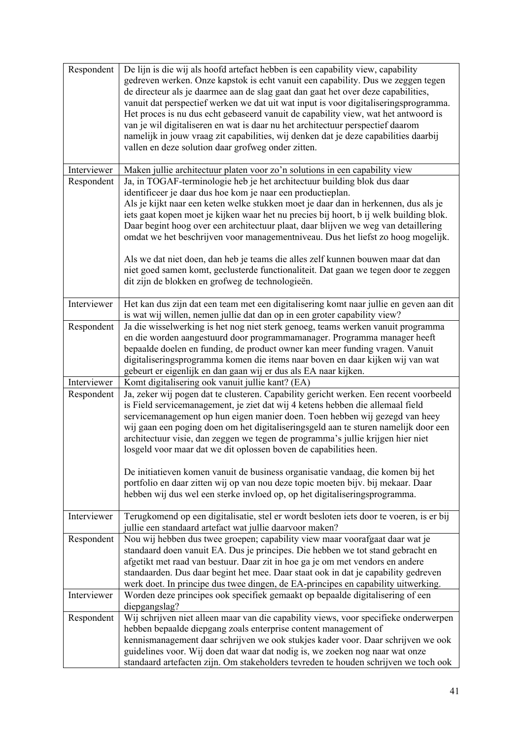| Respondent  | De lijn is die wij als hoofd artefact hebben is een capability view, capability<br>gedreven werken. Onze kapstok is echt vanuit een capability. Dus we zeggen tegen<br>de directeur als je daarmee aan de slag gaat dan gaat het over deze capabilities,<br>vanuit dat perspectief werken we dat uit wat input is voor digitaliseringsprogramma.<br>Het proces is nu dus echt gebaseerd vanuit de capability view, wat het antwoord is<br>van je wil digitaliseren en wat is daar nu het architectuur perspectief daarom<br>namelijk in jouw vraag zit capabilities, wij denken dat je deze capabilities daarbij<br>vallen en deze solution daar grofweg onder zitten.                                                                                     |
|-------------|------------------------------------------------------------------------------------------------------------------------------------------------------------------------------------------------------------------------------------------------------------------------------------------------------------------------------------------------------------------------------------------------------------------------------------------------------------------------------------------------------------------------------------------------------------------------------------------------------------------------------------------------------------------------------------------------------------------------------------------------------------|
| Interviewer | Maken jullie architectuur platen voor zo'n solutions in een capability view                                                                                                                                                                                                                                                                                                                                                                                                                                                                                                                                                                                                                                                                                |
| Respondent  | Ja, in TOGAF-terminologie heb je het architectuur building blok dus daar<br>identificeer je daar dus hoe kom je naar een productieplan.<br>Als je kijkt naar een keten welke stukken moet je daar dan in herkennen, dus als je<br>iets gaat kopen moet je kijken waar het nu precies bij hoort, b ij welk building blok.<br>Daar begint hoog over een architectuur plaat, daar blijven we weg van detaillering<br>omdat we het beschrijven voor managementniveau. Dus het liefst zo hoog mogelijk.<br>Als we dat niet doen, dan heb je teams die alles zelf kunnen bouwen maar dat dan                                                                                                                                                                     |
|             | niet goed samen komt, geclusterde functionaliteit. Dat gaan we tegen door te zeggen<br>dit zijn de blokken en grofweg de technologieën.                                                                                                                                                                                                                                                                                                                                                                                                                                                                                                                                                                                                                    |
| Interviewer | Het kan dus zijn dat een team met een digitalisering komt naar jullie en geven aan dit<br>is wat wij willen, nemen jullie dat dan op in een groter capability view?                                                                                                                                                                                                                                                                                                                                                                                                                                                                                                                                                                                        |
| Respondent  | Ja die wisselwerking is het nog niet sterk genoeg, teams werken vanuit programma<br>en die worden aangestuurd door programmamanager. Programma manager heeft<br>bepaalde doelen en funding, de product owner kan meer funding vragen. Vanuit<br>digitaliseringsprogramma komen die items naar boven en daar kijken wij van wat<br>gebeurt er eigenlijk en dan gaan wij er dus als EA naar kijken.                                                                                                                                                                                                                                                                                                                                                          |
| Interviewer | Komt digitalisering ook vanuit jullie kant? (EA)                                                                                                                                                                                                                                                                                                                                                                                                                                                                                                                                                                                                                                                                                                           |
| Respondent  | Ja, zeker wij pogen dat te clusteren. Capability gericht werken. Een recent voorbeeld<br>is Field servicemanagement, je ziet dat wij 4 ketens hebben die allemaal field<br>servicemanagement op hun eigen manier doen. Toen hebben wij gezegd van heey<br>wij gaan een poging doen om het digitaliseringsgeld aan te sturen namelijk door een<br>architectuur visie, dan zeggen we tegen de programma's jullie krijgen hier niet<br>losgeld voor maar dat we dit oplossen boven de capabilities heen.<br>De initiatieven komen vanuit de business organisatie vandaag, die komen bij het<br>portfolio en daar zitten wij op van nou deze topic moeten bijv. bij mekaar. Daar<br>hebben wij dus wel een sterke invloed op, op het digitaliseringsprogramma. |
| Interviewer | Terugkomend op een digitalisatie, stel er wordt besloten iets door te voeren, is er bij<br>jullie een standaard artefact wat jullie daarvoor maken?                                                                                                                                                                                                                                                                                                                                                                                                                                                                                                                                                                                                        |
| Respondent  | Nou wij hebben dus twee groepen; capability view maar voorafgaat daar wat je<br>standaard doen vanuit EA. Dus je principes. Die hebben we tot stand gebracht en<br>afgetikt met raad van bestuur. Daar zit in hoe ga je om met vendors en andere<br>standaarden. Dus daar begint het mee. Daar staat ook in dat je capability gedreven<br>werk doet. In principe dus twee dingen, de EA-principes en capability uitwerking.                                                                                                                                                                                                                                                                                                                                |
| Interviewer | Worden deze principes ook specifiek gemaakt op bepaalde digitalisering of een<br>diepgangslag?                                                                                                                                                                                                                                                                                                                                                                                                                                                                                                                                                                                                                                                             |
| Respondent  | Wij schrijven niet alleen maar van die capability views, voor specifieke onderwerpen<br>hebben bepaalde diepgang zoals enterprise content management of<br>kennismanagement daar schrijven we ook stukjes kader voor. Daar schrijven we ook<br>guidelines voor. Wij doen dat waar dat nodig is, we zoeken nog naar wat onze<br>standaard artefacten zijn. Om stakeholders tevreden te houden schrijven we toch ook                                                                                                                                                                                                                                                                                                                                         |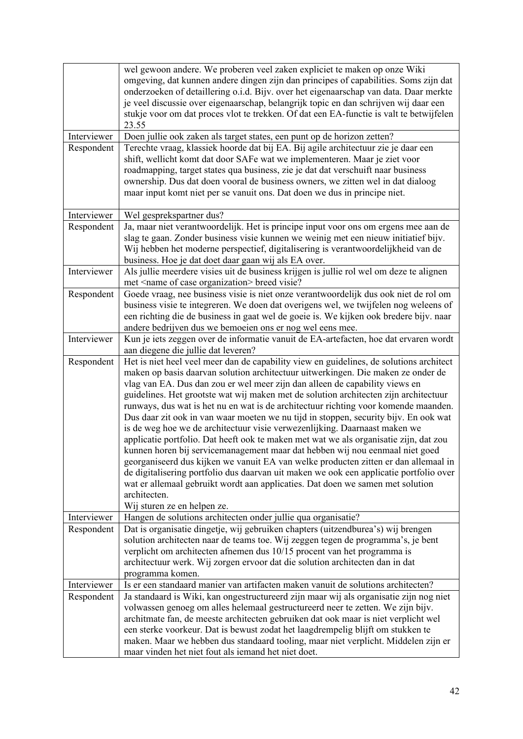|             | wel gewoon andere. We proberen veel zaken expliciet te maken op onze Wiki<br>omgeving, dat kunnen andere dingen zijn dan principes of capabilities. Soms zijn dat<br>onderzoeken of detaillering o.i.d. Bijv. over het eigenaarschap van data. Daar merkte<br>je veel discussie over eigenaarschap, belangrijk topic en dan schrijven wij daar een<br>stukje voor om dat proces vlot te trekken. Of dat een EA-functie is valt te betwijfelen<br>23.55 |
|-------------|--------------------------------------------------------------------------------------------------------------------------------------------------------------------------------------------------------------------------------------------------------------------------------------------------------------------------------------------------------------------------------------------------------------------------------------------------------|
| Interviewer | Doen jullie ook zaken als target states, een punt op de horizon zetten?                                                                                                                                                                                                                                                                                                                                                                                |
| Respondent  | Terechte vraag, klassiek hoorde dat bij EA. Bij agile architectuur zie je daar een                                                                                                                                                                                                                                                                                                                                                                     |
|             | shift, wellicht komt dat door SAFe wat we implementeren. Maar je ziet voor                                                                                                                                                                                                                                                                                                                                                                             |
|             | roadmapping, target states qua business, zie je dat dat verschuift naar business                                                                                                                                                                                                                                                                                                                                                                       |
|             | ownership. Dus dat doen vooral de business owners, we zitten wel in dat dialoog                                                                                                                                                                                                                                                                                                                                                                        |
|             | maar input komt niet per se vanuit ons. Dat doen we dus in principe niet.                                                                                                                                                                                                                                                                                                                                                                              |
|             |                                                                                                                                                                                                                                                                                                                                                                                                                                                        |
| Interviewer | Wel gesprekspartner dus?                                                                                                                                                                                                                                                                                                                                                                                                                               |
| Respondent  | Ja, maar niet verantwoordelijk. Het is principe input voor ons om ergens mee aan de                                                                                                                                                                                                                                                                                                                                                                    |
|             | slag te gaan. Zonder business visie kunnen we weinig met een nieuw initiatief bijv.                                                                                                                                                                                                                                                                                                                                                                    |
|             | Wij hebben het moderne perspectief, digitalisering is verantwoordelijkheid van de                                                                                                                                                                                                                                                                                                                                                                      |
|             | business. Hoe je dat doet daar gaan wij als EA over.                                                                                                                                                                                                                                                                                                                                                                                                   |
| Interviewer | Als jullie meerdere visies uit de business krijgen is jullie rol wel om deze te alignen                                                                                                                                                                                                                                                                                                                                                                |
|             | met <name case="" of="" organization=""> breed visie?</name>                                                                                                                                                                                                                                                                                                                                                                                           |
| Respondent  | Goede vraag, nee business visie is niet onze verantwoordelijk dus ook niet de rol om                                                                                                                                                                                                                                                                                                                                                                   |
|             | business visie te integreren. We doen dat overigens wel, we twijfelen nog weleens of                                                                                                                                                                                                                                                                                                                                                                   |
|             | een richting die de business in gaat wel de goeie is. We kijken ook bredere bijv. naar<br>andere bedrijven dus we bemoeien ons er nog wel eens mee.                                                                                                                                                                                                                                                                                                    |
| Interviewer | Kun je iets zeggen over de informatie vanuit de EA-artefacten, hoe dat ervaren wordt                                                                                                                                                                                                                                                                                                                                                                   |
|             | aan diegene die jullie dat leveren?                                                                                                                                                                                                                                                                                                                                                                                                                    |
| Respondent  | Het is niet heel veel meer dan de capability view en guidelines, de solutions architect                                                                                                                                                                                                                                                                                                                                                                |
|             | maken op basis daarvan solution architectuur uitwerkingen. Die maken ze onder de                                                                                                                                                                                                                                                                                                                                                                       |
|             | vlag van EA. Dus dan zou er wel meer zijn dan alleen de capability views en                                                                                                                                                                                                                                                                                                                                                                            |
|             | guidelines. Het grootste wat wij maken met de solution architecten zijn architectuur                                                                                                                                                                                                                                                                                                                                                                   |
|             | runways, dus wat is het nu en wat is de architectuur richting voor komende maanden.                                                                                                                                                                                                                                                                                                                                                                    |
|             | Dus daar zit ook in van waar moeten we nu tijd in stoppen, security bijv. En ook wat                                                                                                                                                                                                                                                                                                                                                                   |
|             | is de weg hoe we de architectuur visie verwezenlijking. Daarnaast maken we                                                                                                                                                                                                                                                                                                                                                                             |
|             | applicatie portfolio. Dat heeft ook te maken met wat we als organisatie zijn, dat zou                                                                                                                                                                                                                                                                                                                                                                  |
|             | kunnen horen bij servicemanagement maar dat hebben wij nou eenmaal niet goed                                                                                                                                                                                                                                                                                                                                                                           |
|             | georganiseerd dus kijken we vanuit EA van welke producten zitten er dan allemaal in                                                                                                                                                                                                                                                                                                                                                                    |
|             | de digitalisering portfolio dus daarvan uit maken we ook een applicatie portfolio over                                                                                                                                                                                                                                                                                                                                                                 |
|             | wat er allemaal gebruikt wordt aan applicaties. Dat doen we samen met solution                                                                                                                                                                                                                                                                                                                                                                         |
|             | architecten.                                                                                                                                                                                                                                                                                                                                                                                                                                           |
|             | Wij sturen ze en helpen ze.                                                                                                                                                                                                                                                                                                                                                                                                                            |
| Interviewer | Hangen de solutions architecten onder jullie qua organisatie?                                                                                                                                                                                                                                                                                                                                                                                          |
| Respondent  | Dat is organisatie dingetje, wij gebruiken chapters (uitzendburea's) wij brengen                                                                                                                                                                                                                                                                                                                                                                       |
|             | solution architecten naar de teams toe. Wij zeggen tegen de programma's, je bent<br>verplicht om architecten afnemen dus 10/15 procent van het programma is                                                                                                                                                                                                                                                                                            |
|             | architectuur werk. Wij zorgen ervoor dat die solution architecten dan in dat                                                                                                                                                                                                                                                                                                                                                                           |
|             | programma komen.                                                                                                                                                                                                                                                                                                                                                                                                                                       |
| Interviewer | Is er een standaard manier van artifacten maken vanuit de solutions architecten?                                                                                                                                                                                                                                                                                                                                                                       |
| Respondent  | Ja standaard is Wiki, kan ongestructureerd zijn maar wij als organisatie zijn nog niet                                                                                                                                                                                                                                                                                                                                                                 |
|             | volwassen genoeg om alles helemaal gestructureerd neer te zetten. We zijn bijv.                                                                                                                                                                                                                                                                                                                                                                        |
|             | architmate fan, de meeste architecten gebruiken dat ook maar is niet verplicht wel                                                                                                                                                                                                                                                                                                                                                                     |
|             | een sterke voorkeur. Dat is bewust zodat het laagdrempelig blijft om stukken te                                                                                                                                                                                                                                                                                                                                                                        |
|             | maken. Maar we hebben dus standaard tooling, maar niet verplicht. Middelen zijn er                                                                                                                                                                                                                                                                                                                                                                     |
|             | maar vinden het niet fout als iemand het niet doet.                                                                                                                                                                                                                                                                                                                                                                                                    |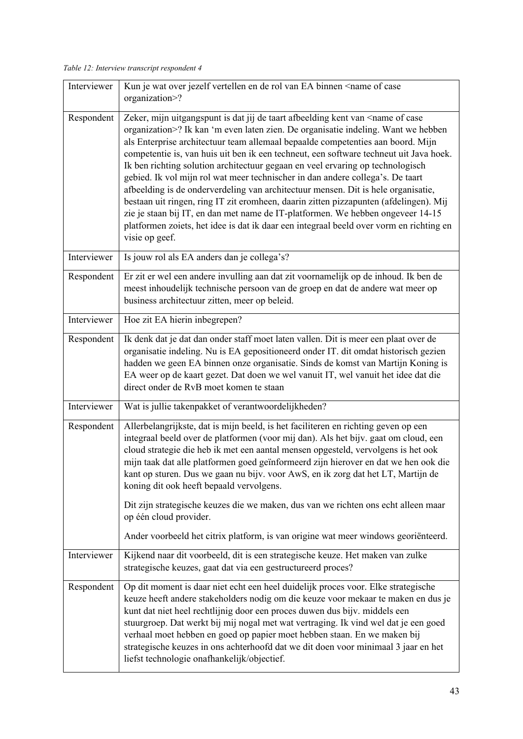*Table 12: Interview transcript respondent 4* 

| Interviewer | Kun je wat over jezelf vertellen en de rol van EA binnen <name case<br="" of="">organization&gt;?</name>                                                                                                                                                                                                                                                                                                                                                                                                                                                                                                                                                                                                                                                                                                                                                                                                                    |
|-------------|-----------------------------------------------------------------------------------------------------------------------------------------------------------------------------------------------------------------------------------------------------------------------------------------------------------------------------------------------------------------------------------------------------------------------------------------------------------------------------------------------------------------------------------------------------------------------------------------------------------------------------------------------------------------------------------------------------------------------------------------------------------------------------------------------------------------------------------------------------------------------------------------------------------------------------|
| Respondent  | Zeker, mijn uitgangspunt is dat jij de taart afbeelding kent van <name case<br="" of="">organization&gt;? Ik kan 'm even laten zien. De organisatie indeling. Want we hebben<br/>als Enterprise architectuur team allemaal bepaalde competenties aan boord. Mijn<br/>competentie is, van huis uit ben ik een techneut, een software techneut uit Java hoek.<br/>Ik ben richting solution architectuur gegaan en veel ervaring op technologisch<br/>gebied. Ik vol mijn rol wat meer technischer in dan andere collega's. De taart<br/>afbeelding is de onderverdeling van architectuur mensen. Dit is hele organisatie,<br/>bestaan uit ringen, ring IT zit eromheen, daarin zitten pizzapunten (afdelingen). Mij<br/>zie je staan bij IT, en dan met name de IT-platformen. We hebben ongeveer 14-15<br/>platformen zoiets, het idee is dat ik daar een integraal beeld over vorm en richting en<br/>visie op geef.</name> |
| Interviewer | Is jouw rol als EA anders dan je collega's?                                                                                                                                                                                                                                                                                                                                                                                                                                                                                                                                                                                                                                                                                                                                                                                                                                                                                 |
| Respondent  | Er zit er wel een andere invulling aan dat zit voornamelijk op de inhoud. Ik ben de<br>meest inhoudelijk technische persoon van de groep en dat de andere wat meer op<br>business architectuur zitten, meer op beleid.                                                                                                                                                                                                                                                                                                                                                                                                                                                                                                                                                                                                                                                                                                      |
| Interviewer | Hoe zit EA hierin inbegrepen?                                                                                                                                                                                                                                                                                                                                                                                                                                                                                                                                                                                                                                                                                                                                                                                                                                                                                               |
| Respondent  | Ik denk dat je dat dan onder staff moet laten vallen. Dit is meer een plaat over de<br>organisatie indeling. Nu is EA gepositioneerd onder IT. dit omdat historisch gezien<br>hadden we geen EA binnen onze organisatie. Sinds de komst van Martijn Koning is<br>EA weer op de kaart gezet. Dat doen we wel vanuit IT, wel vanuit het idee dat die<br>direct onder de RvB moet komen te staan                                                                                                                                                                                                                                                                                                                                                                                                                                                                                                                               |
| Interviewer | Wat is jullie takenpakket of verantwoordelijkheden?                                                                                                                                                                                                                                                                                                                                                                                                                                                                                                                                                                                                                                                                                                                                                                                                                                                                         |
| Respondent  | Allerbelangrijkste, dat is mijn beeld, is het faciliteren en richting geven op een<br>integraal beeld over de platformen (voor mij dan). Als het bijv. gaat om cloud, een<br>cloud strategie die heb ik met een aantal mensen opgesteld, vervolgens is het ook<br>mijn taak dat alle platformen goed geïnformeerd zijn hierover en dat we hen ook die<br>kant op sturen. Dus we gaan nu bijv. voor AwS, en ik zorg dat het LT, Martijn de<br>koning dit ook heeft bepaald vervolgens.<br>Dit zijn strategische keuzes die we maken, dus van we richten ons echt alleen maar<br>op één cloud provider.<br>Ander voorbeeld het citrix platform, is van origine wat meer windows georiënteerd.                                                                                                                                                                                                                                 |
| Interviewer | Kijkend naar dit voorbeeld, dit is een strategische keuze. Het maken van zulke<br>strategische keuzes, gaat dat via een gestructureerd proces?                                                                                                                                                                                                                                                                                                                                                                                                                                                                                                                                                                                                                                                                                                                                                                              |
| Respondent  | Op dit moment is daar niet echt een heel duidelijk proces voor. Elke strategische<br>keuze heeft andere stakeholders nodig om die keuze voor mekaar te maken en dus je<br>kunt dat niet heel rechtlijnig door een proces duwen dus bijv. middels een<br>stuurgroep. Dat werkt bij mij nogal met wat vertraging. Ik vind wel dat je een goed<br>verhaal moet hebben en goed op papier moet hebben staan. En we maken bij<br>strategische keuzes in ons achterhoofd dat we dit doen voor minimaal 3 jaar en het<br>liefst technologie onafhankelijk/objectief.                                                                                                                                                                                                                                                                                                                                                                |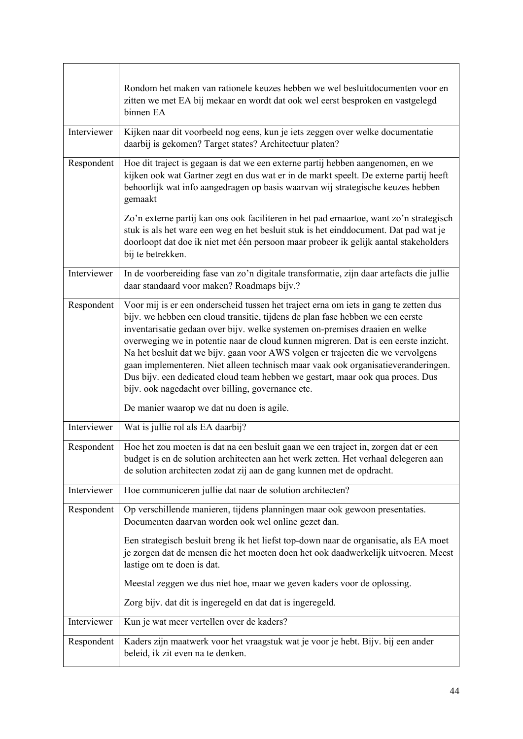|             | Rondom het maken van rationele keuzes hebben we wel besluitdocumenten voor en<br>zitten we met EA bij mekaar en wordt dat ook wel eerst besproken en vastgelegd<br>binnen EA                                                                                                                                                                                                                                                                                                                                                                                                                                                                                 |
|-------------|--------------------------------------------------------------------------------------------------------------------------------------------------------------------------------------------------------------------------------------------------------------------------------------------------------------------------------------------------------------------------------------------------------------------------------------------------------------------------------------------------------------------------------------------------------------------------------------------------------------------------------------------------------------|
| Interviewer | Kijken naar dit voorbeeld nog eens, kun je iets zeggen over welke documentatie<br>daarbij is gekomen? Target states? Architectuur platen?                                                                                                                                                                                                                                                                                                                                                                                                                                                                                                                    |
| Respondent  | Hoe dit traject is gegaan is dat we een externe partij hebben aangenomen, en we<br>kijken ook wat Gartner zegt en dus wat er in de markt speelt. De externe partij heeft<br>behoorlijk wat info aangedragen op basis waarvan wij strategische keuzes hebben<br>gemaakt                                                                                                                                                                                                                                                                                                                                                                                       |
|             | Zo'n externe partij kan ons ook faciliteren in het pad ernaartoe, want zo'n strategisch<br>stuk is als het ware een weg en het besluit stuk is het einddocument. Dat pad wat je<br>doorloopt dat doe ik niet met één persoon maar probeer ik gelijk aantal stakeholders<br>bij te betrekken.                                                                                                                                                                                                                                                                                                                                                                 |
| Interviewer | In de voorbereiding fase van zo'n digitale transformatie, zijn daar artefacts die jullie<br>daar standaard voor maken? Roadmaps bijv.?                                                                                                                                                                                                                                                                                                                                                                                                                                                                                                                       |
| Respondent  | Voor mij is er een onderscheid tussen het traject erna om iets in gang te zetten dus<br>bijv. we hebben een cloud transitie, tijdens de plan fase hebben we een eerste<br>inventarisatie gedaan over bijv. welke systemen on-premises draaien en welke<br>overweging we in potentie naar de cloud kunnen migreren. Dat is een eerste inzicht.<br>Na het besluit dat we bijv. gaan voor AWS volgen er trajecten die we vervolgens<br>gaan implementeren. Niet alleen technisch maar vaak ook organisatieveranderingen.<br>Dus bijv. een dedicated cloud team hebben we gestart, maar ook qua proces. Dus<br>bijv. ook nagedacht over billing, governance etc. |
|             | De manier waarop we dat nu doen is agile.                                                                                                                                                                                                                                                                                                                                                                                                                                                                                                                                                                                                                    |
| Interviewer | Wat is jullie rol als EA daarbij?                                                                                                                                                                                                                                                                                                                                                                                                                                                                                                                                                                                                                            |
| Respondent  | Hoe het zou moeten is dat na een besluit gaan we een traject in, zorgen dat er een<br>budget is en de solution architecten aan het werk zetten. Het verhaal delegeren aan<br>de solution architecten zodat zij aan de gang kunnen met de opdracht.                                                                                                                                                                                                                                                                                                                                                                                                           |
| Interviewer | Hoe communiceren jullie dat naar de solution architecten?                                                                                                                                                                                                                                                                                                                                                                                                                                                                                                                                                                                                    |
| Respondent  | Op verschillende manieren, tijdens planningen maar ook gewoon presentaties.<br>Documenten daarvan worden ook wel online gezet dan.                                                                                                                                                                                                                                                                                                                                                                                                                                                                                                                           |
|             | Een strategisch besluit breng ik het liefst top-down naar de organisatie, als EA moet<br>je zorgen dat de mensen die het moeten doen het ook daadwerkelijk uitvoeren. Meest<br>lastige om te doen is dat.                                                                                                                                                                                                                                                                                                                                                                                                                                                    |
|             | Meestal zeggen we dus niet hoe, maar we geven kaders voor de oplossing.                                                                                                                                                                                                                                                                                                                                                                                                                                                                                                                                                                                      |
|             | Zorg bijv. dat dit is ingeregeld en dat dat is ingeregeld.                                                                                                                                                                                                                                                                                                                                                                                                                                                                                                                                                                                                   |
| Interviewer | Kun je wat meer vertellen over de kaders?                                                                                                                                                                                                                                                                                                                                                                                                                                                                                                                                                                                                                    |
| Respondent  | Kaders zijn maatwerk voor het vraagstuk wat je voor je hebt. Bijv. bij een ander<br>beleid, ik zit even na te denken.                                                                                                                                                                                                                                                                                                                                                                                                                                                                                                                                        |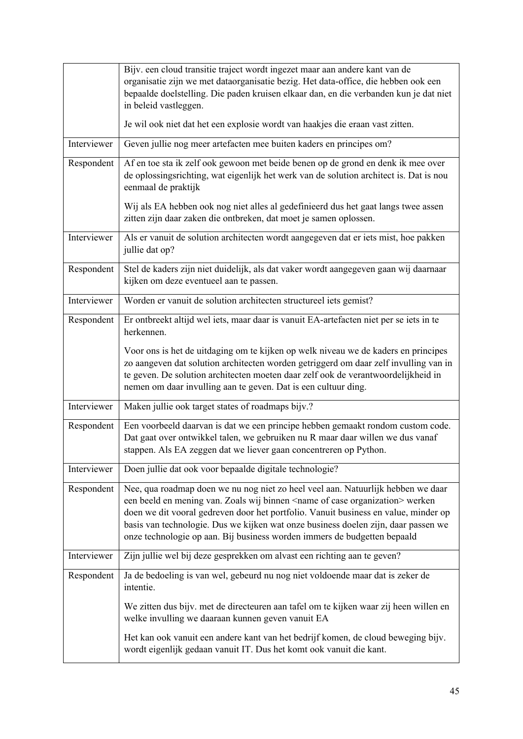|             | Bijv. een cloud transitie traject wordt ingezet maar aan andere kant van de<br>organisatie zijn we met dataorganisatie bezig. Het data-office, die hebben ook een<br>bepaalde doelstelling. Die paden kruisen elkaar dan, en die verbanden kun je dat niet<br>in beleid vastleggen.                                                                                                                                                          |
|-------------|----------------------------------------------------------------------------------------------------------------------------------------------------------------------------------------------------------------------------------------------------------------------------------------------------------------------------------------------------------------------------------------------------------------------------------------------|
|             | Je wil ook niet dat het een explosie wordt van haakjes die eraan vast zitten.                                                                                                                                                                                                                                                                                                                                                                |
| Interviewer | Geven jullie nog meer artefacten mee buiten kaders en principes om?                                                                                                                                                                                                                                                                                                                                                                          |
| Respondent  | Af en toe sta ik zelf ook gewoon met beide benen op de grond en denk ik mee over<br>de oplossingsrichting, wat eigenlijk het werk van de solution architect is. Dat is nou<br>eenmaal de praktijk                                                                                                                                                                                                                                            |
|             | Wij als EA hebben ook nog niet alles al gedefinieerd dus het gaat langs twee assen<br>zitten zijn daar zaken die ontbreken, dat moet je samen oplossen.                                                                                                                                                                                                                                                                                      |
| Interviewer | Als er vanuit de solution architecten wordt aangegeven dat er iets mist, hoe pakken<br>jullie dat op?                                                                                                                                                                                                                                                                                                                                        |
| Respondent  | Stel de kaders zijn niet duidelijk, als dat vaker wordt aangegeven gaan wij daarnaar<br>kijken om deze eventueel aan te passen.                                                                                                                                                                                                                                                                                                              |
| Interviewer | Worden er vanuit de solution architecten structureel iets gemist?                                                                                                                                                                                                                                                                                                                                                                            |
| Respondent  | Er ontbreekt altijd wel iets, maar daar is vanuit EA-artefacten niet per se iets in te<br>herkennen.                                                                                                                                                                                                                                                                                                                                         |
|             | Voor ons is het de uitdaging om te kijken op welk niveau we de kaders en principes<br>zo aangeven dat solution architecten worden getriggerd om daar zelf invulling van in<br>te geven. De solution architecten moeten daar zelf ook de verantwoordelijkheid in<br>nemen om daar invulling aan te geven. Dat is een cultuur ding.                                                                                                            |
| Interviewer | Maken jullie ook target states of roadmaps bijv.?                                                                                                                                                                                                                                                                                                                                                                                            |
| Respondent  | Een voorbeeld daarvan is dat we een principe hebben gemaakt rondom custom code.<br>Dat gaat over ontwikkel talen, we gebruiken nu R maar daar willen we dus vanaf<br>stappen. Als EA zeggen dat we liever gaan concentreren op Python.                                                                                                                                                                                                       |
| Interviewer | Doen jullie dat ook voor bepaalde digitale technologie?                                                                                                                                                                                                                                                                                                                                                                                      |
| Respondent  | Nee, qua roadmap doen we nu nog niet zo heel veel aan. Natuurlijk hebben we daar<br>een beeld en mening van. Zoals wij binnen <name case="" of="" organization=""> werken<br/>doen we dit vooral gedreven door het portfolio. Vanuit business en value, minder op<br/>basis van technologie. Dus we kijken wat onze business doelen zijn, daar passen we<br/>onze technologie op aan. Bij business worden immers de budgetten bepaald</name> |
| Interviewer | Zijn jullie wel bij deze gesprekken om alvast een richting aan te geven?                                                                                                                                                                                                                                                                                                                                                                     |
| Respondent  | Ja de bedoeling is van wel, gebeurd nu nog niet voldoende maar dat is zeker de<br>intentie.                                                                                                                                                                                                                                                                                                                                                  |
|             | We zitten dus bijv. met de directeuren aan tafel om te kijken waar zij heen willen en<br>welke invulling we daaraan kunnen geven vanuit EA                                                                                                                                                                                                                                                                                                   |
|             | Het kan ook vanuit een andere kant van het bedrijf komen, de cloud beweging bijv.<br>wordt eigenlijk gedaan vanuit IT. Dus het komt ook vanuit die kant.                                                                                                                                                                                                                                                                                     |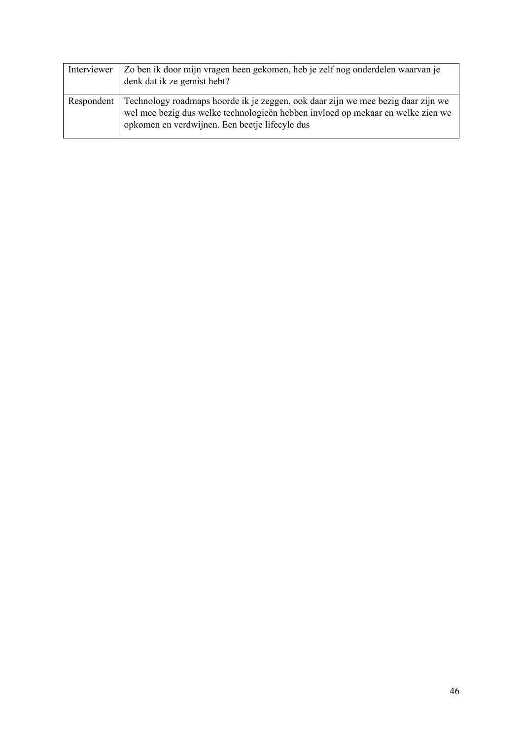| Interviewer | Zo ben ik door mijn vragen heen gekomen, heb je zelf nog onderdelen waarvan je<br>denk dat ik ze gemist hebt?                                                                                                                      |
|-------------|------------------------------------------------------------------------------------------------------------------------------------------------------------------------------------------------------------------------------------|
|             | Respondent   Technology roadmaps hoorde ik je zeggen, ook daar zijn we mee bezig daar zijn we<br>wel mee bezig dus welke technologieën hebben invloed op mekaar en welke zien we<br>opkomen en verdwijnen. Een beetje lifecyle dus |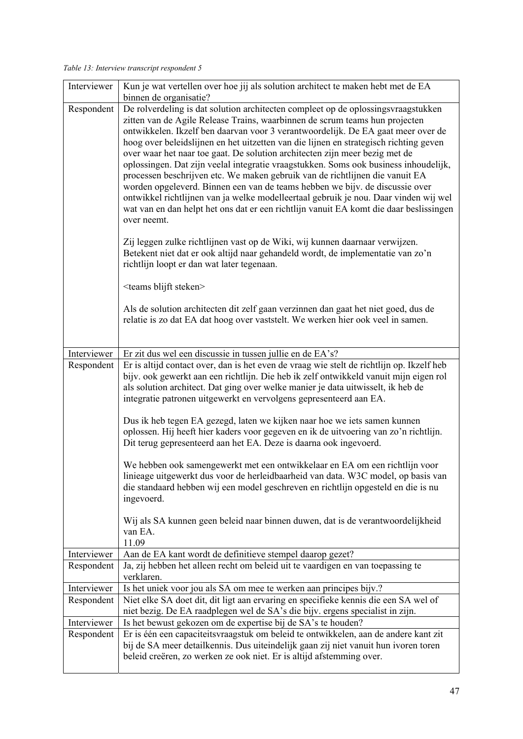*Table 13: Interview transcript respondent 5* 

| Interviewer | Kun je wat vertellen over hoe jij als solution architect te maken hebt met de EA<br>binnen de organisatie?                                                                                                                                                                                                                                                                                                                                                                                                                                                                                                                                                                                                                                                                                                                                                                                                                                                                                                                                                                                                                                                                                                                                                                                                               |
|-------------|--------------------------------------------------------------------------------------------------------------------------------------------------------------------------------------------------------------------------------------------------------------------------------------------------------------------------------------------------------------------------------------------------------------------------------------------------------------------------------------------------------------------------------------------------------------------------------------------------------------------------------------------------------------------------------------------------------------------------------------------------------------------------------------------------------------------------------------------------------------------------------------------------------------------------------------------------------------------------------------------------------------------------------------------------------------------------------------------------------------------------------------------------------------------------------------------------------------------------------------------------------------------------------------------------------------------------|
| Respondent  | De rolverdeling is dat solution architecten compleet op de oplossingsvraagstukken<br>zitten van de Agile Release Trains, waarbinnen de scrum teams hun projecten<br>ontwikkelen. Ikzelf ben daarvan voor 3 verantwoordelijk. De EA gaat meer over de<br>hoog over beleidslijnen en het uitzetten van die lijnen en strategisch richting geven<br>over waar het naar toe gaat. De solution architecten zijn meer bezig met de<br>oplossingen. Dat zijn veelal integratie vraagstukken. Soms ook business inhoudelijk,<br>processen beschrijven etc. We maken gebruik van de richtlijnen die vanuit EA<br>worden opgeleverd. Binnen een van de teams hebben we bijv. de discussie over<br>ontwikkel richtlijnen van ja welke modelleertaal gebruik je nou. Daar vinden wij wel<br>wat van en dan helpt het ons dat er een richtlijn vanuit EA komt die daar beslissingen<br>over neemt.<br>Zij leggen zulke richtlijnen vast op de Wiki, wij kunnen daarnaar verwijzen.<br>Betekent niet dat er ook altijd naar gehandeld wordt, de implementatie van zo'n<br>richtlijn loopt er dan wat later tegenaan.<br><teams blijft="" steken=""><br/>Als de solution architecten dit zelf gaan verzinnen dan gaat het niet goed, dus de<br/>relatie is zo dat EA dat hoog over vaststelt. We werken hier ook veel in samen.</teams> |
| Interviewer |                                                                                                                                                                                                                                                                                                                                                                                                                                                                                                                                                                                                                                                                                                                                                                                                                                                                                                                                                                                                                                                                                                                                                                                                                                                                                                                          |
|             | Er zit dus wel een discussie in tussen jullie en de EA's?                                                                                                                                                                                                                                                                                                                                                                                                                                                                                                                                                                                                                                                                                                                                                                                                                                                                                                                                                                                                                                                                                                                                                                                                                                                                |
| Respondent  | Er is altijd contact over, dan is het even de vraag wie stelt de richtlijn op. Ikzelf heb<br>bijv. ook gewerkt aan een richtlijn. Die heb ik zelf ontwikkeld vanuit mijn eigen rol<br>als solution architect. Dat ging over welke manier je data uitwisselt, ik heb de<br>integratie patronen uitgewerkt en vervolgens gepresenteerd aan EA.                                                                                                                                                                                                                                                                                                                                                                                                                                                                                                                                                                                                                                                                                                                                                                                                                                                                                                                                                                             |
|             | Dus ik heb tegen EA gezegd, laten we kijken naar hoe we iets samen kunnen<br>oplossen. Hij heeft hier kaders voor gegeven en ik de uitvoering van zo'n richtlijn.<br>Dit terug gepresenteerd aan het EA. Deze is daarna ook ingevoerd.                                                                                                                                                                                                                                                                                                                                                                                                                                                                                                                                                                                                                                                                                                                                                                                                                                                                                                                                                                                                                                                                                   |
|             | We hebben ook samengewerkt met een ontwikkelaar en EA om een richtlijn voor<br>linieage uitgewerkt dus voor de herleidbaarheid van data. W3C model, op basis van<br>die standaard hebben wij een model geschreven en richtlijn opgesteld en die is nu<br>ingevoerd.                                                                                                                                                                                                                                                                                                                                                                                                                                                                                                                                                                                                                                                                                                                                                                                                                                                                                                                                                                                                                                                      |
|             | Wij als SA kunnen geen beleid naar binnen duwen, dat is de verantwoordelijkheid<br>van EA.<br>11.09                                                                                                                                                                                                                                                                                                                                                                                                                                                                                                                                                                                                                                                                                                                                                                                                                                                                                                                                                                                                                                                                                                                                                                                                                      |
| Interviewer | Aan de EA kant wordt de definitieve stempel daarop gezet?                                                                                                                                                                                                                                                                                                                                                                                                                                                                                                                                                                                                                                                                                                                                                                                                                                                                                                                                                                                                                                                                                                                                                                                                                                                                |
| Respondent  | Ja, zij hebben het alleen recht om beleid uit te vaardigen en van toepassing te<br>verklaren.                                                                                                                                                                                                                                                                                                                                                                                                                                                                                                                                                                                                                                                                                                                                                                                                                                                                                                                                                                                                                                                                                                                                                                                                                            |
| Interviewer | Is het uniek voor jou als SA om mee te werken aan principes bijv.?                                                                                                                                                                                                                                                                                                                                                                                                                                                                                                                                                                                                                                                                                                                                                                                                                                                                                                                                                                                                                                                                                                                                                                                                                                                       |
| Respondent  | Niet elke SA doet dit, dit ligt aan ervaring en specifieke kennis die een SA wel of<br>niet bezig. De EA raadplegen wel de SA's die bijv. ergens specialist in zijn.                                                                                                                                                                                                                                                                                                                                                                                                                                                                                                                                                                                                                                                                                                                                                                                                                                                                                                                                                                                                                                                                                                                                                     |
| Interviewer | Is het bewust gekozen om de expertise bij de SA's te houden?                                                                                                                                                                                                                                                                                                                                                                                                                                                                                                                                                                                                                                                                                                                                                                                                                                                                                                                                                                                                                                                                                                                                                                                                                                                             |
| Respondent  | Er is één een capaciteitsvraagstuk om beleid te ontwikkelen, aan de andere kant zit<br>bij de SA meer detailkennis. Dus uiteindelijk gaan zij niet vanuit hun ivoren toren<br>beleid creëren, zo werken ze ook niet. Er is altijd afstemming over.                                                                                                                                                                                                                                                                                                                                                                                                                                                                                                                                                                                                                                                                                                                                                                                                                                                                                                                                                                                                                                                                       |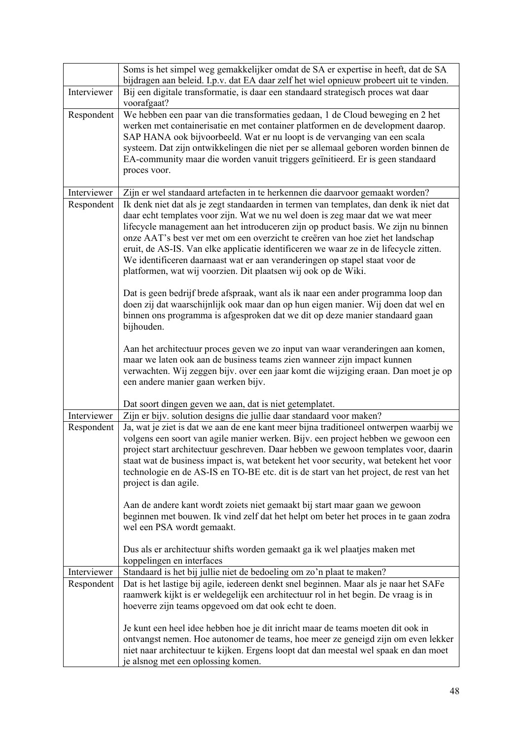|             | Soms is het simpel weg gemakkelijker omdat de SA er expertise in heeft, dat de SA<br>bijdragen aan beleid. I.p.v. dat EA daar zelf het wiel opnieuw probeert uit te vinden.                                                                                                                                                                                                                                                                                                                                                                                                                                                                                                                                                                                                                                                                                                                                                                                                                                                                                                                                                                                   |
|-------------|---------------------------------------------------------------------------------------------------------------------------------------------------------------------------------------------------------------------------------------------------------------------------------------------------------------------------------------------------------------------------------------------------------------------------------------------------------------------------------------------------------------------------------------------------------------------------------------------------------------------------------------------------------------------------------------------------------------------------------------------------------------------------------------------------------------------------------------------------------------------------------------------------------------------------------------------------------------------------------------------------------------------------------------------------------------------------------------------------------------------------------------------------------------|
| Interviewer | Bij een digitale transformatie, is daar een standaard strategisch proces wat daar<br>voorafgaat?                                                                                                                                                                                                                                                                                                                                                                                                                                                                                                                                                                                                                                                                                                                                                                                                                                                                                                                                                                                                                                                              |
| Respondent  | We hebben een paar van die transformaties gedaan, 1 de Cloud beweging en 2 het<br>werken met containerisatie en met container platformen en de development daarop.<br>SAP HANA ook bijvoorbeeld. Wat er nu loopt is de vervanging van een scala<br>systeem. Dat zijn ontwikkelingen die niet per se allemaal geboren worden binnen de<br>EA-community maar die worden vanuit triggers geïnitieerd. Er is geen standaard<br>proces voor.                                                                                                                                                                                                                                                                                                                                                                                                                                                                                                                                                                                                                                                                                                                       |
| Interviewer | Zijn er wel standaard artefacten in te herkennen die daarvoor gemaakt worden?                                                                                                                                                                                                                                                                                                                                                                                                                                                                                                                                                                                                                                                                                                                                                                                                                                                                                                                                                                                                                                                                                 |
| Respondent  | Ik denk niet dat als je zegt standaarden in termen van templates, dan denk ik niet dat<br>daar echt templates voor zijn. Wat we nu wel doen is zeg maar dat we wat meer<br>lifecycle management aan het introduceren zijn op product basis. We zijn nu binnen<br>onze AAT's best ver met om een overzicht te creëren van hoe ziet het landschap<br>eruit, de AS-IS. Van elke applicatie identificeren we waar ze in de lifecycle zitten.<br>We identificeren daarnaast wat er aan veranderingen op stapel staat voor de<br>platformen, wat wij voorzien. Dit plaatsen wij ook op de Wiki.<br>Dat is geen bedrijf brede afspraak, want als ik naar een ander programma loop dan<br>doen zij dat waarschijnlijk ook maar dan op hun eigen manier. Wij doen dat wel en<br>binnen ons programma is afgesproken dat we dit op deze manier standaard gaan<br>bijhouden.<br>Aan het architectuur proces geven we zo input van waar veranderingen aan komen,<br>maar we laten ook aan de business teams zien wanneer zijn impact kunnen<br>verwachten. Wij zeggen bijv. over een jaar komt die wijziging eraan. Dan moet je op<br>een andere manier gaan werken bijv. |
|             |                                                                                                                                                                                                                                                                                                                                                                                                                                                                                                                                                                                                                                                                                                                                                                                                                                                                                                                                                                                                                                                                                                                                                               |
| Interviewer | Dat soort dingen geven we aan, dat is niet getemplatet.<br>Zijn er bijv. solution designs die jullie daar standaard voor maken?                                                                                                                                                                                                                                                                                                                                                                                                                                                                                                                                                                                                                                                                                                                                                                                                                                                                                                                                                                                                                               |
| Respondent  | Ja, wat je ziet is dat we aan de ene kant meer bijna traditioneel ontwerpen waarbij we<br>volgens een soort van agile manier werken. Bijv. een project hebben we gewoon een<br>project start architectuur geschreven. Daar hebben we gewoon templates voor, daarin<br>staat wat de business impact is, wat betekent het voor security, wat betekent het voor<br>technologie en de AS-IS en TO-BE etc. dit is de start van het project, de rest van het<br>project is dan agile.<br>Aan de andere kant wordt zoiets niet gemaakt bij start maar gaan we gewoon<br>beginnen met bouwen. Ik vind zelf dat het helpt om beter het proces in te gaan zodra                                                                                                                                                                                                                                                                                                                                                                                                                                                                                                         |
|             | wel een PSA wordt gemaakt.<br>Dus als er architectuur shifts worden gemaakt ga ik wel plaatjes maken met<br>koppelingen en interfaces                                                                                                                                                                                                                                                                                                                                                                                                                                                                                                                                                                                                                                                                                                                                                                                                                                                                                                                                                                                                                         |
| Interviewer | Standaard is het bij jullie niet de bedoeling om zo'n plaat te maken?                                                                                                                                                                                                                                                                                                                                                                                                                                                                                                                                                                                                                                                                                                                                                                                                                                                                                                                                                                                                                                                                                         |
| Respondent  | Dat is het lastige bij agile, iedereen denkt snel beginnen. Maar als je naar het SAFe<br>raamwerk kijkt is er weldegelijk een architectuur rol in het begin. De vraag is in<br>hoeverre zijn teams opgevoed om dat ook echt te doen.                                                                                                                                                                                                                                                                                                                                                                                                                                                                                                                                                                                                                                                                                                                                                                                                                                                                                                                          |
|             | Je kunt een heel idee hebben hoe je dit inricht maar de teams moeten dit ook in<br>ontvangst nemen. Hoe autonomer de teams, hoe meer ze geneigd zijn om even lekker<br>niet naar architectuur te kijken. Ergens loopt dat dan meestal wel spaak en dan moet<br>je alsnog met een oplossing komen.                                                                                                                                                                                                                                                                                                                                                                                                                                                                                                                                                                                                                                                                                                                                                                                                                                                             |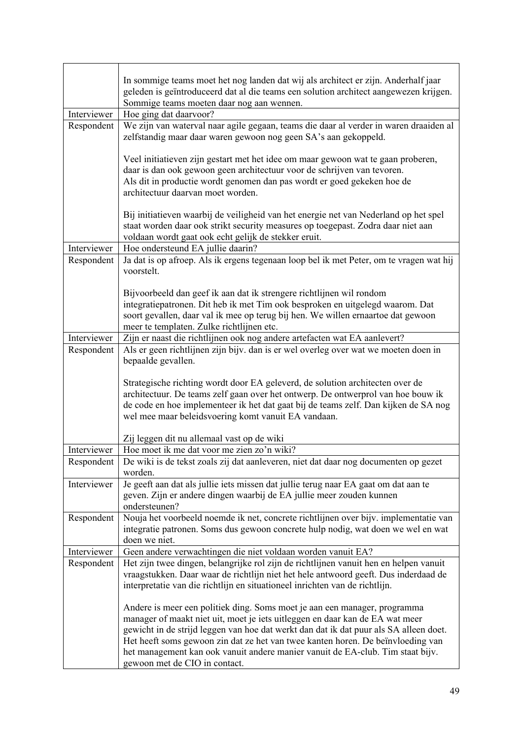|             | In sommige teams moet het nog landen dat wij als architect er zijn. Anderhalf jaar                                                                                    |
|-------------|-----------------------------------------------------------------------------------------------------------------------------------------------------------------------|
|             | geleden is geïntroduceerd dat al die teams een solution architect aangewezen krijgen.                                                                                 |
|             | Sommige teams moeten daar nog aan wennen.                                                                                                                             |
| Interviewer | Hoe ging dat daarvoor?                                                                                                                                                |
| Respondent  | We zijn van waterval naar agile gegaan, teams die daar al verder in waren draaiden al                                                                                 |
|             | zelfstandig maar daar waren gewoon nog geen SA's aan gekoppeld.                                                                                                       |
|             |                                                                                                                                                                       |
|             | Veel initiatieven zijn gestart met het idee om maar gewoon wat te gaan proberen,                                                                                      |
|             | daar is dan ook gewoon geen architectuur voor de schrijven van tevoren.                                                                                               |
|             | Als dit in productie wordt genomen dan pas wordt er goed gekeken hoe de                                                                                               |
|             | architectuur daarvan moet worden.                                                                                                                                     |
|             | Bij initiatieven waarbij de veiligheid van het energie net van Nederland op het spel                                                                                  |
|             | staat worden daar ook strikt security measures op toegepast. Zodra daar niet aan                                                                                      |
|             | voldaan wordt gaat ook echt gelijk de stekker eruit.                                                                                                                  |
| Interviewer | Hoe ondersteund EA jullie daarin?                                                                                                                                     |
| Respondent  | Ja dat is op afroep. Als ik ergens tegenaan loop bel ik met Peter, om te vragen wat hij                                                                               |
|             | voorstelt.                                                                                                                                                            |
|             |                                                                                                                                                                       |
|             | Bijvoorbeeld dan geef ik aan dat ik strengere richtlijnen wil rondom                                                                                                  |
|             | integratiepatronen. Dit heb ik met Tim ook besproken en uitgelegd waarom. Dat                                                                                         |
|             | soort gevallen, daar val ik mee op terug bij hen. We willen ernaartoe dat gewoon                                                                                      |
|             | meer te templaten. Zulke richtlijnen etc.                                                                                                                             |
| Interviewer | Zijn er naast die richtlijnen ook nog andere artefacten wat EA aanlevert?                                                                                             |
| Respondent  | Als er geen richtlijnen zijn bijv. dan is er wel overleg over wat we moeten doen in                                                                                   |
|             | bepaalde gevallen.                                                                                                                                                    |
|             |                                                                                                                                                                       |
|             | Strategische richting wordt door EA geleverd, de solution architecten over de                                                                                         |
|             | architectuur. De teams zelf gaan over het ontwerp. De ontwerprol van hoe bouw ik                                                                                      |
|             | de code en hoe implementeer ik het dat gaat bij de teams zelf. Dan kijken de SA nog<br>wel mee maar beleidsvoering komt vanuit EA vandaan.                            |
|             |                                                                                                                                                                       |
|             | Zij leggen dit nu allemaal vast op de wiki                                                                                                                            |
| Interviewer | Hoe moet ik me dat voor me zien zo'n wiki?                                                                                                                            |
| Respondent  | De wiki is de tekst zoals zij dat aanleveren, niet dat daar nog documenten op gezet                                                                                   |
|             | worden.                                                                                                                                                               |
| Interviewer | Je geeft aan dat als jullie iets missen dat jullie terug naar EA gaat om dat aan te                                                                                   |
|             | geven. Zijn er andere dingen waarbij de EA jullie meer zouden kunnen                                                                                                  |
|             | ondersteunen?                                                                                                                                                         |
| Respondent  | Nouja het voorbeeld noemde ik net, concrete richtlijnen over bijv. implementatie van                                                                                  |
|             | integratie patronen. Soms dus gewoon concrete hulp nodig, wat doen we wel en wat                                                                                      |
|             | doen we niet.                                                                                                                                                         |
| Interviewer | Geen andere verwachtingen die niet voldaan worden vanuit EA?                                                                                                          |
| Respondent  | Het zijn twee dingen, belangrijke rol zijn de richtlijnen vanuit hen en helpen vanuit                                                                                 |
|             | vraagstukken. Daar waar de richtlijn niet het hele antwoord geeft. Dus inderdaad de                                                                                   |
|             | interpretatie van die richtlijn en situationeel inrichten van de richtlijn.                                                                                           |
|             |                                                                                                                                                                       |
|             | Andere is meer een politiek ding. Soms moet je aan een manager, programma                                                                                             |
|             | manager of maakt niet uit, moet je iets uitleggen en daar kan de EA wat meer<br>gewicht in de strijd leggen van hoe dat werkt dan dat ik dat puur als SA alleen doet. |
|             | Het heeft soms gewoon zin dat ze het van twee kanten horen. De beïnvloeding van                                                                                       |
|             | het management kan ook vanuit andere manier vanuit de EA-club. Tim staat bijv.                                                                                        |
|             | gewoon met de CIO in contact.                                                                                                                                         |
|             |                                                                                                                                                                       |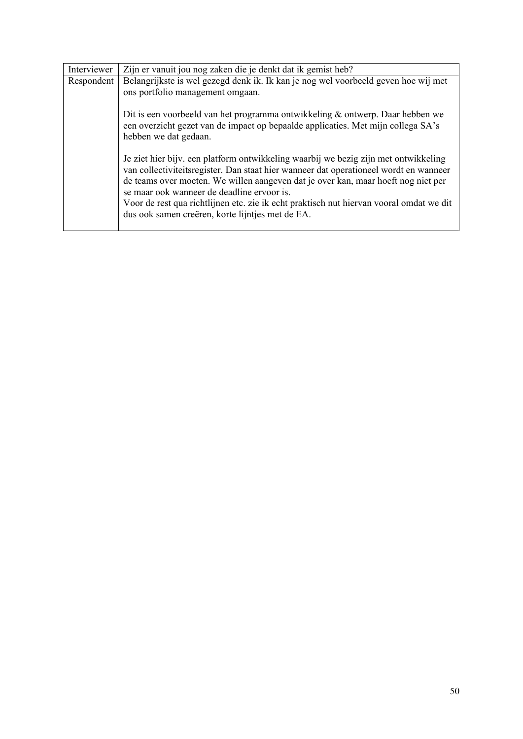| Interviewer | Zijn er vanuit jou nog zaken die je denkt dat ik gemist heb?                                                                                                                                                                                                                                                                                                                                                                                                    |
|-------------|-----------------------------------------------------------------------------------------------------------------------------------------------------------------------------------------------------------------------------------------------------------------------------------------------------------------------------------------------------------------------------------------------------------------------------------------------------------------|
| Respondent  | Belangrijkste is wel gezegd denk ik. Ik kan je nog wel voorbeeld geven hoe wij met<br>ons portfolio management omgaan.                                                                                                                                                                                                                                                                                                                                          |
|             | Dit is een voorbeeld van het programma ontwikkeling & ontwerp. Daar hebben we<br>een overzicht gezet van de impact op bepaalde applicaties. Met mijn collega SA's<br>hebben we dat gedaan.                                                                                                                                                                                                                                                                      |
|             | Je ziet hier bijv. een platform ontwikkeling waarbij we bezig zijn met ontwikkeling<br>van collectiviteits register. Dan staat hier wanneer dat operationeel wordt en wanneer<br>de teams over moeten. We willen aangeven dat je over kan, maar hoeft nog niet per<br>se maar ook wanneer de deadline ervoor is.<br>Voor de rest qua richtlijnen etc. zie ik echt praktisch nut hiervan vooral omdat we dit<br>dus ook samen creëren, korte lijntjes met de EA. |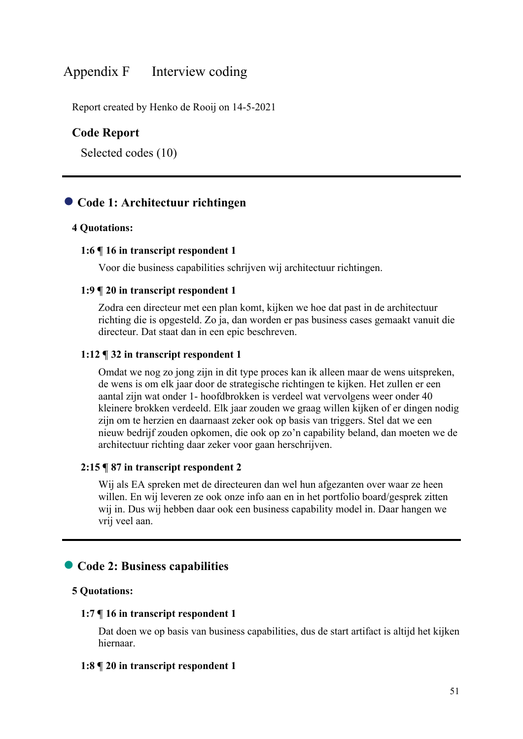# Appendix F Interview coding

Report created by Henko de Rooij on 14-5-2021

# **Code Report**

Selected codes (10)

# ● **Code 1: Architectuur richtingen**

### **4 Quotations:**

#### **1:6 ¶ 16 in transcript respondent 1**

Voor die business capabilities schrijven wij architectuur richtingen.

### **1:9 ¶ 20 in transcript respondent 1**

Zodra een directeur met een plan komt, kijken we hoe dat past in de architectuur richting die is opgesteld. Zo ja, dan worden er pas business cases gemaakt vanuit die directeur. Dat staat dan in een epic beschreven.

#### **1:12 ¶ 32 in transcript respondent 1**

Omdat we nog zo jong zijn in dit type proces kan ik alleen maar de wens uitspreken, de wens is om elk jaar door de strategische richtingen te kijken. Het zullen er een aantal zijn wat onder 1- hoofdbrokken is verdeel wat vervolgens weer onder 40 kleinere brokken verdeeld. Elk jaar zouden we graag willen kijken of er dingen nodig zijn om te herzien en daarnaast zeker ook op basis van triggers. Stel dat we een nieuw bedrijf zouden opkomen, die ook op zo'n capability beland, dan moeten we de architectuur richting daar zeker voor gaan herschrijven.

#### **2:15 ¶ 87 in transcript respondent 2**

Wij als EA spreken met de directeuren dan wel hun afgezanten over waar ze heen willen. En wij leveren ze ook onze info aan en in het portfolio board/gesprek zitten wij in. Dus wij hebben daar ook een business capability model in. Daar hangen we vrij veel aan.

# ● **Code 2: Business capabilities**

# **5 Quotations:**

### **1:7 ¶ 16 in transcript respondent 1**

Dat doen we op basis van business capabilities, dus de start artifact is altijd het kijken hiernaar.

#### **1:8 ¶ 20 in transcript respondent 1**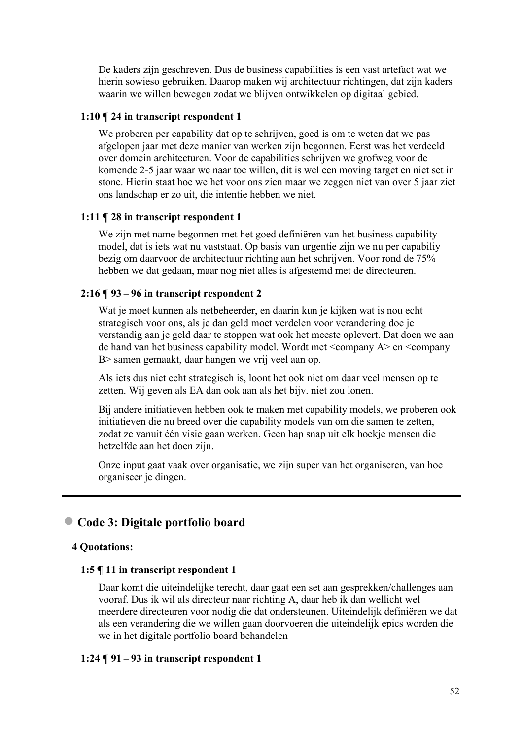De kaders zijn geschreven. Dus de business capabilities is een vast artefact wat we hierin sowieso gebruiken. Daarop maken wij architectuur richtingen, dat zijn kaders waarin we willen bewegen zodat we blijven ontwikkelen op digitaal gebied.

### **1:10 ¶ 24 in transcript respondent 1**

We proberen per capability dat op te schrijven, goed is om te weten dat we pas afgelopen jaar met deze manier van werken zijn begonnen. Eerst was het verdeeld over domein architecturen. Voor de capabilities schrijven we grofweg voor de komende 2-5 jaar waar we naar toe willen, dit is wel een moving target en niet set in stone. Hierin staat hoe we het voor ons zien maar we zeggen niet van over 5 jaar ziet ons landschap er zo uit, die intentie hebben we niet.

# **1:11 ¶ 28 in transcript respondent 1**

We zijn met name begonnen met het goed definiëren van het business capability model, dat is iets wat nu vaststaat. Op basis van urgentie zijn we nu per capabiliy bezig om daarvoor de architectuur richting aan het schrijven. Voor rond de 75% hebben we dat gedaan, maar nog niet alles is afgestemd met de directeuren.

# **2:16 ¶ 93 – 96 in transcript respondent 2**

Wat je moet kunnen als netbeheerder, en daarin kun je kijken wat is nou echt strategisch voor ons, als je dan geld moet verdelen voor verandering doe je verstandig aan je geld daar te stoppen wat ook het meeste oplevert. Dat doen we aan de hand van het business capability model. Wordt met <company A> en <company B> samen gemaakt, daar hangen we vrij veel aan op.

Als iets dus niet echt strategisch is, loont het ook niet om daar veel mensen op te zetten. Wij geven als EA dan ook aan als het bijv. niet zou lonen.

Bij andere initiatieven hebben ook te maken met capability models, we proberen ook initiatieven die nu breed over die capability models van om die samen te zetten, zodat ze vanuit één visie gaan werken. Geen hap snap uit elk hoekje mensen die hetzelfde aan het doen zijn.

Onze input gaat vaak over organisatie, we zijn super van het organiseren, van hoe organiseer je dingen.

# ● **Code 3: Digitale portfolio board**

# **4 Quotations:**

### **1:5 ¶ 11 in transcript respondent 1**

Daar komt die uiteindelijke terecht, daar gaat een set aan gesprekken/challenges aan vooraf. Dus ik wil als directeur naar richting A, daar heb ik dan wellicht wel meerdere directeuren voor nodig die dat ondersteunen. Uiteindelijk definiëren we dat als een verandering die we willen gaan doorvoeren die uiteindelijk epics worden die we in het digitale portfolio board behandelen

### **1:24 ¶ 91 – 93 in transcript respondent 1**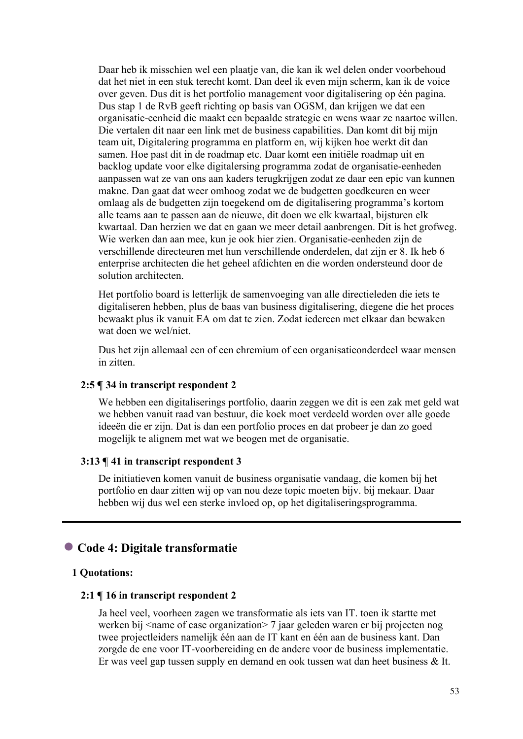Daar heb ik misschien wel een plaatje van, die kan ik wel delen onder voorbehoud dat het niet in een stuk terecht komt. Dan deel ik even mijn scherm, kan ik de voice over geven. Dus dit is het portfolio management voor digitalisering op één pagina. Dus stap 1 de RvB geeft richting op basis van OGSM, dan krijgen we dat een organisatie-eenheid die maakt een bepaalde strategie en wens waar ze naartoe willen. Die vertalen dit naar een link met de business capabilities. Dan komt dit bij mijn team uit, Digitalering programma en platform en, wij kijken hoe werkt dit dan samen. Hoe past dit in de roadmap etc. Daar komt een initiële roadmap uit en backlog update voor elke digitalersing programma zodat de organisatie-eenheden aanpassen wat ze van ons aan kaders terugkrijgen zodat ze daar een epic van kunnen makne. Dan gaat dat weer omhoog zodat we de budgetten goedkeuren en weer omlaag als de budgetten zijn toegekend om de digitalisering programma's kortom alle teams aan te passen aan de nieuwe, dit doen we elk kwartaal, bijsturen elk kwartaal. Dan herzien we dat en gaan we meer detail aanbrengen. Dit is het grofweg. Wie werken dan aan mee, kun je ook hier zien. Organisatie-eenheden zijn de verschillende directeuren met hun verschillende onderdelen, dat zijn er 8. Ik heb 6 enterprise architecten die het geheel afdichten en die worden ondersteund door de solution architecten.

Het portfolio board is letterlijk de samenvoeging van alle directieleden die iets te digitaliseren hebben, plus de baas van business digitalisering, diegene die het proces bewaakt plus ik vanuit EA om dat te zien. Zodat iedereen met elkaar dan bewaken wat doen we wel/niet.

Dus het zijn allemaal een of een chremium of een organisatieonderdeel waar mensen in zitten.

# **2:5 ¶ 34 in transcript respondent 2**

We hebben een digitaliserings portfolio, daarin zeggen we dit is een zak met geld wat we hebben vanuit raad van bestuur, die koek moet verdeeld worden over alle goede ideeën die er zijn. Dat is dan een portfolio proces en dat probeer je dan zo goed mogelijk te alignem met wat we beogen met de organisatie.

### **3:13 ¶ 41 in transcript respondent 3**

De initiatieven komen vanuit de business organisatie vandaag, die komen bij het portfolio en daar zitten wij op van nou deze topic moeten bijv. bij mekaar. Daar hebben wij dus wel een sterke invloed op, op het digitaliseringsprogramma.

# ● **Code 4: Digitale transformatie**

#### **1 Quotations:**

#### **2:1 ¶ 16 in transcript respondent 2**

Ja heel veel, voorheen zagen we transformatie als iets van IT. toen ik startte met werken bij <name of case organization> 7 jaar geleden waren er bij projecten nog twee projectleiders namelijk één aan de IT kant en één aan de business kant. Dan zorgde de ene voor IT-voorbereiding en de andere voor de business implementatie. Er was veel gap tussen supply en demand en ook tussen wat dan heet business & It.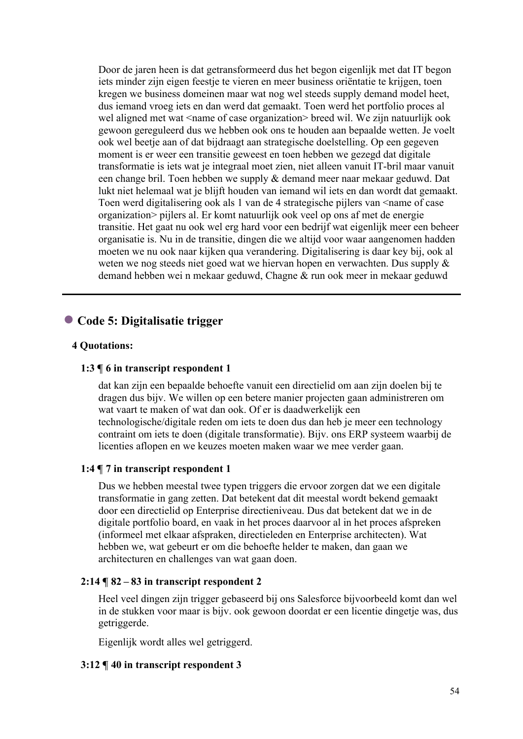Door de jaren heen is dat getransformeerd dus het begon eigenlijk met dat IT begon iets minder zijn eigen feestje te vieren en meer business oriëntatie te krijgen, toen kregen we business domeinen maar wat nog wel steeds supply demand model heet, dus iemand vroeg iets en dan werd dat gemaakt. Toen werd het portfolio proces al wel aligned met wat <name of case organization> breed wil. We zijn natuurlijk ook gewoon gereguleerd dus we hebben ook ons te houden aan bepaalde wetten. Je voelt ook wel beetje aan of dat bijdraagt aan strategische doelstelling. Op een gegeven moment is er weer een transitie geweest en toen hebben we gezegd dat digitale transformatie is iets wat je integraal moet zien, niet alleen vanuit IT-bril maar vanuit een change bril. Toen hebben we supply & demand meer naar mekaar geduwd. Dat lukt niet helemaal wat je blijft houden van iemand wil iets en dan wordt dat gemaakt. Toen werd digitalisering ook als 1 van de 4 strategische pijlers van  $\leq$ name of case organization> pijlers al. Er komt natuurlijk ook veel op ons af met de energie transitie. Het gaat nu ook wel erg hard voor een bedrijf wat eigenlijk meer een beheer organisatie is. Nu in de transitie, dingen die we altijd voor waar aangenomen hadden moeten we nu ook naar kijken qua verandering. Digitalisering is daar key bij, ook al weten we nog steeds niet goed wat we hiervan hopen en verwachten. Dus supply & demand hebben wei n mekaar geduwd, Chagne & run ook meer in mekaar geduwd

# ● **Code 5: Digitalisatie trigger**

# **4 Quotations:**

# **1:3 ¶ 6 in transcript respondent 1**

dat kan zijn een bepaalde behoefte vanuit een directielid om aan zijn doelen bij te dragen dus bijv. We willen op een betere manier projecten gaan administreren om wat vaart te maken of wat dan ook. Of er is daadwerkelijk een technologische/digitale reden om iets te doen dus dan heb je meer een technology contraint om iets te doen (digitale transformatie). Bijv. ons ERP systeem waarbij de licenties aflopen en we keuzes moeten maken waar we mee verder gaan.

### **1:4 ¶ 7 in transcript respondent 1**

Dus we hebben meestal twee typen triggers die ervoor zorgen dat we een digitale transformatie in gang zetten. Dat betekent dat dit meestal wordt bekend gemaakt door een directielid op Enterprise directieniveau. Dus dat betekent dat we in de digitale portfolio board, en vaak in het proces daarvoor al in het proces afspreken (informeel met elkaar afspraken, directieleden en Enterprise architecten). Wat hebben we, wat gebeurt er om die behoefte helder te maken, dan gaan we architecturen en challenges van wat gaan doen.

### **2:14 ¶ 82 – 83 in transcript respondent 2**

Heel veel dingen zijn trigger gebaseerd bij ons Salesforce bijvoorbeeld komt dan wel in de stukken voor maar is bijv. ook gewoon doordat er een licentie dingetje was, dus getriggerde.

Eigenlijk wordt alles wel getriggerd.

### **3:12 ¶ 40 in transcript respondent 3**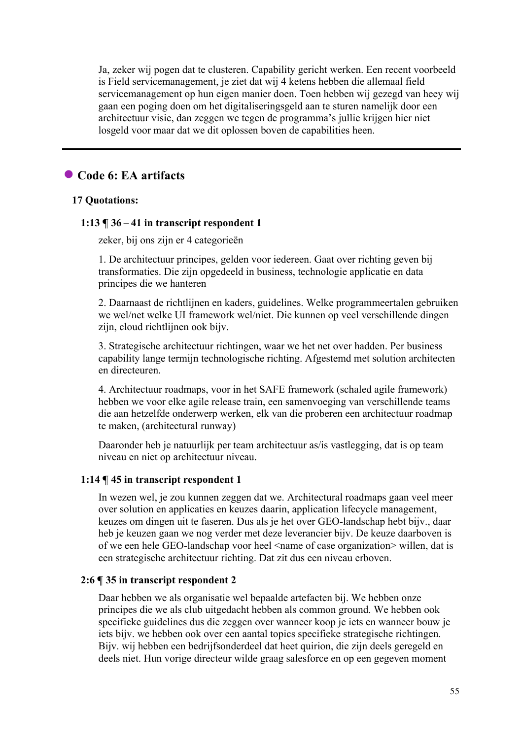Ja, zeker wij pogen dat te clusteren. Capability gericht werken. Een recent voorbeeld is Field servicemanagement, je ziet dat wij 4 ketens hebben die allemaal field servicemanagement op hun eigen manier doen. Toen hebben wij gezegd van heey wij gaan een poging doen om het digitaliseringsgeld aan te sturen namelijk door een architectuur visie, dan zeggen we tegen de programma's jullie krijgen hier niet losgeld voor maar dat we dit oplossen boven de capabilities heen.

# ● **Code 6: EA artifacts**

# **17 Quotations:**

# **1:13 ¶ 36 – 41 in transcript respondent 1**

zeker, bij ons zijn er 4 categorieën

1. De architectuur principes, gelden voor iedereen. Gaat over richting geven bij transformaties. Die zijn opgedeeld in business, technologie applicatie en data principes die we hanteren

2. Daarnaast de richtlijnen en kaders, guidelines. Welke programmeertalen gebruiken we wel/net welke UI framework wel/niet. Die kunnen op veel verschillende dingen zijn, cloud richtlijnen ook bijv.

3. Strategische architectuur richtingen, waar we het net over hadden. Per business capability lange termijn technologische richting. Afgestemd met solution architecten en directeuren.

4. Architectuur roadmaps, voor in het SAFE framework (schaled agile framework) hebben we voor elke agile release train, een samenvoeging van verschillende teams die aan hetzelfde onderwerp werken, elk van die proberen een architectuur roadmap te maken, (architectural runway)

Daaronder heb je natuurlijk per team architectuur as/is vastlegging, dat is op team niveau en niet op architectuur niveau.

# **1:14 ¶ 45 in transcript respondent 1**

In wezen wel, je zou kunnen zeggen dat we. Architectural roadmaps gaan veel meer over solution en applicaties en keuzes daarin, application lifecycle management, keuzes om dingen uit te faseren. Dus als je het over GEO-landschap hebt bijv., daar heb je keuzen gaan we nog verder met deze leverancier bijv. De keuze daarboven is of we een hele GEO-landschap voor heel <name of case organization> willen, dat is een strategische architectuur richting. Dat zit dus een niveau erboven.

# **2:6 ¶ 35 in transcript respondent 2**

Daar hebben we als organisatie wel bepaalde artefacten bij. We hebben onze principes die we als club uitgedacht hebben als common ground. We hebben ook specifieke guidelines dus die zeggen over wanneer koop je iets en wanneer bouw je iets bijv. we hebben ook over een aantal topics specifieke strategische richtingen. Bijv. wij hebben een bedrijfsonderdeel dat heet quirion, die zijn deels geregeld en deels niet. Hun vorige directeur wilde graag salesforce en op een gegeven moment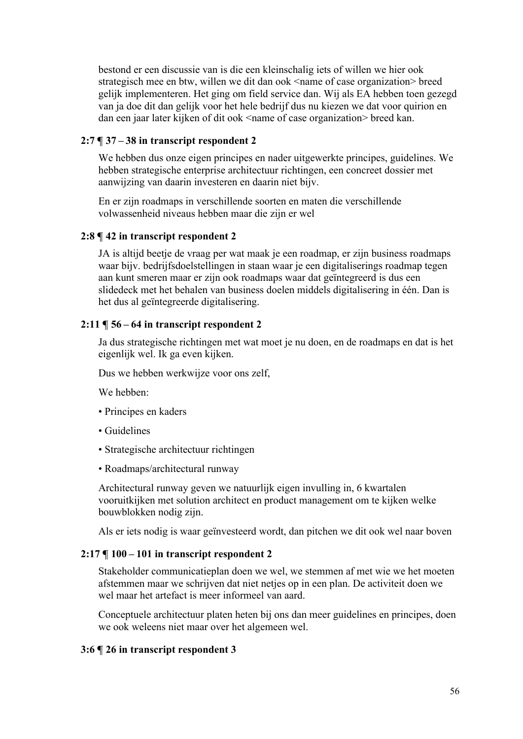bestond er een discussie van is die een kleinschalig iets of willen we hier ook strategisch mee en btw, willen we dit dan ook <name of case organization> breed gelijk implementeren. Het ging om field service dan. Wij als EA hebben toen gezegd van ja doe dit dan gelijk voor het hele bedrijf dus nu kiezen we dat voor quirion en dan een jaar later kijken of dit ook <name of case organization> breed kan.

# **2:7 ¶ 37 – 38 in transcript respondent 2**

We hebben dus onze eigen principes en nader uitgewerkte principes, guidelines. We hebben strategische enterprise architectuur richtingen, een concreet dossier met aanwijzing van daarin investeren en daarin niet bijv.

En er zijn roadmaps in verschillende soorten en maten die verschillende volwassenheid niveaus hebben maar die zijn er wel

# **2:8 ¶ 42 in transcript respondent 2**

JA is altijd beetje de vraag per wat maak je een roadmap, er zijn business roadmaps waar bijv. bedrijfsdoelstellingen in staan waar je een digitaliserings roadmap tegen aan kunt smeren maar er zijn ook roadmaps waar dat geïntegreerd is dus een slidedeck met het behalen van business doelen middels digitalisering in één. Dan is het dus al geïntegreerde digitalisering.

# **2:11 ¶ 56 – 64 in transcript respondent 2**

Ja dus strategische richtingen met wat moet je nu doen, en de roadmaps en dat is het eigenlijk wel. Ik ga even kijken.

Dus we hebben werkwijze voor ons zelf,

We hebben:

- Principes en kaders
- Guidelines
- Strategische architectuur richtingen
- Roadmaps/architectural runway

Architectural runway geven we natuurlijk eigen invulling in, 6 kwartalen vooruitkijken met solution architect en product management om te kijken welke bouwblokken nodig zijn.

Als er iets nodig is waar geïnvesteerd wordt, dan pitchen we dit ook wel naar boven

# **2:17 ¶ 100 – 101 in transcript respondent 2**

Stakeholder communicatieplan doen we wel, we stemmen af met wie we het moeten afstemmen maar we schrijven dat niet netjes op in een plan. De activiteit doen we wel maar het artefact is meer informeel van aard.

Conceptuele architectuur platen heten bij ons dan meer guidelines en principes, doen we ook weleens niet maar over het algemeen wel.

# **3:6 ¶ 26 in transcript respondent 3**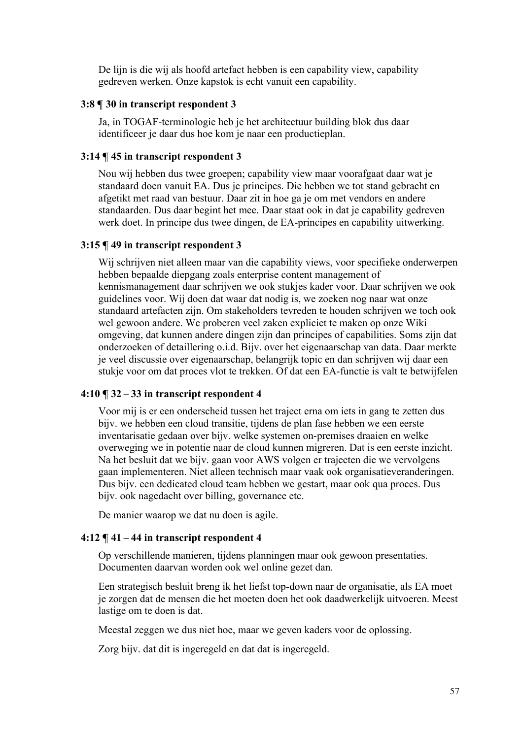De lijn is die wij als hoofd artefact hebben is een capability view, capability gedreven werken. Onze kapstok is echt vanuit een capability.

# **3:8 ¶ 30 in transcript respondent 3**

Ja, in TOGAF-terminologie heb je het architectuur building blok dus daar identificeer je daar dus hoe kom je naar een productieplan.

# **3:14 ¶ 45 in transcript respondent 3**

Nou wij hebben dus twee groepen; capability view maar voorafgaat daar wat je standaard doen vanuit EA. Dus je principes. Die hebben we tot stand gebracht en afgetikt met raad van bestuur. Daar zit in hoe ga je om met vendors en andere standaarden. Dus daar begint het mee. Daar staat ook in dat je capability gedreven werk doet. In principe dus twee dingen, de EA-principes en capability uitwerking.

# **3:15 ¶ 49 in transcript respondent 3**

Wij schrijven niet alleen maar van die capability views, voor specifieke onderwerpen hebben bepaalde diepgang zoals enterprise content management of kennismanagement daar schrijven we ook stukjes kader voor. Daar schrijven we ook guidelines voor. Wij doen dat waar dat nodig is, we zoeken nog naar wat onze standaard artefacten zijn. Om stakeholders tevreden te houden schrijven we toch ook wel gewoon andere. We proberen veel zaken expliciet te maken op onze Wiki omgeving, dat kunnen andere dingen zijn dan principes of capabilities. Soms zijn dat onderzoeken of detaillering o.i.d. Bijv. over het eigenaarschap van data. Daar merkte je veel discussie over eigenaarschap, belangrijk topic en dan schrijven wij daar een stukje voor om dat proces vlot te trekken. Of dat een EA-functie is valt te betwijfelen

### **4:10 ¶ 32 – 33 in transcript respondent 4**

Voor mij is er een onderscheid tussen het traject erna om iets in gang te zetten dus bijv. we hebben een cloud transitie, tijdens de plan fase hebben we een eerste inventarisatie gedaan over bijv. welke systemen on-premises draaien en welke overweging we in potentie naar de cloud kunnen migreren. Dat is een eerste inzicht. Na het besluit dat we bijv. gaan voor AWS volgen er trajecten die we vervolgens gaan implementeren. Niet alleen technisch maar vaak ook organisatieveranderingen. Dus bijv. een dedicated cloud team hebben we gestart, maar ook qua proces. Dus bijv. ook nagedacht over billing, governance etc.

De manier waarop we dat nu doen is agile.

### **4:12 ¶ 41 – 44 in transcript respondent 4**

Op verschillende manieren, tijdens planningen maar ook gewoon presentaties. Documenten daarvan worden ook wel online gezet dan.

Een strategisch besluit breng ik het liefst top-down naar de organisatie, als EA moet je zorgen dat de mensen die het moeten doen het ook daadwerkelijk uitvoeren. Meest lastige om te doen is dat.

Meestal zeggen we dus niet hoe, maar we geven kaders voor de oplossing.

Zorg bijv. dat dit is ingeregeld en dat dat is ingeregeld.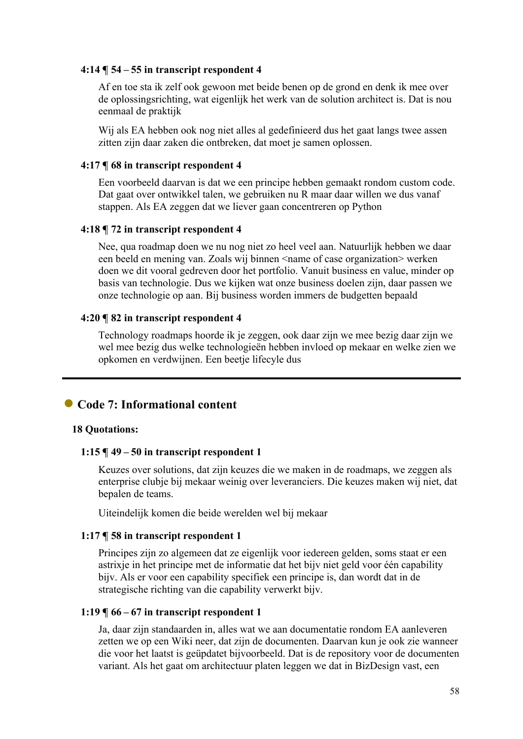### **4:14 ¶ 54 – 55 in transcript respondent 4**

Af en toe sta ik zelf ook gewoon met beide benen op de grond en denk ik mee over de oplossingsrichting, wat eigenlijk het werk van de solution architect is. Dat is nou eenmaal de praktijk

Wij als EA hebben ook nog niet alles al gedefinieerd dus het gaat langs twee assen zitten zijn daar zaken die ontbreken, dat moet je samen oplossen.

#### **4:17 ¶ 68 in transcript respondent 4**

Een voorbeeld daarvan is dat we een principe hebben gemaakt rondom custom code. Dat gaat over ontwikkel talen, we gebruiken nu R maar daar willen we dus vanaf stappen. Als EA zeggen dat we liever gaan concentreren op Python

### **4:18 ¶ 72 in transcript respondent 4**

Nee, qua roadmap doen we nu nog niet zo heel veel aan. Natuurlijk hebben we daar een beeld en mening van. Zoals wij binnen <name of case organization> werken doen we dit vooral gedreven door het portfolio. Vanuit business en value, minder op basis van technologie. Dus we kijken wat onze business doelen zijn, daar passen we onze technologie op aan. Bij business worden immers de budgetten bepaald

#### **4:20 ¶ 82 in transcript respondent 4**

Technology roadmaps hoorde ik je zeggen, ook daar zijn we mee bezig daar zijn we wel mee bezig dus welke technologieën hebben invloed op mekaar en welke zien we opkomen en verdwijnen. Een beetje lifecyle dus

# ● Code 7: Informational content

# **18 Quotations:**

#### **1:15 ¶ 49 – 50 in transcript respondent 1**

Keuzes over solutions, dat zijn keuzes die we maken in de roadmaps, we zeggen als enterprise clubje bij mekaar weinig over leveranciers. Die keuzes maken wij niet, dat bepalen de teams.

Uiteindelijk komen die beide werelden wel bij mekaar

#### **1:17 ¶ 58 in transcript respondent 1**

Principes zijn zo algemeen dat ze eigenlijk voor iedereen gelden, soms staat er een astrixje in het principe met de informatie dat het bijv niet geld voor één capability bijv. Als er voor een capability specifiek een principe is, dan wordt dat in de strategische richting van die capability verwerkt bijv.

#### **1:19 ¶ 66 – 67 in transcript respondent 1**

Ja, daar zijn standaarden in, alles wat we aan documentatie rondom EA aanleveren zetten we op een Wiki neer, dat zijn de documenten. Daarvan kun je ook zie wanneer die voor het laatst is geüpdatet bijvoorbeeld. Dat is de repository voor de documenten variant. Als het gaat om architectuur platen leggen we dat in BizDesign vast, een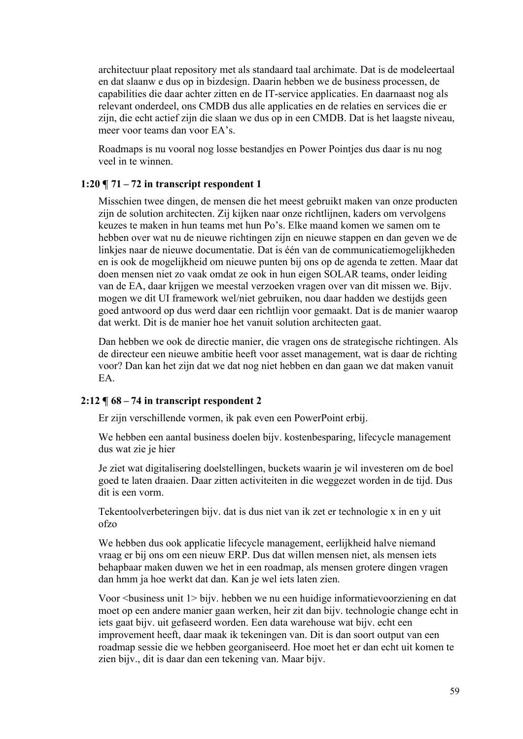architectuur plaat repository met als standaard taal archimate. Dat is de modeleertaal en dat slaanw e dus op in bizdesign. Daarin hebben we de business processen, de capabilities die daar achter zitten en de IT-service applicaties. En daarnaast nog als relevant onderdeel, ons CMDB dus alle applicaties en de relaties en services die er zijn, die echt actief zijn die slaan we dus op in een CMDB. Dat is het laagste niveau, meer voor teams dan voor EA's.

Roadmaps is nu vooral nog losse bestandjes en Power Pointjes dus daar is nu nog veel in te winnen.

# **1:20 ¶ 71 – 72 in transcript respondent 1**

Misschien twee dingen, de mensen die het meest gebruikt maken van onze producten zijn de solution architecten. Zij kijken naar onze richtlijnen, kaders om vervolgens keuzes te maken in hun teams met hun Po's. Elke maand komen we samen om te hebben over wat nu de nieuwe richtingen zijn en nieuwe stappen en dan geven we de linkjes naar de nieuwe documentatie. Dat is één van de communicatiemogelijkheden en is ook de mogelijkheid om nieuwe punten bij ons op de agenda te zetten. Maar dat doen mensen niet zo vaak omdat ze ook in hun eigen SOLAR teams, onder leiding van de EA, daar krijgen we meestal verzoeken vragen over van dit missen we. Bijv. mogen we dit UI framework wel/niet gebruiken, nou daar hadden we destijds geen goed antwoord op dus werd daar een richtlijn voor gemaakt. Dat is de manier waarop dat werkt. Dit is de manier hoe het vanuit solution architecten gaat.

Dan hebben we ook de directie manier, die vragen ons de strategische richtingen. Als de directeur een nieuwe ambitie heeft voor asset management, wat is daar de richting voor? Dan kan het zijn dat we dat nog niet hebben en dan gaan we dat maken vanuit EA.

# **2:12 ¶ 68 – 74 in transcript respondent 2**

Er zijn verschillende vormen, ik pak even een PowerPoint erbij.

We hebben een aantal business doelen bijv. kostenbesparing, lifecycle management dus wat zie je hier

Je ziet wat digitalisering doelstellingen, buckets waarin je wil investeren om de boel goed te laten draaien. Daar zitten activiteiten in die weggezet worden in de tijd. Dus dit is een vorm.

Tekentoolverbeteringen bijv. dat is dus niet van ik zet er technologie x in en y uit ofzo

We hebben dus ook applicatie lifecycle management, eerlijkheid halve niemand vraag er bij ons om een nieuw ERP. Dus dat willen mensen niet, als mensen iets behapbaar maken duwen we het in een roadmap, als mensen grotere dingen vragen dan hmm ja hoe werkt dat dan. Kan je wel iets laten zien.

Voor <business unit 1> bijv. hebben we nu een huidige informatievoorziening en dat moet op een andere manier gaan werken, heir zit dan bijv. technologie change echt in iets gaat bijv. uit gefaseerd worden. Een data warehouse wat bijv. echt een improvement heeft, daar maak ik tekeningen van. Dit is dan soort output van een roadmap sessie die we hebben georganiseerd. Hoe moet het er dan echt uit komen te zien bijv., dit is daar dan een tekening van. Maar bijv.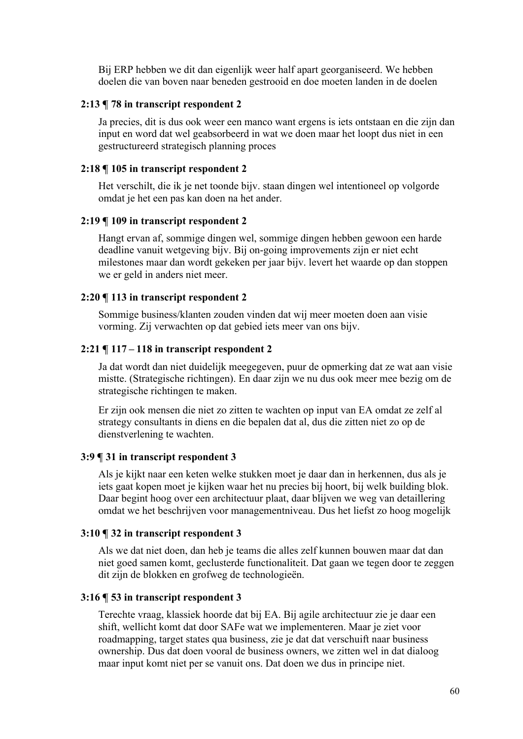Bij ERP hebben we dit dan eigenlijk weer half apart georganiseerd. We hebben doelen die van boven naar beneden gestrooid en doe moeten landen in de doelen

### **2:13 ¶ 78 in transcript respondent 2**

Ja precies, dit is dus ook weer een manco want ergens is iets ontstaan en die zijn dan input en word dat wel geabsorbeerd in wat we doen maar het loopt dus niet in een gestructureerd strategisch planning proces

### **2:18 ¶ 105 in transcript respondent 2**

Het verschilt, die ik je net toonde bijv. staan dingen wel intentioneel op volgorde omdat je het een pas kan doen na het ander.

# **2:19 ¶ 109 in transcript respondent 2**

Hangt ervan af, sommige dingen wel, sommige dingen hebben gewoon een harde deadline vanuit wetgeving bijv. Bij on-going improvements zijn er niet echt milestones maar dan wordt gekeken per jaar bijv. levert het waarde op dan stoppen we er geld in anders niet meer.

#### **2:20 ¶ 113 in transcript respondent 2**

Sommige business/klanten zouden vinden dat wij meer moeten doen aan visie vorming. Zij verwachten op dat gebied iets meer van ons bijv.

#### **2:21 ¶ 117 – 118 in transcript respondent 2**

Ja dat wordt dan niet duidelijk meegegeven, puur de opmerking dat ze wat aan visie mistte. (Strategische richtingen). En daar zijn we nu dus ook meer mee bezig om de strategische richtingen te maken.

Er zijn ook mensen die niet zo zitten te wachten op input van EA omdat ze zelf al strategy consultants in diens en die bepalen dat al, dus die zitten niet zo op de dienstverlening te wachten.

### **3:9 ¶ 31 in transcript respondent 3**

Als je kijkt naar een keten welke stukken moet je daar dan in herkennen, dus als je iets gaat kopen moet je kijken waar het nu precies bij hoort, bij welk building blok. Daar begint hoog over een architectuur plaat, daar blijven we weg van detaillering omdat we het beschrijven voor managementniveau. Dus het liefst zo hoog mogelijk

### **3:10 ¶ 32 in transcript respondent 3**

Als we dat niet doen, dan heb je teams die alles zelf kunnen bouwen maar dat dan niet goed samen komt, geclusterde functionaliteit. Dat gaan we tegen door te zeggen dit zijn de blokken en grofweg de technologieën.

## **3:16 ¶ 53 in transcript respondent 3**

Terechte vraag, klassiek hoorde dat bij EA. Bij agile architectuur zie je daar een shift, wellicht komt dat door SAFe wat we implementeren. Maar je ziet voor roadmapping, target states qua business, zie je dat dat verschuift naar business ownership. Dus dat doen vooral de business owners, we zitten wel in dat dialoog maar input komt niet per se vanuit ons. Dat doen we dus in principe niet.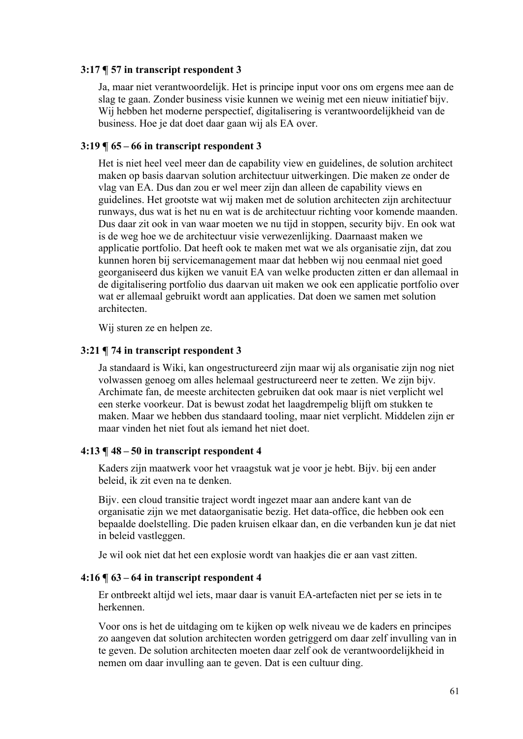# **3:17 ¶ 57 in transcript respondent 3**

Ja, maar niet verantwoordelijk. Het is principe input voor ons om ergens mee aan de slag te gaan. Zonder business visie kunnen we weinig met een nieuw initiatief bijv. Wij hebben het moderne perspectief, digitalisering is verantwoordelijkheid van de business. Hoe je dat doet daar gaan wij als EA over.

# **3:19 ¶ 65 – 66 in transcript respondent 3**

Het is niet heel veel meer dan de capability view en guidelines, de solution architect maken op basis daarvan solution architectuur uitwerkingen. Die maken ze onder de vlag van EA. Dus dan zou er wel meer zijn dan alleen de capability views en guidelines. Het grootste wat wij maken met de solution architecten zijn architectuur runways, dus wat is het nu en wat is de architectuur richting voor komende maanden. Dus daar zit ook in van waar moeten we nu tijd in stoppen, security bijv. En ook wat is de weg hoe we de architectuur visie verwezenlijking. Daarnaast maken we applicatie portfolio. Dat heeft ook te maken met wat we als organisatie zijn, dat zou kunnen horen bij servicemanagement maar dat hebben wij nou eenmaal niet goed georganiseerd dus kijken we vanuit EA van welke producten zitten er dan allemaal in de digitalisering portfolio dus daarvan uit maken we ook een applicatie portfolio over wat er allemaal gebruikt wordt aan applicaties. Dat doen we samen met solution architecten.

Wij sturen ze en helpen ze.

# **3:21 ¶ 74 in transcript respondent 3**

Ja standaard is Wiki, kan ongestructureerd zijn maar wij als organisatie zijn nog niet volwassen genoeg om alles helemaal gestructureerd neer te zetten. We zijn bijv. Archimate fan, de meeste architecten gebruiken dat ook maar is niet verplicht wel een sterke voorkeur. Dat is bewust zodat het laagdrempelig blijft om stukken te maken. Maar we hebben dus standaard tooling, maar niet verplicht. Middelen zijn er maar vinden het niet fout als iemand het niet doet.

## **4:13 ¶ 48 – 50 in transcript respondent 4**

Kaders zijn maatwerk voor het vraagstuk wat je voor je hebt. Bijv. bij een ander beleid, ik zit even na te denken.

Bijv. een cloud transitie traject wordt ingezet maar aan andere kant van de organisatie zijn we met dataorganisatie bezig. Het data-office, die hebben ook een bepaalde doelstelling. Die paden kruisen elkaar dan, en die verbanden kun je dat niet in beleid vastleggen.

Je wil ook niet dat het een explosie wordt van haakjes die er aan vast zitten.

# **4:16 ¶ 63 – 64 in transcript respondent 4**

Er ontbreekt altijd wel iets, maar daar is vanuit EA-artefacten niet per se iets in te herkennen.

Voor ons is het de uitdaging om te kijken op welk niveau we de kaders en principes zo aangeven dat solution architecten worden getriggerd om daar zelf invulling van in te geven. De solution architecten moeten daar zelf ook de verantwoordelijkheid in nemen om daar invulling aan te geven. Dat is een cultuur ding.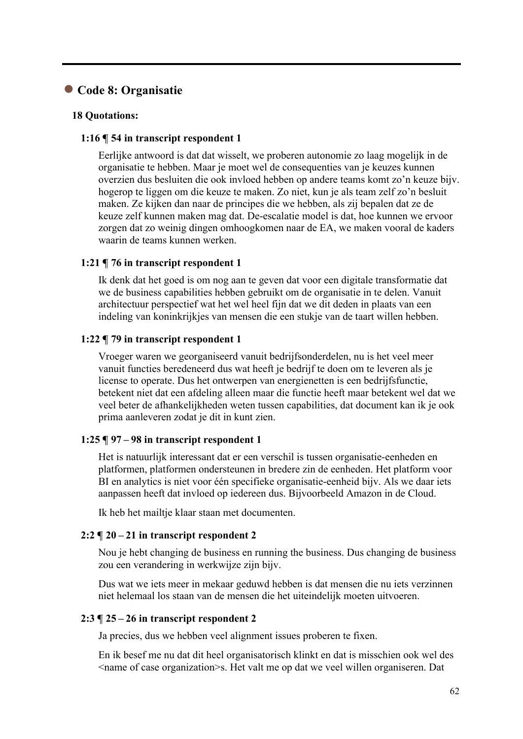# ● **Code 8: Organisatie**

## **18 Quotations:**

### **1:16 ¶ 54 in transcript respondent 1**

Eerlijke antwoord is dat dat wisselt, we proberen autonomie zo laag mogelijk in de organisatie te hebben. Maar je moet wel de consequenties van je keuzes kunnen overzien dus besluiten die ook invloed hebben op andere teams komt zo'n keuze bijv. hogerop te liggen om die keuze te maken. Zo niet, kun je als team zelf zo'n besluit maken. Ze kijken dan naar de principes die we hebben, als zij bepalen dat ze de keuze zelf kunnen maken mag dat. De-escalatie model is dat, hoe kunnen we ervoor zorgen dat zo weinig dingen omhoogkomen naar de EA, we maken vooral de kaders waarin de teams kunnen werken.

### **1:21 ¶ 76 in transcript respondent 1**

Ik denk dat het goed is om nog aan te geven dat voor een digitale transformatie dat we de business capabilities hebben gebruikt om de organisatie in te delen. Vanuit architectuur perspectief wat het wel heel fijn dat we dit deden in plaats van een indeling van koninkrijkjes van mensen die een stukje van de taart willen hebben.

### **1:22 ¶ 79 in transcript respondent 1**

Vroeger waren we georganiseerd vanuit bedrijfsonderdelen, nu is het veel meer vanuit functies beredeneerd dus wat heeft je bedrijf te doen om te leveren als je license to operate. Dus het ontwerpen van energienetten is een bedrijfsfunctie, betekent niet dat een afdeling alleen maar die functie heeft maar betekent wel dat we veel beter de afhankelijkheden weten tussen capabilities, dat document kan ik je ook prima aanleveren zodat je dit in kunt zien.

### **1:25 ¶ 97 – 98 in transcript respondent 1**

Het is natuurlijk interessant dat er een verschil is tussen organisatie-eenheden en platformen, platformen ondersteunen in bredere zin de eenheden. Het platform voor BI en analytics is niet voor één specifieke organisatie-eenheid bijv. Als we daar iets aanpassen heeft dat invloed op iedereen dus. Bijvoorbeeld Amazon in de Cloud.

Ik heb het mailtje klaar staan met documenten.

### **2:2 ¶ 20 – 21 in transcript respondent 2**

Nou je hebt changing de business en running the business. Dus changing de business zou een verandering in werkwijze zijn bijv.

Dus wat we iets meer in mekaar geduwd hebben is dat mensen die nu iets verzinnen niet helemaal los staan van de mensen die het uiteindelijk moeten uitvoeren.

### **2:3 ¶ 25 – 26 in transcript respondent 2**

Ja precies, dus we hebben veel alignment issues proberen te fixen.

En ik besef me nu dat dit heel organisatorisch klinkt en dat is misschien ook wel des  $\le$ name of case organization $\ge$ s. Het valt me op dat we veel willen organiseren. Dat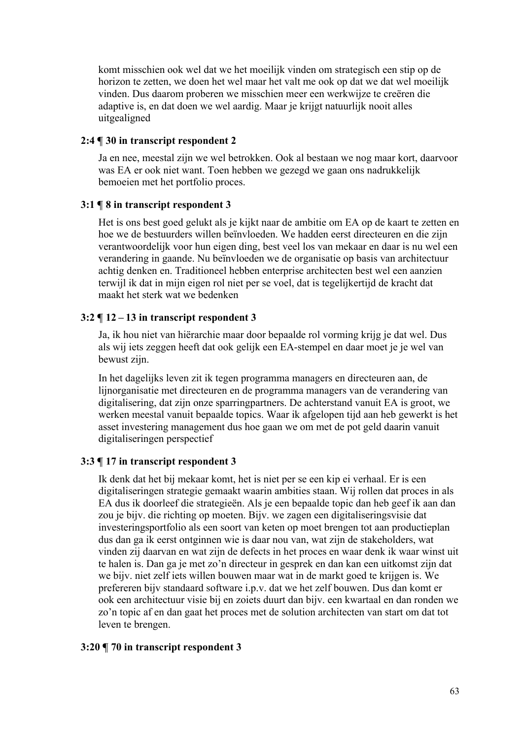komt misschien ook wel dat we het moeilijk vinden om strategisch een stip op de horizon te zetten, we doen het wel maar het valt me ook op dat we dat wel moeilijk vinden. Dus daarom proberen we misschien meer een werkwijze te creëren die adaptive is, en dat doen we wel aardig. Maar je krijgt natuurlijk nooit alles uitgealigned

# **2:4 ¶ 30 in transcript respondent 2**

Ja en nee, meestal zijn we wel betrokken. Ook al bestaan we nog maar kort, daarvoor was EA er ook niet want. Toen hebben we gezegd we gaan ons nadrukkelijk bemoeien met het portfolio proces.

# **3:1 ¶ 8 in transcript respondent 3**

Het is ons best goed gelukt als je kijkt naar de ambitie om EA op de kaart te zetten en hoe we de bestuurders willen beïnvloeden. We hadden eerst directeuren en die zijn verantwoordelijk voor hun eigen ding, best veel los van mekaar en daar is nu wel een verandering in gaande. Nu beïnvloeden we de organisatie op basis van architectuur achtig denken en. Traditioneel hebben enterprise architecten best wel een aanzien terwijl ik dat in mijn eigen rol niet per se voel, dat is tegelijkertijd de kracht dat maakt het sterk wat we bedenken

# **3:2 ¶ 12 – 13 in transcript respondent 3**

Ja, ik hou niet van hiërarchie maar door bepaalde rol vorming krijg je dat wel. Dus als wij iets zeggen heeft dat ook gelijk een EA-stempel en daar moet je je wel van bewust zijn.

In het dagelijks leven zit ik tegen programma managers en directeuren aan, de lijnorganisatie met directeuren en de programma managers van de verandering van digitalisering, dat zijn onze sparringpartners. De achterstand vanuit EA is groot, we werken meestal vanuit bepaalde topics. Waar ik afgelopen tijd aan heb gewerkt is het asset investering management dus hoe gaan we om met de pot geld daarin vanuit digitaliseringen perspectief

# **3:3 ¶ 17 in transcript respondent 3**

Ik denk dat het bij mekaar komt, het is niet per se een kip ei verhaal. Er is een digitaliseringen strategie gemaakt waarin ambities staan. Wij rollen dat proces in als EA dus ik doorleef die strategieën. Als je een bepaalde topic dan heb geef ik aan dan zou je bijv. die richting op moeten. Bijv. we zagen een digitaliseringsvisie dat investeringsportfolio als een soort van keten op moet brengen tot aan productieplan dus dan ga ik eerst ontginnen wie is daar nou van, wat zijn de stakeholders, wat vinden zij daarvan en wat zijn de defects in het proces en waar denk ik waar winst uit te halen is. Dan ga je met zo'n directeur in gesprek en dan kan een uitkomst zijn dat we bijv. niet zelf iets willen bouwen maar wat in de markt goed te krijgen is. We prefereren bijv standaard software i.p.v. dat we het zelf bouwen. Dus dan komt er ook een architectuur visie bij en zoiets duurt dan bijv. een kwartaal en dan ronden we zo'n topic af en dan gaat het proces met de solution architecten van start om dat tot leven te brengen.

# **3:20 ¶ 70 in transcript respondent 3**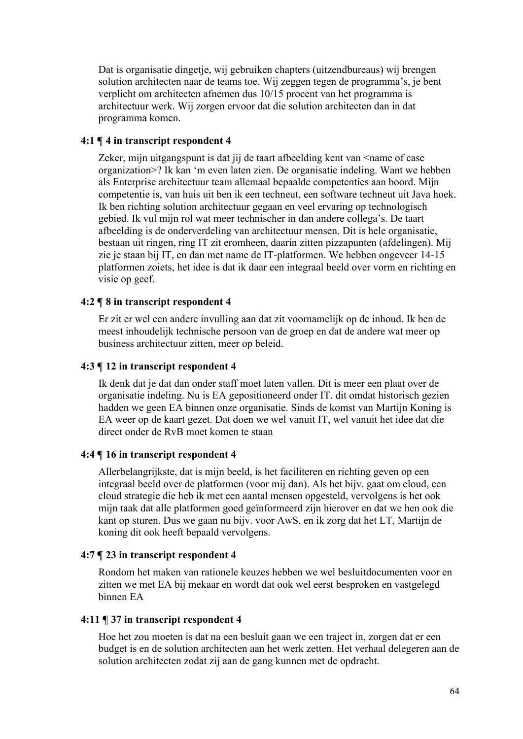Dat is organisatie dingetje, wij gebruiken chapters (uitzendbureaus) wij brengen solution architecten naar de teams toe. Wij zeggen tegen de programma's, je bent verplicht om architecten afnemen dus 10/15 procent van het programma is architectuur werk. Wij zorgen ervoor dat die solution architecten dan in dat programma komen.

# **4:1 ¶ 4 in transcript respondent 4**

Zeker, mijn uitgangspunt is dat jij de taart afbeelding kent van <name of case organization>? Ik kan 'm even laten zien. De organisatie indeling. Want we hebben als Enterprise architectuur team allemaal bepaalde competenties aan boord. Mijn competentie is, van huis uit ben ik een techneut, een software techneut uit Java hoek. Ik ben richting solution architectuur gegaan en veel ervaring op technologisch gebied. Ik vul mijn rol wat meer technischer in dan andere collega's. De taart afbeelding is de onderverdeling van architectuur mensen. Dit is hele organisatie, bestaan uit ringen, ring IT zit eromheen, daarin zitten pizzapunten (afdelingen). Mij zie je staan bij IT, en dan met name de IT-platformen. We hebben ongeveer 14-15 platformen zoiets, het idee is dat ik daar een integraal beeld over vorm en richting en visie op geef.

# **4:2 ¶ 8 in transcript respondent 4**

Er zit er wel een andere invulling aan dat zit voornamelijk op de inhoud. Ik ben de meest inhoudelijk technische persoon van de groep en dat de andere wat meer op business architectuur zitten, meer op beleid.

# **4:3 ¶ 12 in transcript respondent 4**

Ik denk dat je dat dan onder staff moet laten vallen. Dit is meer een plaat over de organisatie indeling. Nu is EA gepositioneerd onder IT. dit omdat historisch gezien hadden we geen EA binnen onze organisatie. Sinds de komst van Martijn Koning is EA weer op de kaart gezet. Dat doen we wel vanuit IT, wel vanuit het idee dat die direct onder de RvB moet komen te staan

# **4:4 ¶ 16 in transcript respondent 4**

Allerbelangrijkste, dat is mijn beeld, is het faciliteren en richting geven op een integraal beeld over de platformen (voor mij dan). Als het bijv. gaat om cloud, een cloud strategie die heb ik met een aantal mensen opgesteld, vervolgens is het ook mijn taak dat alle platformen goed geïnformeerd zijn hierover en dat we hen ook die kant op sturen. Dus we gaan nu bijv. voor AwS, en ik zorg dat het LT, Martijn de koning dit ook heeft bepaald vervolgens.

# **4:7 ¶ 23 in transcript respondent 4**

Rondom het maken van rationele keuzes hebben we wel besluitdocumenten voor en zitten we met EA bij mekaar en wordt dat ook wel eerst besproken en vastgelegd binnen EA

# **4:11 ¶ 37 in transcript respondent 4**

Hoe het zou moeten is dat na een besluit gaan we een traject in, zorgen dat er een budget is en de solution architecten aan het werk zetten. Het verhaal delegeren aan de solution architecten zodat zij aan de gang kunnen met de opdracht.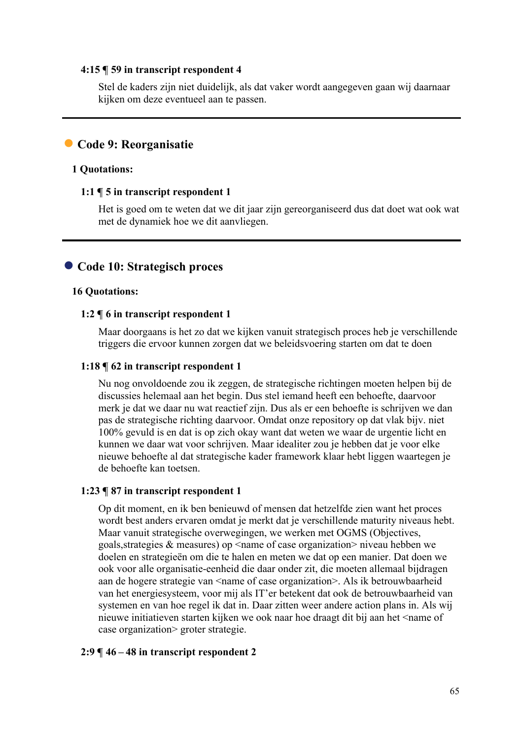### **4:15 ¶ 59 in transcript respondent 4**

Stel de kaders zijn niet duidelijk, als dat vaker wordt aangegeven gaan wij daarnaar kijken om deze eventueel aan te passen.

# ● **Code 9: Reorganisatie**

# **1 Quotations:**

# **1:1 ¶ 5 in transcript respondent 1**

Het is goed om te weten dat we dit jaar zijn gereorganiseerd dus dat doet wat ook wat met de dynamiek hoe we dit aanvliegen.

# ● **Code 10: Strategisch proces**

# **16 Quotations:**

# **1:2 ¶ 6 in transcript respondent 1**

Maar doorgaans is het zo dat we kijken vanuit strategisch proces heb je verschillende triggers die ervoor kunnen zorgen dat we beleidsvoering starten om dat te doen

# **1:18 ¶ 62 in transcript respondent 1**

Nu nog onvoldoende zou ik zeggen, de strategische richtingen moeten helpen bij de discussies helemaal aan het begin. Dus stel iemand heeft een behoefte, daarvoor merk je dat we daar nu wat reactief zijn. Dus als er een behoefte is schrijven we dan pas de strategische richting daarvoor. Omdat onze repository op dat vlak bijv. niet 100% gevuld is en dat is op zich okay want dat weten we waar de urgentie licht en kunnen we daar wat voor schrijven. Maar idealiter zou je hebben dat je voor elke nieuwe behoefte al dat strategische kader framework klaar hebt liggen waartegen je de behoefte kan toetsen.

# **1:23 ¶ 87 in transcript respondent 1**

Op dit moment, en ik ben benieuwd of mensen dat hetzelfde zien want het proces wordt best anders ervaren omdat je merkt dat je verschillende maturity niveaus hebt. Maar vanuit strategische overwegingen, we werken met OGMS (Objectives, goals, strategies & measures) op  $\leq$  name of case organization  $\geq$  niveau hebben we doelen en strategieën om die te halen en meten we dat op een manier. Dat doen we ook voor alle organisatie-eenheid die daar onder zit, die moeten allemaal bijdragen aan de hogere strategie van  $\leq$ name of case organization $\geq$ . Als ik betrouwbaarheid van het energiesysteem, voor mij als IT'er betekent dat ook de betrouwbaarheid van systemen en van hoe regel ik dat in. Daar zitten weer andere action plans in. Als wij nieuwe initiatieven starten kijken we ook naar hoe draagt dit bij aan het <name of case organization> groter strategie.

# **2:9 ¶ 46 – 48 in transcript respondent 2**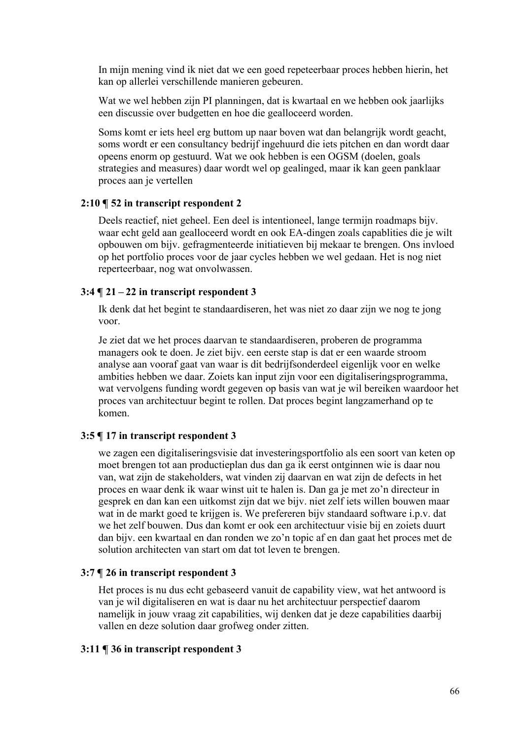In mijn mening vind ik niet dat we een goed repeteerbaar proces hebben hierin, het kan op allerlei verschillende manieren gebeuren.

Wat we wel hebben zijn PI planningen, dat is kwartaal en we hebben ook jaarlijks een discussie over budgetten en hoe die gealloceerd worden.

Soms komt er iets heel erg buttom up naar boven wat dan belangrijk wordt geacht, soms wordt er een consultancy bedrijf ingehuurd die iets pitchen en dan wordt daar opeens enorm op gestuurd. Wat we ook hebben is een OGSM (doelen, goals strategies and measures) daar wordt wel op gealinged, maar ik kan geen panklaar proces aan je vertellen

# **2:10 ¶ 52 in transcript respondent 2**

Deels reactief, niet geheel. Een deel is intentioneel, lange termijn roadmaps bijv. waar echt geld aan gealloceerd wordt en ook EA-dingen zoals capablities die je wilt opbouwen om bijv. gefragmenteerde initiatieven bij mekaar te brengen. Ons invloed op het portfolio proces voor de jaar cycles hebben we wel gedaan. Het is nog niet reperteerbaar, nog wat onvolwassen.

# **3:4 ¶ 21 – 22 in transcript respondent 3**

Ik denk dat het begint te standaardiseren, het was niet zo daar zijn we nog te jong voor.

Je ziet dat we het proces daarvan te standaardiseren, proberen de programma managers ook te doen. Je ziet bijv. een eerste stap is dat er een waarde stroom analyse aan vooraf gaat van waar is dit bedrijfsonderdeel eigenlijk voor en welke ambities hebben we daar. Zoiets kan input zijn voor een digitaliseringsprogramma, wat vervolgens funding wordt gegeven op basis van wat je wil bereiken waardoor het proces van architectuur begint te rollen. Dat proces begint langzamerhand op te komen.

### **3:5 ¶ 17 in transcript respondent 3**

we zagen een digitaliseringsvisie dat investeringsportfolio als een soort van keten op moet brengen tot aan productieplan dus dan ga ik eerst ontginnen wie is daar nou van, wat zijn de stakeholders, wat vinden zij daarvan en wat zijn de defects in het proces en waar denk ik waar winst uit te halen is. Dan ga je met zo'n directeur in gesprek en dan kan een uitkomst zijn dat we bijv. niet zelf iets willen bouwen maar wat in de markt goed te krijgen is. We prefereren bijv standaard software i.p.v. dat we het zelf bouwen. Dus dan komt er ook een architectuur visie bij en zoiets duurt dan bijv. een kwartaal en dan ronden we zo'n topic af en dan gaat het proces met de solution architecten van start om dat tot leven te brengen.

# **3:7 ¶ 26 in transcript respondent 3**

Het proces is nu dus echt gebaseerd vanuit de capability view, wat het antwoord is van je wil digitaliseren en wat is daar nu het architectuur perspectief daarom namelijk in jouw vraag zit capabilities, wij denken dat je deze capabilities daarbij vallen en deze solution daar grofweg onder zitten.

### **3:11 ¶ 36 in transcript respondent 3**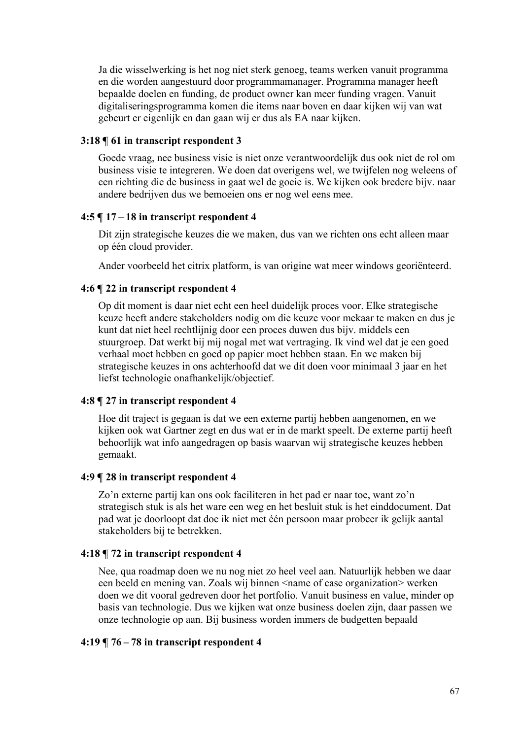Ja die wisselwerking is het nog niet sterk genoeg, teams werken vanuit programma en die worden aangestuurd door programmamanager. Programma manager heeft bepaalde doelen en funding, de product owner kan meer funding vragen. Vanuit digitaliseringsprogramma komen die items naar boven en daar kijken wij van wat gebeurt er eigenlijk en dan gaan wij er dus als EA naar kijken.

# **3:18 ¶ 61 in transcript respondent 3**

Goede vraag, nee business visie is niet onze verantwoordelijk dus ook niet de rol om business visie te integreren. We doen dat overigens wel, we twijfelen nog weleens of een richting die de business in gaat wel de goeie is. We kijken ook bredere bijv. naar andere bedrijven dus we bemoeien ons er nog wel eens mee.

### **4:5 ¶ 17 – 18 in transcript respondent 4**

Dit zijn strategische keuzes die we maken, dus van we richten ons echt alleen maar op één cloud provider.

Ander voorbeeld het citrix platform, is van origine wat meer windows georiënteerd.

### **4:6 ¶ 22 in transcript respondent 4**

Op dit moment is daar niet echt een heel duidelijk proces voor. Elke strategische keuze heeft andere stakeholders nodig om die keuze voor mekaar te maken en dus je kunt dat niet heel rechtlijnig door een proces duwen dus bijv. middels een stuurgroep. Dat werkt bij mij nogal met wat vertraging. Ik vind wel dat je een goed verhaal moet hebben en goed op papier moet hebben staan. En we maken bij strategische keuzes in ons achterhoofd dat we dit doen voor minimaal 3 jaar en het liefst technologie onafhankelijk/objectief.

# **4:8 ¶ 27 in transcript respondent 4**

Hoe dit traject is gegaan is dat we een externe partij hebben aangenomen, en we kijken ook wat Gartner zegt en dus wat er in de markt speelt. De externe partij heeft behoorlijk wat info aangedragen op basis waarvan wij strategische keuzes hebben gemaakt.

#### **4:9 ¶ 28 in transcript respondent 4**

Zo'n externe partij kan ons ook faciliteren in het pad er naar toe, want zo'n strategisch stuk is als het ware een weg en het besluit stuk is het einddocument. Dat pad wat je doorloopt dat doe ik niet met één persoon maar probeer ik gelijk aantal stakeholders bij te betrekken.

#### **4:18 ¶ 72 in transcript respondent 4**

Nee, qua roadmap doen we nu nog niet zo heel veel aan. Natuurlijk hebben we daar een beeld en mening van. Zoals wij binnen <name of case organization> werken doen we dit vooral gedreven door het portfolio. Vanuit business en value, minder op basis van technologie. Dus we kijken wat onze business doelen zijn, daar passen we onze technologie op aan. Bij business worden immers de budgetten bepaald

# **4:19 ¶ 76 – 78 in transcript respondent 4**